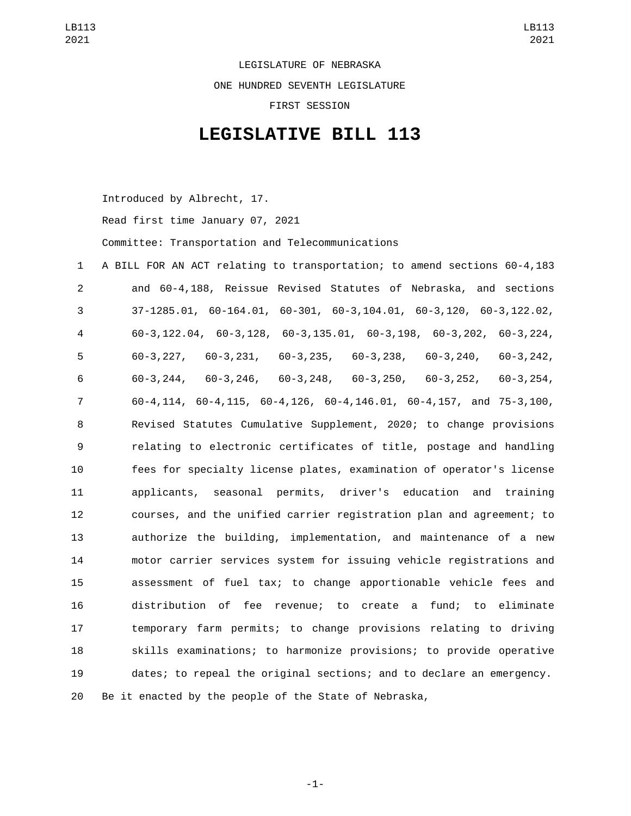LEGISLATURE OF NEBRASKA ONE HUNDRED SEVENTH LEGISLATURE FIRST SESSION

## **LEGISLATIVE BILL 113**

Introduced by Albrecht, 17.

Read first time January 07, 2021

Committee: Transportation and Telecommunications

 A BILL FOR AN ACT relating to transportation; to amend sections 60-4,183 and 60-4,188, Reissue Revised Statutes of Nebraska, and sections 37-1285.01, 60-164.01, 60-301, 60-3,104.01, 60-3,120, 60-3,122.02, 60-3,122.04, 60-3,128, 60-3,135.01, 60-3,198, 60-3,202, 60-3,224, 60-3,227, 60-3,231, 60-3,235, 60-3,238, 60-3,240, 60-3,242, 60-3,244, 60-3,246, 60-3,248, 60-3,250, 60-3,252, 60-3,254, 60-4,114, 60-4,115, 60-4,126, 60-4,146.01, 60-4,157, and 75-3,100, Revised Statutes Cumulative Supplement, 2020; to change provisions relating to electronic certificates of title, postage and handling fees for specialty license plates, examination of operator's license applicants, seasonal permits, driver's education and training courses, and the unified carrier registration plan and agreement; to authorize the building, implementation, and maintenance of a new motor carrier services system for issuing vehicle registrations and assessment of fuel tax; to change apportionable vehicle fees and distribution of fee revenue; to create a fund; to eliminate temporary farm permits; to change provisions relating to driving skills examinations; to harmonize provisions; to provide operative dates; to repeal the original sections; and to declare an emergency. Be it enacted by the people of the State of Nebraska,

-1-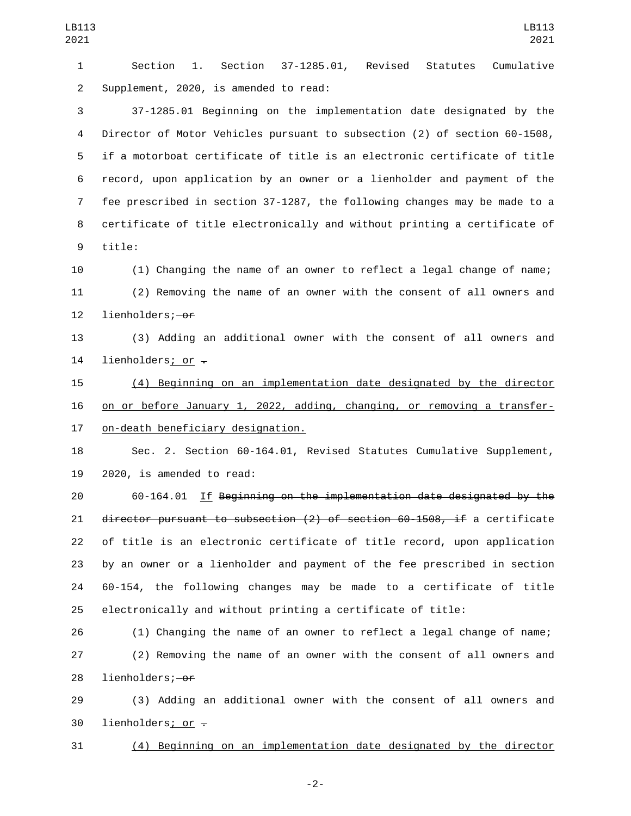Section 1. Section 37-1285.01, Revised Statutes Cumulative 2 Supplement, 2020, is amended to read: 37-1285.01 Beginning on the implementation date designated by the Director of Motor Vehicles pursuant to subsection (2) of section 60-1508, if a motorboat certificate of title is an electronic certificate of title record, upon application by an owner or a lienholder and payment of the fee prescribed in section 37-1287, the following changes may be made to a certificate of title electronically and without printing a certificate of 9 title: (1) Changing the name of an owner to reflect a legal change of name; (2) Removing the name of an owner with the consent of all owners and 12 lienholders; of (3) Adding an additional owner with the consent of all owners and 14 lienholders; or  $-$ (4) Beginning on an implementation date designated by the director

 on or before January 1, 2022, adding, changing, or removing a transfer-17 on-death beneficiary designation.

 Sec. 2. Section 60-164.01, Revised Statutes Cumulative Supplement,  $2020$ , is amended to read:

 60-164.01 If Beginning on the implementation date designated by the director pursuant to subsection (2) of section 60-1508, if a certificate of title is an electronic certificate of title record, upon application by an owner or a lienholder and payment of the fee prescribed in section 60-154, the following changes may be made to a certificate of title electronically and without printing a certificate of title:

 (1) Changing the name of an owner to reflect a legal change of name; (2) Removing the name of an owner with the consent of all owners and 28 lienholders; of

 (3) Adding an additional owner with the consent of all owners and 30 lienholders; or  $-$ 

(4) Beginning on an implementation date designated by the director

-2-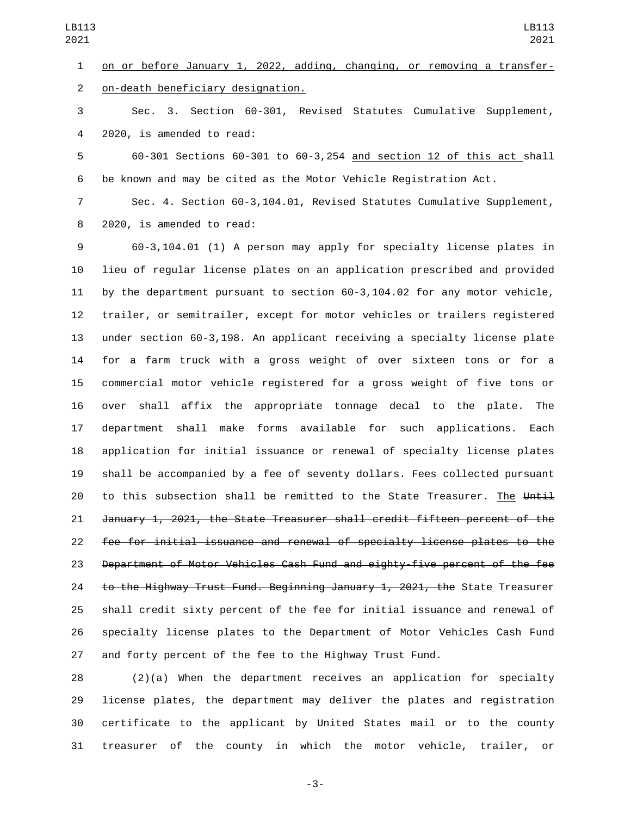on or before January 1, 2022, adding, changing, or removing a transferon-death beneficiary designation.2

 Sec. 3. Section 60-301, Revised Statutes Cumulative Supplement, 4 2020, is amended to read:

 60-301 Sections 60-301 to 60-3,254 and section 12 of this act shall be known and may be cited as the Motor Vehicle Registration Act.

 Sec. 4. Section 60-3,104.01, Revised Statutes Cumulative Supplement, 8 2020, is amended to read:

 60-3,104.01 (1) A person may apply for specialty license plates in lieu of regular license plates on an application prescribed and provided by the department pursuant to section 60-3,104.02 for any motor vehicle, trailer, or semitrailer, except for motor vehicles or trailers registered under section 60-3,198. An applicant receiving a specialty license plate for a farm truck with a gross weight of over sixteen tons or for a commercial motor vehicle registered for a gross weight of five tons or over shall affix the appropriate tonnage decal to the plate. The department shall make forms available for such applications. Each application for initial issuance or renewal of specialty license plates shall be accompanied by a fee of seventy dollars. Fees collected pursuant 20 to this subsection shall be remitted to the State Treasurer. The Until January 1, 2021, the State Treasurer shall credit fifteen percent of the fee for initial issuance and renewal of specialty license plates to the Department of Motor Vehicles Cash Fund and eighty-five percent of the fee 24 to the Highway Trust Fund. Beginning January 1, 2021, the State Treasurer shall credit sixty percent of the fee for initial issuance and renewal of specialty license plates to the Department of Motor Vehicles Cash Fund and forty percent of the fee to the Highway Trust Fund.

 (2)(a) When the department receives an application for specialty license plates, the department may deliver the plates and registration certificate to the applicant by United States mail or to the county treasurer of the county in which the motor vehicle, trailer, or

-3-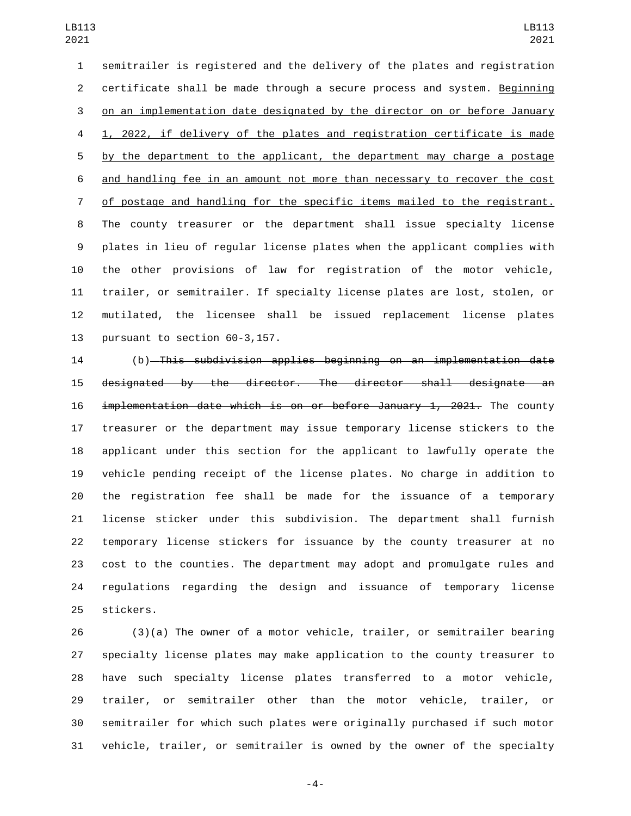semitrailer is registered and the delivery of the plates and registration certificate shall be made through a secure process and system. Beginning on an implementation date designated by the director on or before January 1, 2022, if delivery of the plates and registration certificate is made 5 by the department to the applicant, the department may charge a postage 6 and handling fee in an amount not more than necessary to recover the cost of postage and handling for the specific items mailed to the registrant. The county treasurer or the department shall issue specialty license plates in lieu of regular license plates when the applicant complies with the other provisions of law for registration of the motor vehicle, trailer, or semitrailer. If specialty license plates are lost, stolen, or mutilated, the licensee shall be issued replacement license plates 13 pursuant to section 60-3,157.

 (b) This subdivision applies beginning on an implementation date designated by the director. The director shall designate an implementation date which is on or before January 1, 2021. The county treasurer or the department may issue temporary license stickers to the applicant under this section for the applicant to lawfully operate the vehicle pending receipt of the license plates. No charge in addition to the registration fee shall be made for the issuance of a temporary license sticker under this subdivision. The department shall furnish temporary license stickers for issuance by the county treasurer at no cost to the counties. The department may adopt and promulgate rules and regulations regarding the design and issuance of temporary license 25 stickers.

 (3)(a) The owner of a motor vehicle, trailer, or semitrailer bearing specialty license plates may make application to the county treasurer to have such specialty license plates transferred to a motor vehicle, trailer, or semitrailer other than the motor vehicle, trailer, or semitrailer for which such plates were originally purchased if such motor vehicle, trailer, or semitrailer is owned by the owner of the specialty

-4-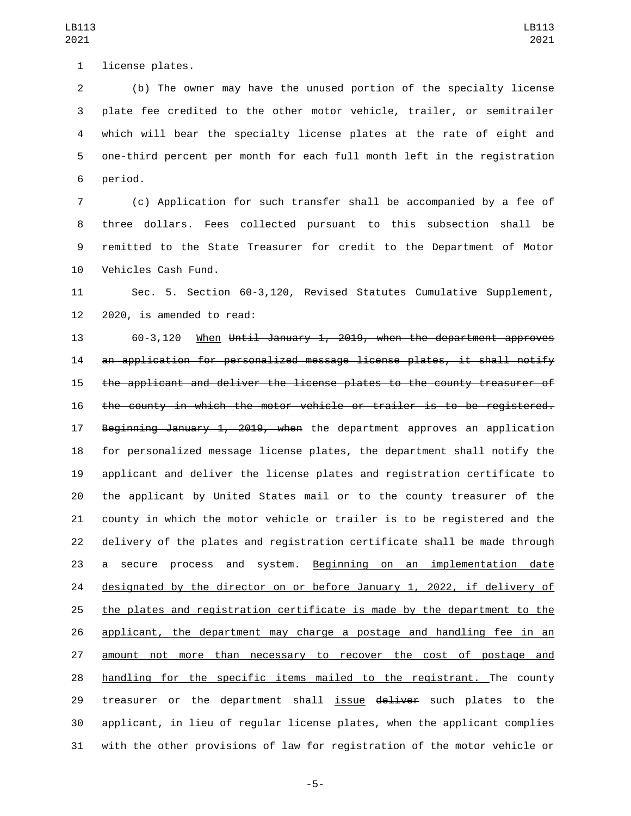1 license plates.

 (b) The owner may have the unused portion of the specialty license plate fee credited to the other motor vehicle, trailer, or semitrailer which will bear the specialty license plates at the rate of eight and one-third percent per month for each full month left in the registration 6 period.

 (c) Application for such transfer shall be accompanied by a fee of three dollars. Fees collected pursuant to this subsection shall be remitted to the State Treasurer for credit to the Department of Motor 10 Vehicles Cash Fund.

 Sec. 5. Section 60-3,120, Revised Statutes Cumulative Supplement, 2020, is amended to read:

 60-3,120 When Until January 1, 2019, when the department approves an application for personalized message license plates, it shall notify the applicant and deliver the license plates to the county treasurer of the county in which the motor vehicle or trailer is to be registered. 17 Beginning January 1, 2019, when the department approves an application for personalized message license plates, the department shall notify the applicant and deliver the license plates and registration certificate to the applicant by United States mail or to the county treasurer of the county in which the motor vehicle or trailer is to be registered and the delivery of the plates and registration certificate shall be made through 23 a secure process and system. Beginning on an implementation date designated by the director on or before January 1, 2022, if delivery of the plates and registration certificate is made by the department to the 26 applicant, the department may charge a postage and handling fee in an amount not more than necessary to recover the cost of postage and handling for the specific items mailed to the registrant. The county 29 treasurer or the department shall issue deliver such plates to the applicant, in lieu of regular license plates, when the applicant complies with the other provisions of law for registration of the motor vehicle or

LB113 

-5-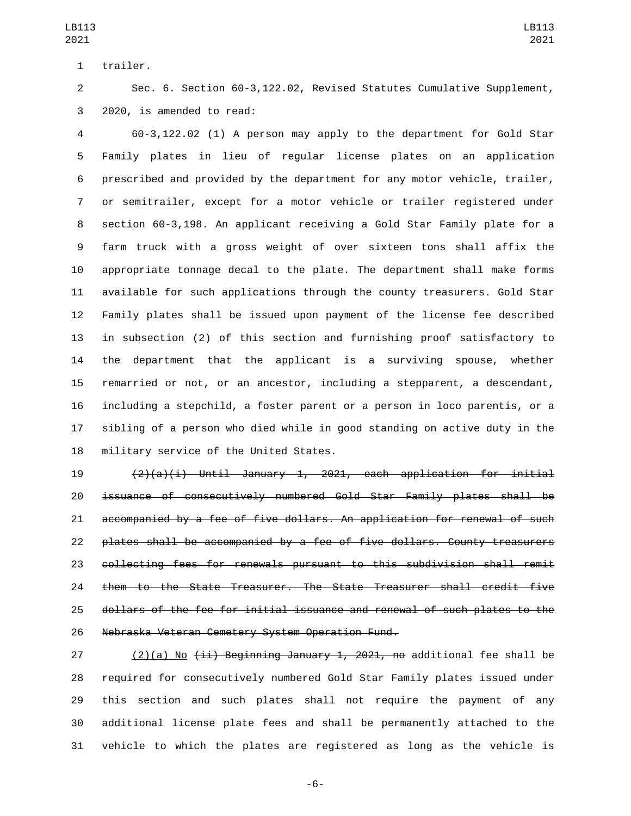1 trailer.

 Sec. 6. Section 60-3,122.02, Revised Statutes Cumulative Supplement, 3 2020, is amended to read:

 60-3,122.02 (1) A person may apply to the department for Gold Star Family plates in lieu of regular license plates on an application prescribed and provided by the department for any motor vehicle, trailer, or semitrailer, except for a motor vehicle or trailer registered under section 60-3,198. An applicant receiving a Gold Star Family plate for a farm truck with a gross weight of over sixteen tons shall affix the appropriate tonnage decal to the plate. The department shall make forms available for such applications through the county treasurers. Gold Star Family plates shall be issued upon payment of the license fee described in subsection (2) of this section and furnishing proof satisfactory to the department that the applicant is a surviving spouse, whether remarried or not, or an ancestor, including a stepparent, a descendant, including a stepchild, a foster parent or a person in loco parentis, or a sibling of a person who died while in good standing on active duty in the 18 military service of the United States.

 $(2)(a)(i)$  Until January 1, 2021, each application for initial issuance of consecutively numbered Gold Star Family plates shall be accompanied by a fee of five dollars. An application for renewal of such plates shall be accompanied by a fee of five dollars. County treasurers collecting fees for renewals pursuant to this subdivision shall remit them to the State Treasurer. The State Treasurer shall credit five dollars of the fee for initial issuance and renewal of such plates to the 26 Nebraska Veteran Cemetery System Operation Fund.

27 (2)(a) No  $\overline{4i}$  Beginning January 1, 2021, no additional fee shall be required for consecutively numbered Gold Star Family plates issued under this section and such plates shall not require the payment of any additional license plate fees and shall be permanently attached to the vehicle to which the plates are registered as long as the vehicle is

-6-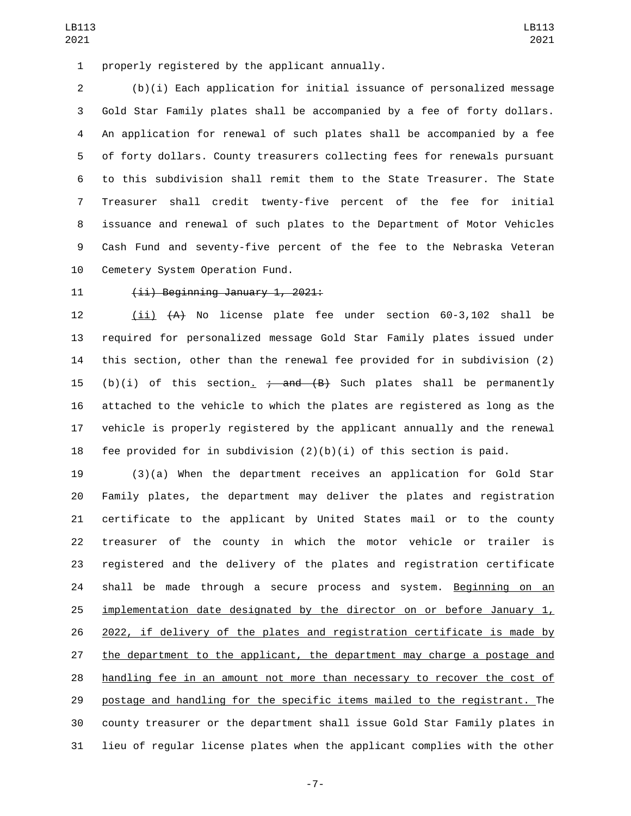1 properly registered by the applicant annually.

 (b)(i) Each application for initial issuance of personalized message Gold Star Family plates shall be accompanied by a fee of forty dollars. An application for renewal of such plates shall be accompanied by a fee of forty dollars. County treasurers collecting fees for renewals pursuant to this subdivision shall remit them to the State Treasurer. The State Treasurer shall credit twenty-five percent of the fee for initial issuance and renewal of such plates to the Department of Motor Vehicles Cash Fund and seventy-five percent of the fee to the Nebraska Veteran 10 Cemetery System Operation Fund.

## $(iii)$  Beginning January 1, 2021:

12 (ii)  $(A)$  No license plate fee under section 60-3,102 shall be required for personalized message Gold Star Family plates issued under this section, other than the renewal fee provided for in subdivision (2) 15 (b)(i) of this section.  $\frac{1}{2}$  and  $(B)$  Such plates shall be permanently attached to the vehicle to which the plates are registered as long as the vehicle is properly registered by the applicant annually and the renewal 18 fee provided for in subdivision  $(2)(b)(i)$  of this section is paid.

 (3)(a) When the department receives an application for Gold Star Family plates, the department may deliver the plates and registration certificate to the applicant by United States mail or to the county treasurer of the county in which the motor vehicle or trailer is registered and the delivery of the plates and registration certificate 24 shall be made through a secure process and system. Beginning on an implementation date designated by the director on or before January 1, 2022, if delivery of the plates and registration certificate is made by the department to the applicant, the department may charge a postage and handling fee in an amount not more than necessary to recover the cost of postage and handling for the specific items mailed to the registrant. The county treasurer or the department shall issue Gold Star Family plates in lieu of regular license plates when the applicant complies with the other

-7-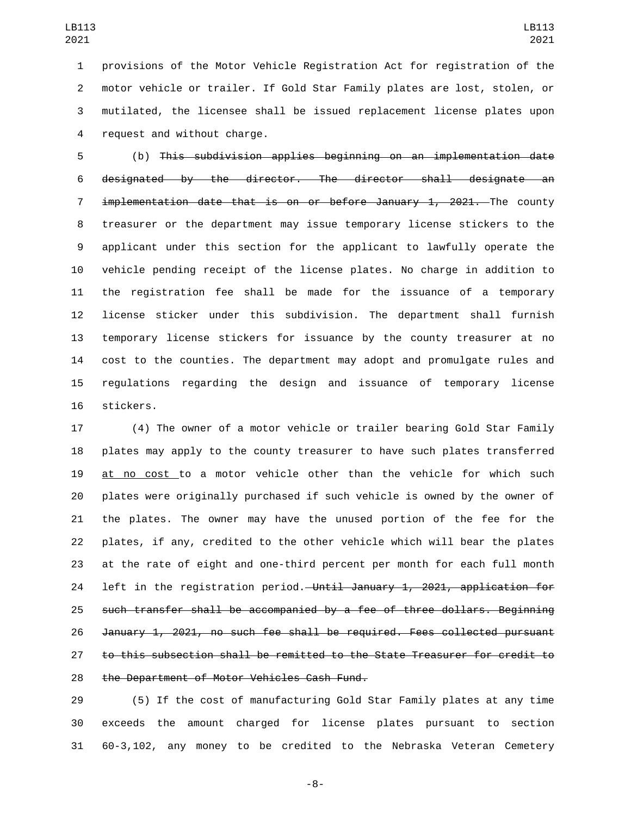provisions of the Motor Vehicle Registration Act for registration of the motor vehicle or trailer. If Gold Star Family plates are lost, stolen, or mutilated, the licensee shall be issued replacement license plates upon 4 request and without charge.

 (b) This subdivision applies beginning on an implementation date designated by the director. The director shall designate an 7 implementation date that is on or before January 1, 2021. The county treasurer or the department may issue temporary license stickers to the applicant under this section for the applicant to lawfully operate the vehicle pending receipt of the license plates. No charge in addition to the registration fee shall be made for the issuance of a temporary license sticker under this subdivision. The department shall furnish temporary license stickers for issuance by the county treasurer at no cost to the counties. The department may adopt and promulgate rules and regulations regarding the design and issuance of temporary license 16 stickers.

 (4) The owner of a motor vehicle or trailer bearing Gold Star Family plates may apply to the county treasurer to have such plates transferred at no cost to a motor vehicle other than the vehicle for which such plates were originally purchased if such vehicle is owned by the owner of the plates. The owner may have the unused portion of the fee for the plates, if any, credited to the other vehicle which will bear the plates at the rate of eight and one-third percent per month for each full month 24 left in the registration period. Until January 1, 2021, application for such transfer shall be accompanied by a fee of three dollars. Beginning January 1, 2021, no such fee shall be required. Fees collected pursuant to this subsection shall be remitted to the State Treasurer for credit to 28 the Department of Motor Vehicles Cash Fund.

 (5) If the cost of manufacturing Gold Star Family plates at any time exceeds the amount charged for license plates pursuant to section 60-3,102, any money to be credited to the Nebraska Veteran Cemetery

-8-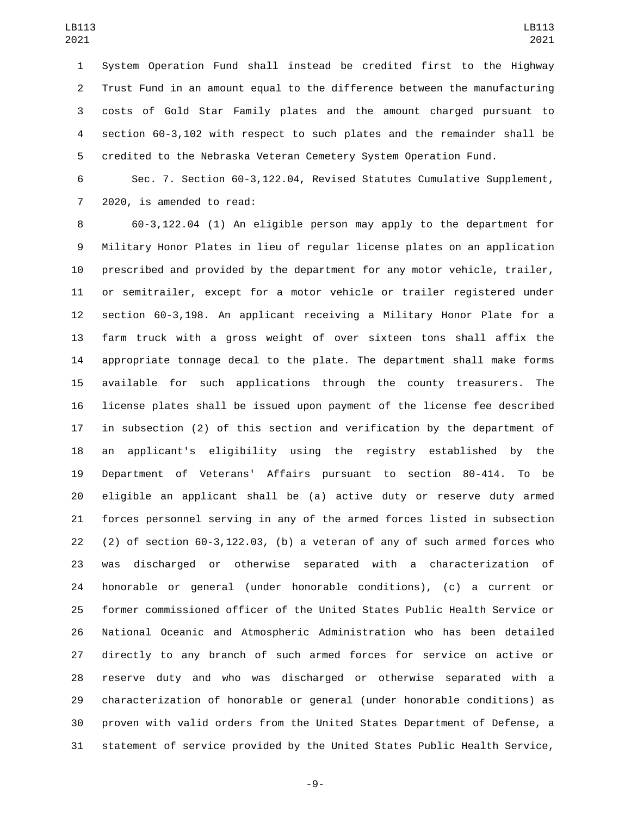System Operation Fund shall instead be credited first to the Highway Trust Fund in an amount equal to the difference between the manufacturing costs of Gold Star Family plates and the amount charged pursuant to section 60-3,102 with respect to such plates and the remainder shall be credited to the Nebraska Veteran Cemetery System Operation Fund.

 Sec. 7. Section 60-3,122.04, Revised Statutes Cumulative Supplement, 7 2020, is amended to read:

 60-3,122.04 (1) An eligible person may apply to the department for Military Honor Plates in lieu of regular license plates on an application prescribed and provided by the department for any motor vehicle, trailer, or semitrailer, except for a motor vehicle or trailer registered under section 60-3,198. An applicant receiving a Military Honor Plate for a farm truck with a gross weight of over sixteen tons shall affix the appropriate tonnage decal to the plate. The department shall make forms available for such applications through the county treasurers. The license plates shall be issued upon payment of the license fee described in subsection (2) of this section and verification by the department of an applicant's eligibility using the registry established by the Department of Veterans' Affairs pursuant to section 80-414. To be eligible an applicant shall be (a) active duty or reserve duty armed forces personnel serving in any of the armed forces listed in subsection (2) of section 60-3,122.03, (b) a veteran of any of such armed forces who was discharged or otherwise separated with a characterization of honorable or general (under honorable conditions), (c) a current or former commissioned officer of the United States Public Health Service or National Oceanic and Atmospheric Administration who has been detailed directly to any branch of such armed forces for service on active or reserve duty and who was discharged or otherwise separated with a characterization of honorable or general (under honorable conditions) as proven with valid orders from the United States Department of Defense, a statement of service provided by the United States Public Health Service,

-9-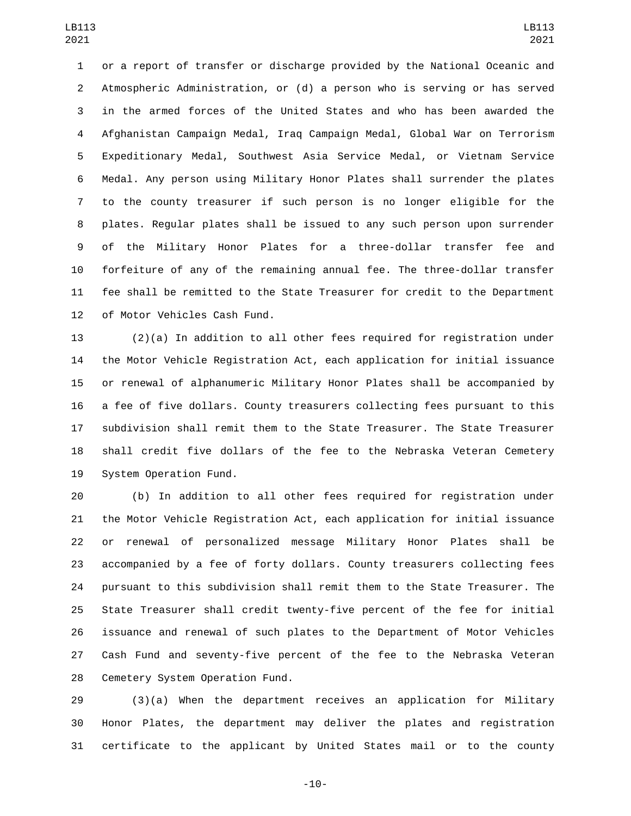or a report of transfer or discharge provided by the National Oceanic and Atmospheric Administration, or (d) a person who is serving or has served in the armed forces of the United States and who has been awarded the Afghanistan Campaign Medal, Iraq Campaign Medal, Global War on Terrorism Expeditionary Medal, Southwest Asia Service Medal, or Vietnam Service Medal. Any person using Military Honor Plates shall surrender the plates to the county treasurer if such person is no longer eligible for the plates. Regular plates shall be issued to any such person upon surrender of the Military Honor Plates for a three-dollar transfer fee and forfeiture of any of the remaining annual fee. The three-dollar transfer fee shall be remitted to the State Treasurer for credit to the Department 12 of Motor Vehicles Cash Fund.

 (2)(a) In addition to all other fees required for registration under the Motor Vehicle Registration Act, each application for initial issuance or renewal of alphanumeric Military Honor Plates shall be accompanied by a fee of five dollars. County treasurers collecting fees pursuant to this subdivision shall remit them to the State Treasurer. The State Treasurer shall credit five dollars of the fee to the Nebraska Veteran Cemetery 19 System Operation Fund.

 (b) In addition to all other fees required for registration under the Motor Vehicle Registration Act, each application for initial issuance or renewal of personalized message Military Honor Plates shall be accompanied by a fee of forty dollars. County treasurers collecting fees pursuant to this subdivision shall remit them to the State Treasurer. The State Treasurer shall credit twenty-five percent of the fee for initial issuance and renewal of such plates to the Department of Motor Vehicles Cash Fund and seventy-five percent of the fee to the Nebraska Veteran 28 Cemetery System Operation Fund.

 (3)(a) When the department receives an application for Military Honor Plates, the department may deliver the plates and registration certificate to the applicant by United States mail or to the county

-10-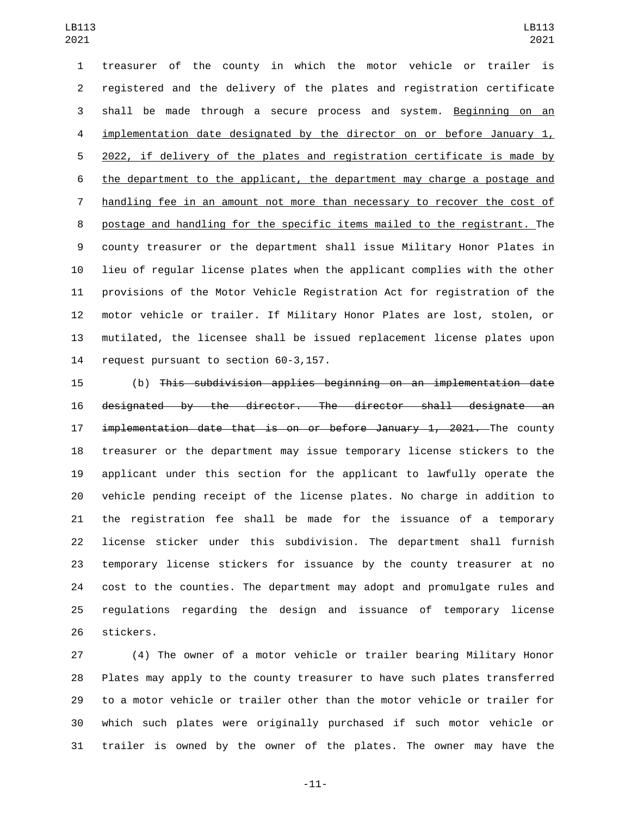treasurer of the county in which the motor vehicle or trailer is registered and the delivery of the plates and registration certificate shall be made through a secure process and system. Beginning on an 4 implementation date designated by the director on or before January 1, 2022, if delivery of the plates and registration certificate is made by the department to the applicant, the department may charge a postage and handling fee in an amount not more than necessary to recover the cost of postage and handling for the specific items mailed to the registrant. The county treasurer or the department shall issue Military Honor Plates in lieu of regular license plates when the applicant complies with the other provisions of the Motor Vehicle Registration Act for registration of the motor vehicle or trailer. If Military Honor Plates are lost, stolen, or mutilated, the licensee shall be issued replacement license plates upon 14 request pursuant to section 60-3,157.

 (b) This subdivision applies beginning on an implementation date designated by the director. The director shall designate an 17 implementation date that is on or before January 1, 2021. The county treasurer or the department may issue temporary license stickers to the applicant under this section for the applicant to lawfully operate the vehicle pending receipt of the license plates. No charge in addition to the registration fee shall be made for the issuance of a temporary license sticker under this subdivision. The department shall furnish temporary license stickers for issuance by the county treasurer at no cost to the counties. The department may adopt and promulgate rules and regulations regarding the design and issuance of temporary license 26 stickers.

 (4) The owner of a motor vehicle or trailer bearing Military Honor Plates may apply to the county treasurer to have such plates transferred to a motor vehicle or trailer other than the motor vehicle or trailer for which such plates were originally purchased if such motor vehicle or trailer is owned by the owner of the plates. The owner may have the

-11-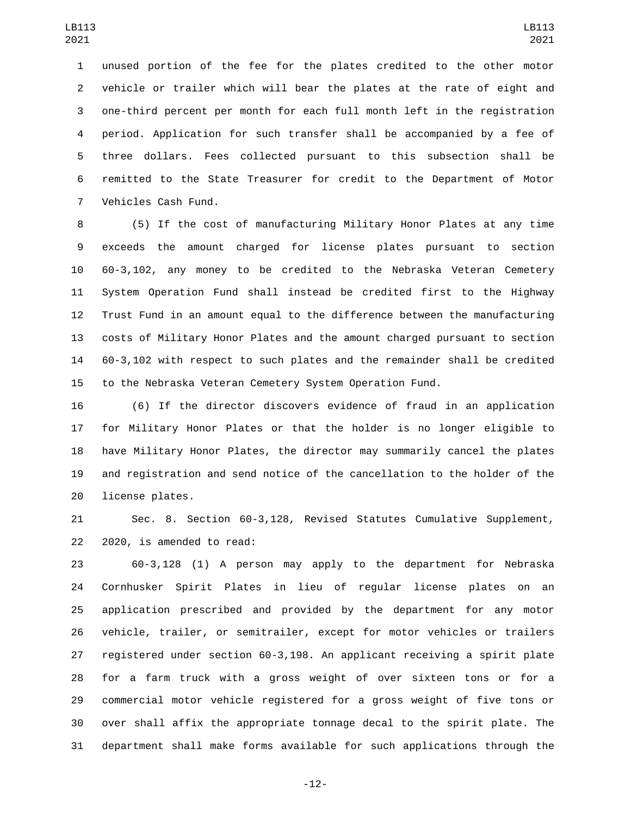unused portion of the fee for the plates credited to the other motor vehicle or trailer which will bear the plates at the rate of eight and one-third percent per month for each full month left in the registration period. Application for such transfer shall be accompanied by a fee of three dollars. Fees collected pursuant to this subsection shall be remitted to the State Treasurer for credit to the Department of Motor Vehicles Cash Fund.7

 (5) If the cost of manufacturing Military Honor Plates at any time exceeds the amount charged for license plates pursuant to section 60-3,102, any money to be credited to the Nebraska Veteran Cemetery System Operation Fund shall instead be credited first to the Highway Trust Fund in an amount equal to the difference between the manufacturing costs of Military Honor Plates and the amount charged pursuant to section 60-3,102 with respect to such plates and the remainder shall be credited to the Nebraska Veteran Cemetery System Operation Fund.

 (6) If the director discovers evidence of fraud in an application for Military Honor Plates or that the holder is no longer eligible to have Military Honor Plates, the director may summarily cancel the plates and registration and send notice of the cancellation to the holder of the 20 license plates.

 Sec. 8. Section 60-3,128, Revised Statutes Cumulative Supplement, 22 2020, is amended to read:

 60-3,128 (1) A person may apply to the department for Nebraska Cornhusker Spirit Plates in lieu of regular license plates on an application prescribed and provided by the department for any motor vehicle, trailer, or semitrailer, except for motor vehicles or trailers registered under section 60-3,198. An applicant receiving a spirit plate for a farm truck with a gross weight of over sixteen tons or for a commercial motor vehicle registered for a gross weight of five tons or over shall affix the appropriate tonnage decal to the spirit plate. The department shall make forms available for such applications through the

-12-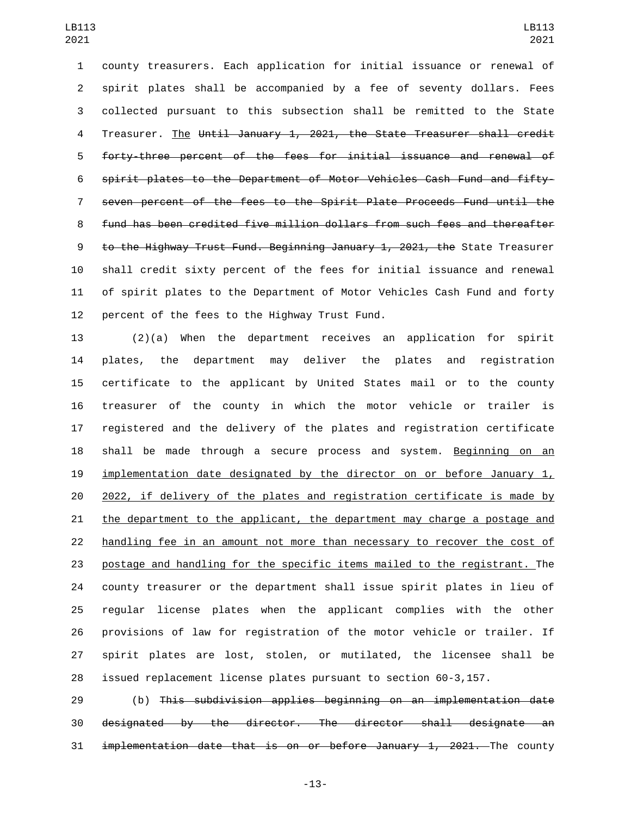county treasurers. Each application for initial issuance or renewal of spirit plates shall be accompanied by a fee of seventy dollars. Fees collected pursuant to this subsection shall be remitted to the State 4 Treasurer. The Until January 1, 2021, the State Treasurer shall credit forty-three percent of the fees for initial issuance and renewal of spirit plates to the Department of Motor Vehicles Cash Fund and fifty- seven percent of the fees to the Spirit Plate Proceeds Fund until the fund has been credited five million dollars from such fees and thereafter to the Highway Trust Fund. Beginning January 1, 2021, the State Treasurer shall credit sixty percent of the fees for initial issuance and renewal of spirit plates to the Department of Motor Vehicles Cash Fund and forty 12 percent of the fees to the Highway Trust Fund.

 (2)(a) When the department receives an application for spirit plates, the department may deliver the plates and registration certificate to the applicant by United States mail or to the county treasurer of the county in which the motor vehicle or trailer is registered and the delivery of the plates and registration certificate 18 shall be made through a secure process and system. Beginning on an 19 implementation date designated by the director on or before January  $1<sub>L</sub>$  2022, if delivery of the plates and registration certificate is made by the department to the applicant, the department may charge a postage and handling fee in an amount not more than necessary to recover the cost of postage and handling for the specific items mailed to the registrant. The county treasurer or the department shall issue spirit plates in lieu of regular license plates when the applicant complies with the other provisions of law for registration of the motor vehicle or trailer. If spirit plates are lost, stolen, or mutilated, the licensee shall be issued replacement license plates pursuant to section 60-3,157.

 (b) This subdivision applies beginning on an implementation date designated by the director. The director shall designate an 31 implementation date that is on or before January 1, 2021. The county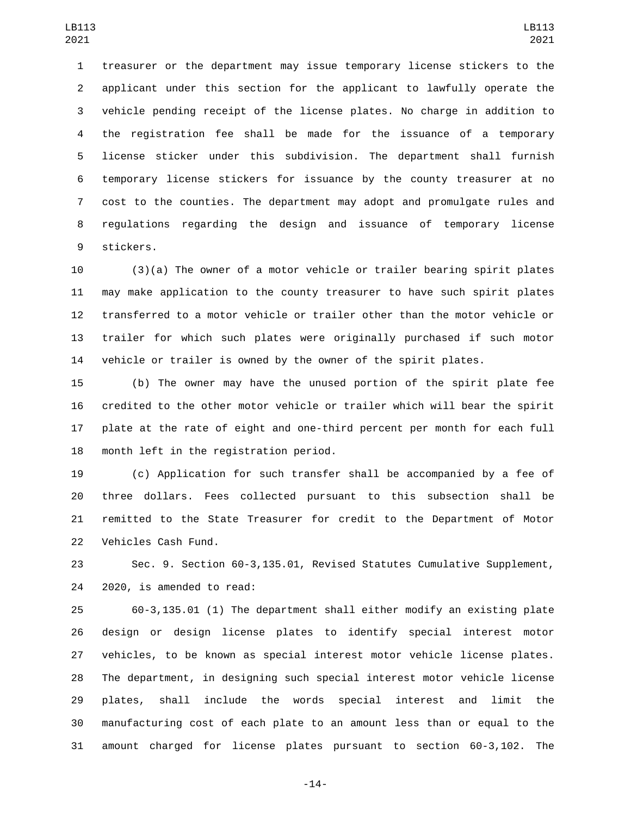treasurer or the department may issue temporary license stickers to the applicant under this section for the applicant to lawfully operate the vehicle pending receipt of the license plates. No charge in addition to the registration fee shall be made for the issuance of a temporary license sticker under this subdivision. The department shall furnish temporary license stickers for issuance by the county treasurer at no cost to the counties. The department may adopt and promulgate rules and regulations regarding the design and issuance of temporary license 9 stickers.

 (3)(a) The owner of a motor vehicle or trailer bearing spirit plates may make application to the county treasurer to have such spirit plates transferred to a motor vehicle or trailer other than the motor vehicle or trailer for which such plates were originally purchased if such motor vehicle or trailer is owned by the owner of the spirit plates.

 (b) The owner may have the unused portion of the spirit plate fee credited to the other motor vehicle or trailer which will bear the spirit plate at the rate of eight and one-third percent per month for each full 18 month left in the registration period.

 (c) Application for such transfer shall be accompanied by a fee of three dollars. Fees collected pursuant to this subsection shall be remitted to the State Treasurer for credit to the Department of Motor 22 Vehicles Cash Fund.

 Sec. 9. Section 60-3,135.01, Revised Statutes Cumulative Supplement, 24 2020, is amended to read:

 60-3,135.01 (1) The department shall either modify an existing plate design or design license plates to identify special interest motor vehicles, to be known as special interest motor vehicle license plates. The department, in designing such special interest motor vehicle license plates, shall include the words special interest and limit the manufacturing cost of each plate to an amount less than or equal to the amount charged for license plates pursuant to section 60-3,102. The

-14-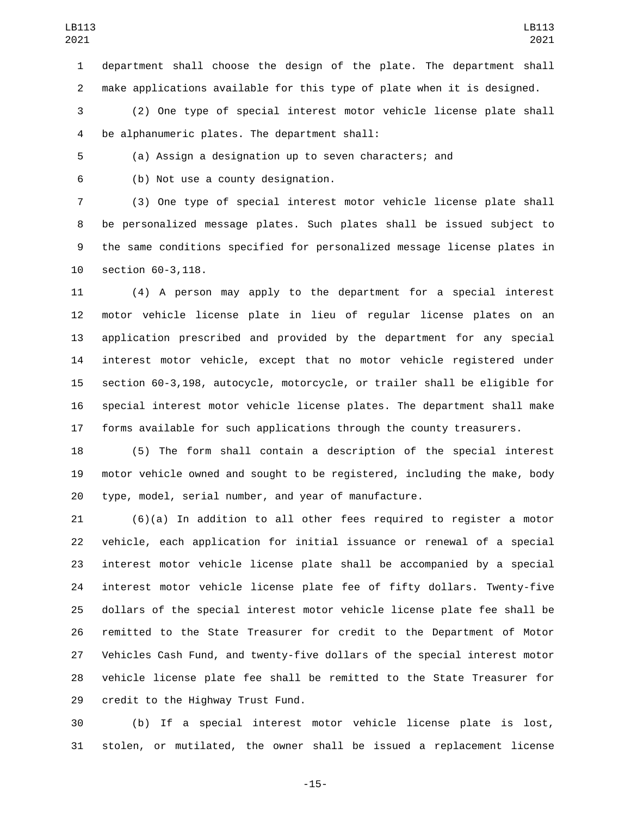department shall choose the design of the plate. The department shall make applications available for this type of plate when it is designed.

 (2) One type of special interest motor vehicle license plate shall be alphanumeric plates. The department shall:4

(a) Assign a designation up to seven characters; and

(b) Not use a county designation.6

 (3) One type of special interest motor vehicle license plate shall be personalized message plates. Such plates shall be issued subject to the same conditions specified for personalized message license plates in 10 section 60-3,118.

 (4) A person may apply to the department for a special interest motor vehicle license plate in lieu of regular license plates on an application prescribed and provided by the department for any special interest motor vehicle, except that no motor vehicle registered under section 60-3,198, autocycle, motorcycle, or trailer shall be eligible for special interest motor vehicle license plates. The department shall make forms available for such applications through the county treasurers.

 (5) The form shall contain a description of the special interest motor vehicle owned and sought to be registered, including the make, body type, model, serial number, and year of manufacture.

 (6)(a) In addition to all other fees required to register a motor vehicle, each application for initial issuance or renewal of a special interest motor vehicle license plate shall be accompanied by a special interest motor vehicle license plate fee of fifty dollars. Twenty-five dollars of the special interest motor vehicle license plate fee shall be remitted to the State Treasurer for credit to the Department of Motor Vehicles Cash Fund, and twenty-five dollars of the special interest motor vehicle license plate fee shall be remitted to the State Treasurer for 29 credit to the Highway Trust Fund.

 (b) If a special interest motor vehicle license plate is lost, stolen, or mutilated, the owner shall be issued a replacement license

-15-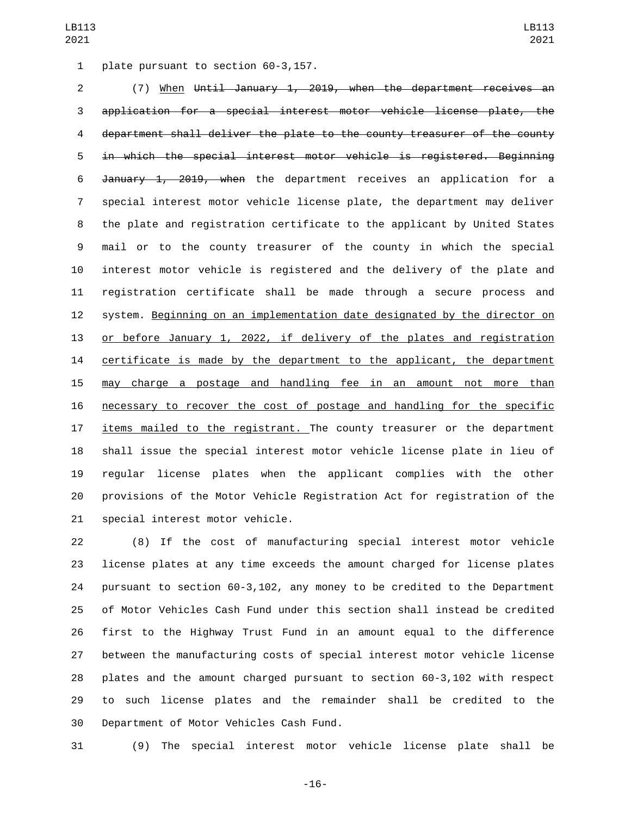1 plate pursuant to section 60-3,157.

 (7) When Until January 1, 2019, when the department receives an application for a special interest motor vehicle license plate, the department shall deliver the plate to the county treasurer of the county in which the special interest motor vehicle is registered. Beginning January 1, 2019, when the department receives an application for a special interest motor vehicle license plate, the department may deliver the plate and registration certificate to the applicant by United States mail or to the county treasurer of the county in which the special interest motor vehicle is registered and the delivery of the plate and registration certificate shall be made through a secure process and system. Beginning on an implementation date designated by the director on or before January 1, 2022, if delivery of the plates and registration 14 certificate is made by the department to the applicant, the department may charge a postage and handling fee in an amount not more than necessary to recover the cost of postage and handling for the specific items mailed to the registrant. The county treasurer or the department shall issue the special interest motor vehicle license plate in lieu of regular license plates when the applicant complies with the other provisions of the Motor Vehicle Registration Act for registration of the 21 special interest motor vehicle.

 (8) If the cost of manufacturing special interest motor vehicle license plates at any time exceeds the amount charged for license plates pursuant to section 60-3,102, any money to be credited to the Department of Motor Vehicles Cash Fund under this section shall instead be credited first to the Highway Trust Fund in an amount equal to the difference between the manufacturing costs of special interest motor vehicle license plates and the amount charged pursuant to section 60-3,102 with respect to such license plates and the remainder shall be credited to the 30 Department of Motor Vehicles Cash Fund.

(9) The special interest motor vehicle license plate shall be

-16-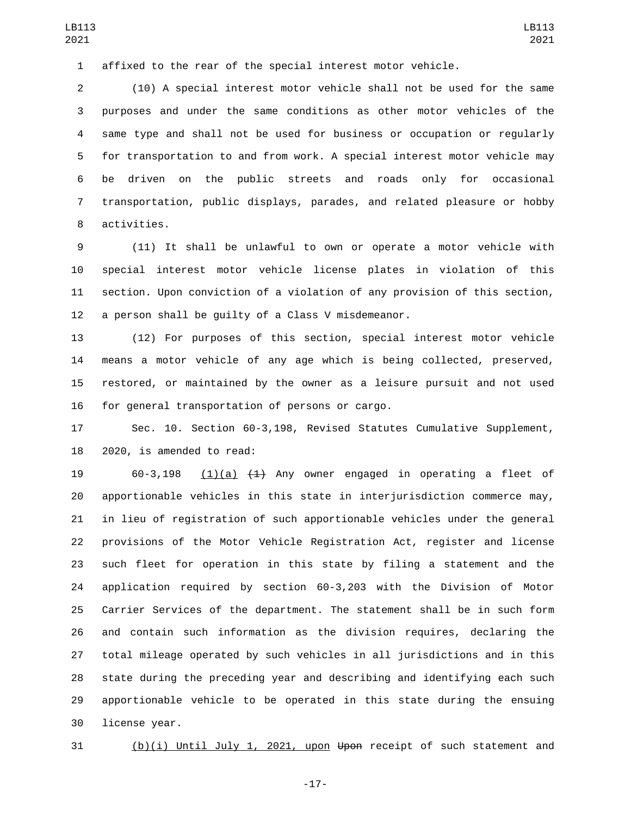affixed to the rear of the special interest motor vehicle.

 (10) A special interest motor vehicle shall not be used for the same purposes and under the same conditions as other motor vehicles of the same type and shall not be used for business or occupation or regularly for transportation to and from work. A special interest motor vehicle may be driven on the public streets and roads only for occasional transportation, public displays, parades, and related pleasure or hobby 8 activities.

 (11) It shall be unlawful to own or operate a motor vehicle with special interest motor vehicle license plates in violation of this section. Upon conviction of a violation of any provision of this section, a person shall be guilty of a Class V misdemeanor.

 (12) For purposes of this section, special interest motor vehicle means a motor vehicle of any age which is being collected, preserved, restored, or maintained by the owner as a leisure pursuit and not used 16 for general transportation of persons or cargo.

 Sec. 10. Section 60-3,198, Revised Statutes Cumulative Supplement, 18 2020, is amended to read:

19 60-3,198  $(1)(a)$   $(1)$  Any owner engaged in operating a fleet of apportionable vehicles in this state in interjurisdiction commerce may, in lieu of registration of such apportionable vehicles under the general provisions of the Motor Vehicle Registration Act, register and license such fleet for operation in this state by filing a statement and the application required by section 60-3,203 with the Division of Motor Carrier Services of the department. The statement shall be in such form and contain such information as the division requires, declaring the total mileage operated by such vehicles in all jurisdictions and in this state during the preceding year and describing and identifying each such apportionable vehicle to be operated in this state during the ensuing 30 license year.

(b)(i) Until July 1, 2021, upon Upon receipt of such statement and

-17-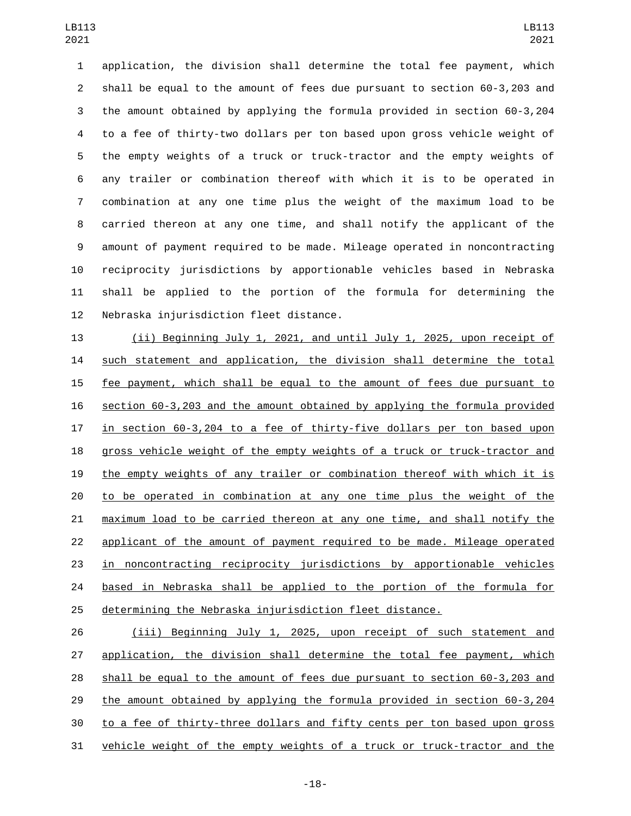application, the division shall determine the total fee payment, which shall be equal to the amount of fees due pursuant to section 60-3,203 and the amount obtained by applying the formula provided in section 60-3,204 to a fee of thirty-two dollars per ton based upon gross vehicle weight of the empty weights of a truck or truck-tractor and the empty weights of any trailer or combination thereof with which it is to be operated in combination at any one time plus the weight of the maximum load to be carried thereon at any one time, and shall notify the applicant of the amount of payment required to be made. Mileage operated in noncontracting reciprocity jurisdictions by apportionable vehicles based in Nebraska shall be applied to the portion of the formula for determining the 12 Nebraska injurisdiction fleet distance.

 (ii) Beginning July 1, 2021, and until July 1, 2025, upon receipt of such statement and application, the division shall determine the total fee payment, which shall be equal to the amount of fees due pursuant to section 60-3,203 and the amount obtained by applying the formula provided in section 60-3,204 to a fee of thirty-five dollars per ton based upon gross vehicle weight of the empty weights of a truck or truck-tractor and the empty weights of any trailer or combination thereof with which it is to be operated in combination at any one time plus the weight of the maximum load to be carried thereon at any one time, and shall notify the applicant of the amount of payment required to be made. Mileage operated in noncontracting reciprocity jurisdictions by apportionable vehicles based in Nebraska shall be applied to the portion of the formula for determining the Nebraska injurisdiction fleet distance.

 (iii) Beginning July 1, 2025, upon receipt of such statement and application, the division shall determine the total fee payment, which shall be equal to the amount of fees due pursuant to section 60-3,203 and the amount obtained by applying the formula provided in section 60-3,204 to a fee of thirty-three dollars and fifty cents per ton based upon gross vehicle weight of the empty weights of a truck or truck-tractor and the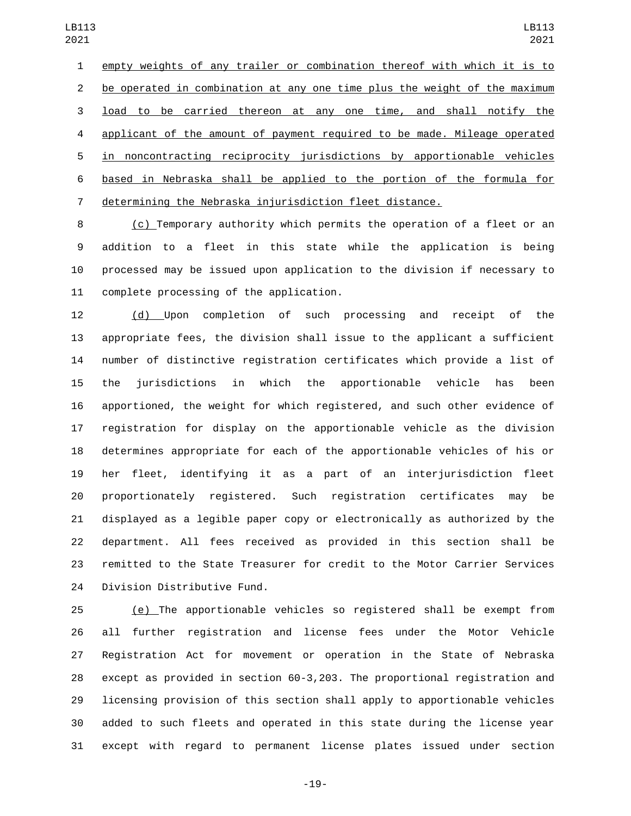empty weights of any trailer or combination thereof with which it is to be operated in combination at any one time plus the weight of the maximum load to be carried thereon at any one time, and shall notify the applicant of the amount of payment required to be made. Mileage operated in noncontracting reciprocity jurisdictions by apportionable vehicles based in Nebraska shall be applied to the portion of the formula for determining the Nebraska injurisdiction fleet distance.

 (c) Temporary authority which permits the operation of a fleet or an addition to a fleet in this state while the application is being processed may be issued upon application to the division if necessary to 11 complete processing of the application.

 (d) Upon completion of such processing and receipt of the appropriate fees, the division shall issue to the applicant a sufficient number of distinctive registration certificates which provide a list of the jurisdictions in which the apportionable vehicle has been apportioned, the weight for which registered, and such other evidence of registration for display on the apportionable vehicle as the division determines appropriate for each of the apportionable vehicles of his or her fleet, identifying it as a part of an interjurisdiction fleet proportionately registered. Such registration certificates may be displayed as a legible paper copy or electronically as authorized by the department. All fees received as provided in this section shall be remitted to the State Treasurer for credit to the Motor Carrier Services 24 Division Distributive Fund.

25 (e) The apportionable vehicles so registered shall be exempt from all further registration and license fees under the Motor Vehicle Registration Act for movement or operation in the State of Nebraska except as provided in section 60-3,203. The proportional registration and licensing provision of this section shall apply to apportionable vehicles added to such fleets and operated in this state during the license year except with regard to permanent license plates issued under section

-19-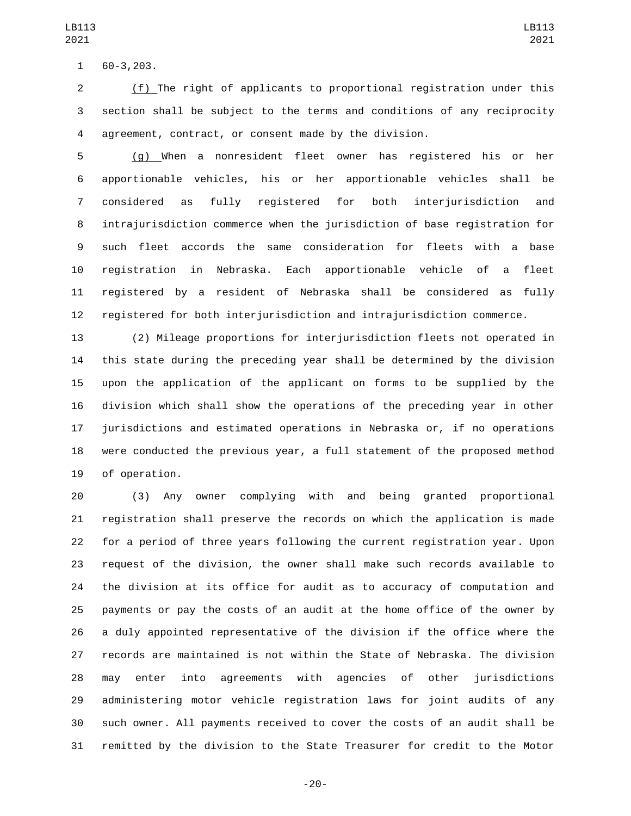60-3,203.1

 (f) The right of applicants to proportional registration under this section shall be subject to the terms and conditions of any reciprocity agreement, contract, or consent made by the division.

 (g) When a nonresident fleet owner has registered his or her apportionable vehicles, his or her apportionable vehicles shall be considered as fully registered for both interjurisdiction and intrajurisdiction commerce when the jurisdiction of base registration for such fleet accords the same consideration for fleets with a base registration in Nebraska. Each apportionable vehicle of a fleet registered by a resident of Nebraska shall be considered as fully registered for both interjurisdiction and intrajurisdiction commerce.

 (2) Mileage proportions for interjurisdiction fleets not operated in this state during the preceding year shall be determined by the division upon the application of the applicant on forms to be supplied by the division which shall show the operations of the preceding year in other jurisdictions and estimated operations in Nebraska or, if no operations were conducted the previous year, a full statement of the proposed method 19 of operation.

 (3) Any owner complying with and being granted proportional registration shall preserve the records on which the application is made for a period of three years following the current registration year. Upon request of the division, the owner shall make such records available to the division at its office for audit as to accuracy of computation and payments or pay the costs of an audit at the home office of the owner by a duly appointed representative of the division if the office where the records are maintained is not within the State of Nebraska. The division may enter into agreements with agencies of other jurisdictions administering motor vehicle registration laws for joint audits of any such owner. All payments received to cover the costs of an audit shall be remitted by the division to the State Treasurer for credit to the Motor

-20-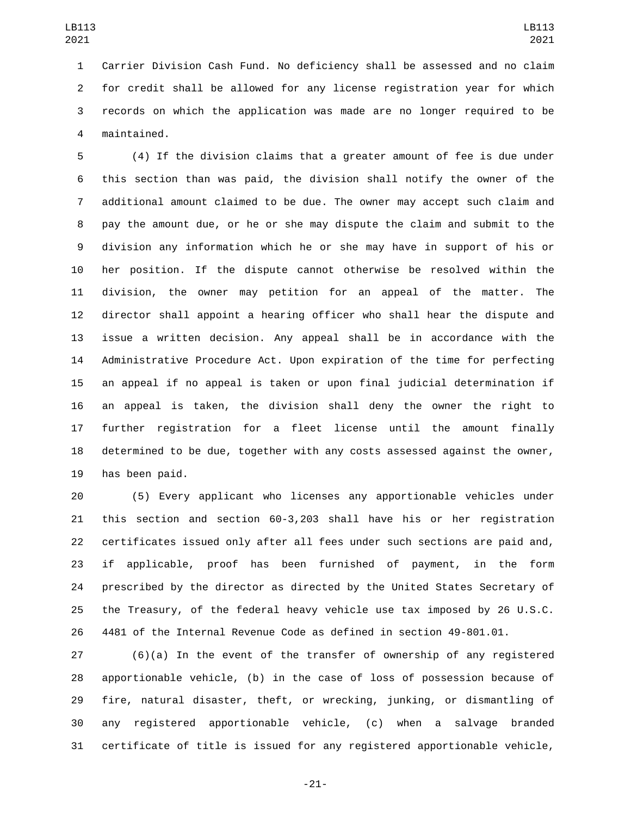Carrier Division Cash Fund. No deficiency shall be assessed and no claim for credit shall be allowed for any license registration year for which records on which the application was made are no longer required to be maintained.4

 (4) If the division claims that a greater amount of fee is due under this section than was paid, the division shall notify the owner of the additional amount claimed to be due. The owner may accept such claim and pay the amount due, or he or she may dispute the claim and submit to the division any information which he or she may have in support of his or her position. If the dispute cannot otherwise be resolved within the division, the owner may petition for an appeal of the matter. The director shall appoint a hearing officer who shall hear the dispute and issue a written decision. Any appeal shall be in accordance with the Administrative Procedure Act. Upon expiration of the time for perfecting an appeal if no appeal is taken or upon final judicial determination if an appeal is taken, the division shall deny the owner the right to further registration for a fleet license until the amount finally determined to be due, together with any costs assessed against the owner, 19 has been paid.

 (5) Every applicant who licenses any apportionable vehicles under this section and section 60-3,203 shall have his or her registration certificates issued only after all fees under such sections are paid and, if applicable, proof has been furnished of payment, in the form prescribed by the director as directed by the United States Secretary of the Treasury, of the federal heavy vehicle use tax imposed by 26 U.S.C. 4481 of the Internal Revenue Code as defined in section 49-801.01.

 (6)(a) In the event of the transfer of ownership of any registered apportionable vehicle, (b) in the case of loss of possession because of fire, natural disaster, theft, or wrecking, junking, or dismantling of any registered apportionable vehicle, (c) when a salvage branded certificate of title is issued for any registered apportionable vehicle,

-21-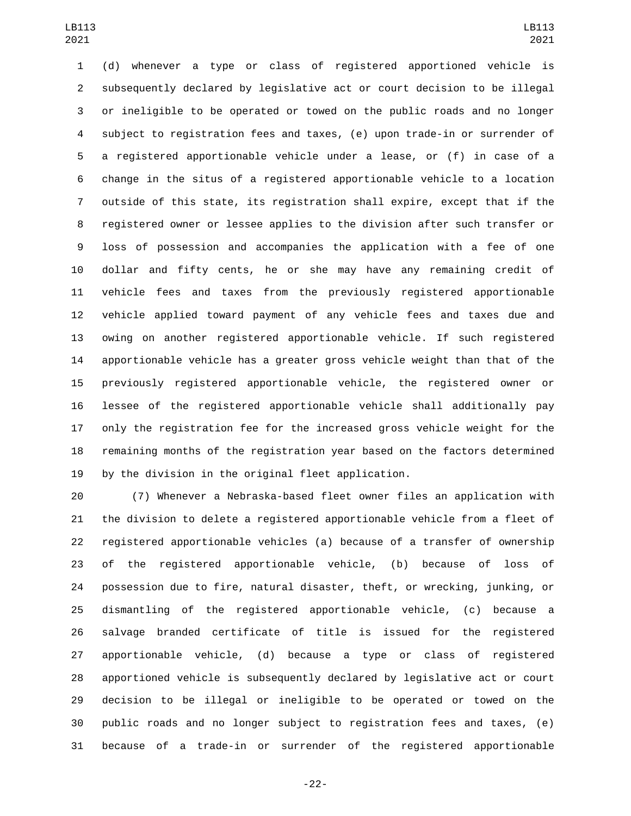(d) whenever a type or class of registered apportioned vehicle is subsequently declared by legislative act or court decision to be illegal or ineligible to be operated or towed on the public roads and no longer subject to registration fees and taxes, (e) upon trade-in or surrender of a registered apportionable vehicle under a lease, or (f) in case of a change in the situs of a registered apportionable vehicle to a location outside of this state, its registration shall expire, except that if the registered owner or lessee applies to the division after such transfer or loss of possession and accompanies the application with a fee of one dollar and fifty cents, he or she may have any remaining credit of vehicle fees and taxes from the previously registered apportionable vehicle applied toward payment of any vehicle fees and taxes due and owing on another registered apportionable vehicle. If such registered apportionable vehicle has a greater gross vehicle weight than that of the previously registered apportionable vehicle, the registered owner or lessee of the registered apportionable vehicle shall additionally pay only the registration fee for the increased gross vehicle weight for the remaining months of the registration year based on the factors determined by the division in the original fleet application.

 (7) Whenever a Nebraska-based fleet owner files an application with the division to delete a registered apportionable vehicle from a fleet of registered apportionable vehicles (a) because of a transfer of ownership of the registered apportionable vehicle, (b) because of loss of possession due to fire, natural disaster, theft, or wrecking, junking, or dismantling of the registered apportionable vehicle, (c) because a salvage branded certificate of title is issued for the registered apportionable vehicle, (d) because a type or class of registered apportioned vehicle is subsequently declared by legislative act or court decision to be illegal or ineligible to be operated or towed on the public roads and no longer subject to registration fees and taxes, (e) because of a trade-in or surrender of the registered apportionable

-22-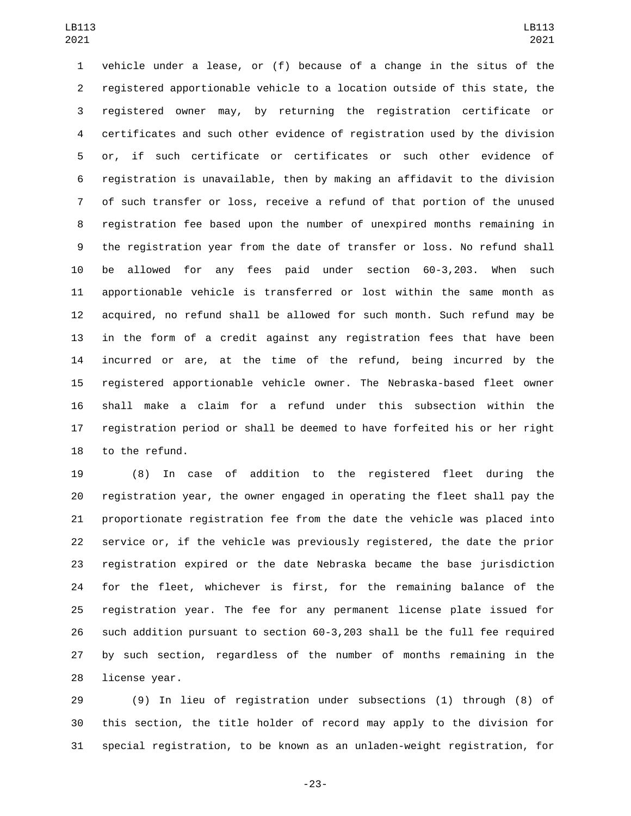vehicle under a lease, or (f) because of a change in the situs of the registered apportionable vehicle to a location outside of this state, the registered owner may, by returning the registration certificate or certificates and such other evidence of registration used by the division or, if such certificate or certificates or such other evidence of registration is unavailable, then by making an affidavit to the division of such transfer or loss, receive a refund of that portion of the unused registration fee based upon the number of unexpired months remaining in the registration year from the date of transfer or loss. No refund shall be allowed for any fees paid under section 60-3,203. When such apportionable vehicle is transferred or lost within the same month as acquired, no refund shall be allowed for such month. Such refund may be in the form of a credit against any registration fees that have been incurred or are, at the time of the refund, being incurred by the registered apportionable vehicle owner. The Nebraska-based fleet owner shall make a claim for a refund under this subsection within the registration period or shall be deemed to have forfeited his or her right 18 to the refund.

 (8) In case of addition to the registered fleet during the registration year, the owner engaged in operating the fleet shall pay the proportionate registration fee from the date the vehicle was placed into service or, if the vehicle was previously registered, the date the prior registration expired or the date Nebraska became the base jurisdiction for the fleet, whichever is first, for the remaining balance of the registration year. The fee for any permanent license plate issued for such addition pursuant to section 60-3,203 shall be the full fee required by such section, regardless of the number of months remaining in the 28 license year.

 (9) In lieu of registration under subsections (1) through (8) of this section, the title holder of record may apply to the division for special registration, to be known as an unladen-weight registration, for

-23-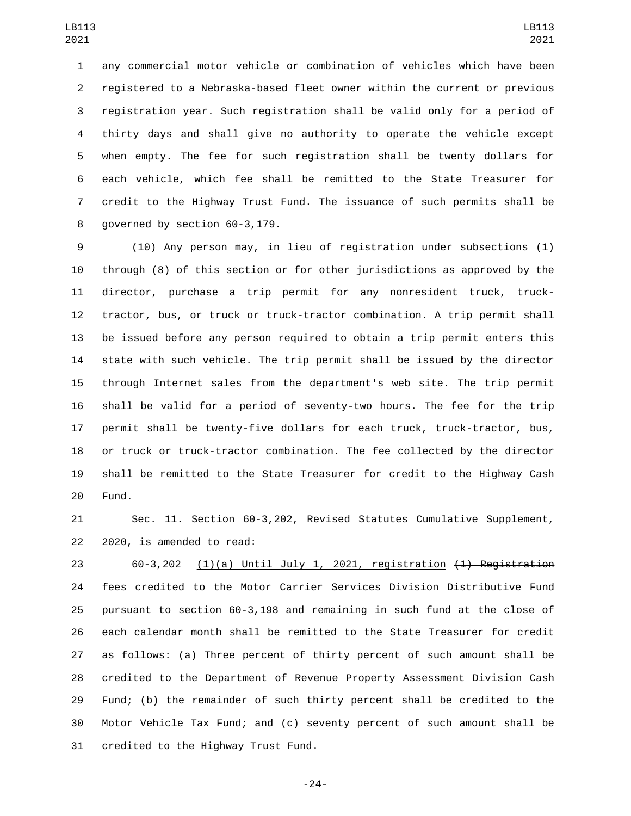any commercial motor vehicle or combination of vehicles which have been registered to a Nebraska-based fleet owner within the current or previous registration year. Such registration shall be valid only for a period of thirty days and shall give no authority to operate the vehicle except when empty. The fee for such registration shall be twenty dollars for each vehicle, which fee shall be remitted to the State Treasurer for credit to the Highway Trust Fund. The issuance of such permits shall be 8 governed by section 60-3,179.

 (10) Any person may, in lieu of registration under subsections (1) through (8) of this section or for other jurisdictions as approved by the director, purchase a trip permit for any nonresident truck, truck- tractor, bus, or truck or truck-tractor combination. A trip permit shall be issued before any person required to obtain a trip permit enters this state with such vehicle. The trip permit shall be issued by the director through Internet sales from the department's web site. The trip permit shall be valid for a period of seventy-two hours. The fee for the trip permit shall be twenty-five dollars for each truck, truck-tractor, bus, or truck or truck-tractor combination. The fee collected by the director shall be remitted to the State Treasurer for credit to the Highway Cash 20 Fund.

 Sec. 11. Section 60-3,202, Revised Statutes Cumulative Supplement, 22 2020, is amended to read:

 60-3,202 (1)(a) Until July 1, 2021, registration (1) Registration fees credited to the Motor Carrier Services Division Distributive Fund pursuant to section 60-3,198 and remaining in such fund at the close of each calendar month shall be remitted to the State Treasurer for credit as follows: (a) Three percent of thirty percent of such amount shall be credited to the Department of Revenue Property Assessment Division Cash Fund; (b) the remainder of such thirty percent shall be credited to the Motor Vehicle Tax Fund; and (c) seventy percent of such amount shall be 31 credited to the Highway Trust Fund.

-24-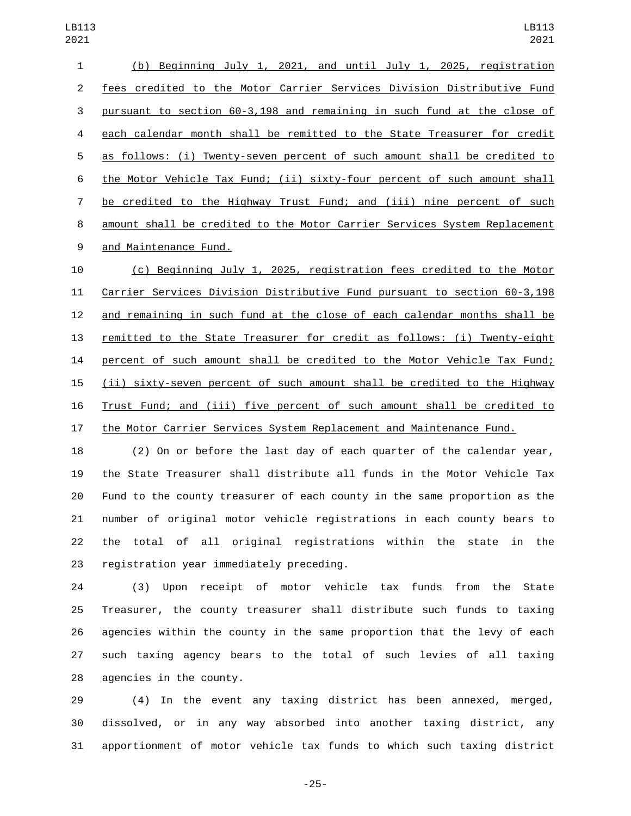(b) Beginning July 1, 2021, and until July 1, 2025, registration fees credited to the Motor Carrier Services Division Distributive Fund pursuant to section 60-3,198 and remaining in such fund at the close of each calendar month shall be remitted to the State Treasurer for credit as follows: (i) Twenty-seven percent of such amount shall be credited to the Motor Vehicle Tax Fund; (ii) sixty-four percent of such amount shall be credited to the Highway Trust Fund; and (iii) nine percent of such amount shall be credited to the Motor Carrier Services System Replacement 9 and Maintenance Fund.

 (c) Beginning July 1, 2025, registration fees credited to the Motor Carrier Services Division Distributive Fund pursuant to section 60-3,198 and remaining in such fund at the close of each calendar months shall be remitted to the State Treasurer for credit as follows: (i) Twenty-eight percent of such amount shall be credited to the Motor Vehicle Tax Fund; (ii) sixty-seven percent of such amount shall be credited to the Highway Trust Fund; and (iii) five percent of such amount shall be credited to the Motor Carrier Services System Replacement and Maintenance Fund.

 (2) On or before the last day of each quarter of the calendar year, the State Treasurer shall distribute all funds in the Motor Vehicle Tax Fund to the county treasurer of each county in the same proportion as the number of original motor vehicle registrations in each county bears to the total of all original registrations within the state in the 23 registration year immediately preceding.

 (3) Upon receipt of motor vehicle tax funds from the State Treasurer, the county treasurer shall distribute such funds to taxing agencies within the county in the same proportion that the levy of each such taxing agency bears to the total of such levies of all taxing 28 agencies in the county.

 (4) In the event any taxing district has been annexed, merged, dissolved, or in any way absorbed into another taxing district, any apportionment of motor vehicle tax funds to which such taxing district

-25-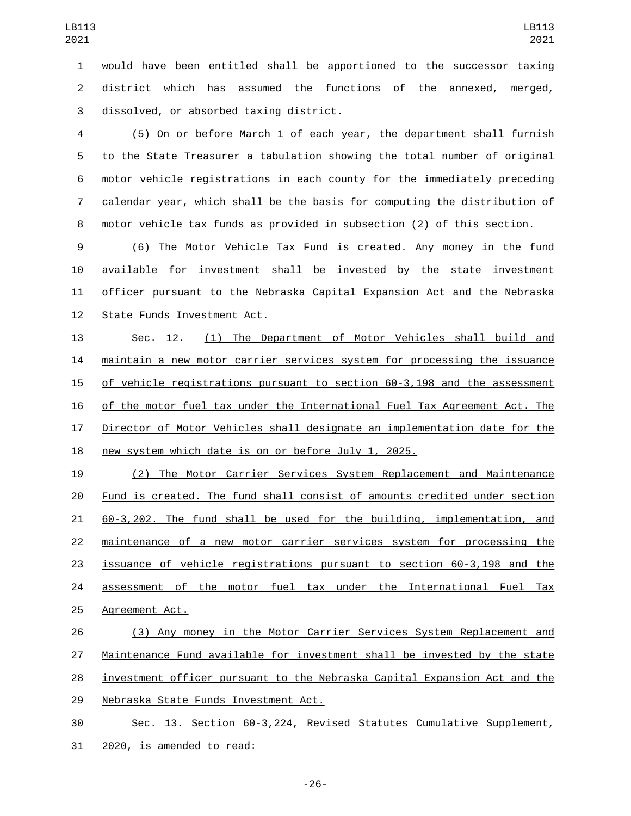would have been entitled shall be apportioned to the successor taxing district which has assumed the functions of the annexed, merged, 3 dissolved, or absorbed taxing district.

 (5) On or before March 1 of each year, the department shall furnish to the State Treasurer a tabulation showing the total number of original motor vehicle registrations in each county for the immediately preceding calendar year, which shall be the basis for computing the distribution of motor vehicle tax funds as provided in subsection (2) of this section.

 (6) The Motor Vehicle Tax Fund is created. Any money in the fund available for investment shall be invested by the state investment officer pursuant to the Nebraska Capital Expansion Act and the Nebraska 12 State Funds Investment Act.

 Sec. 12. (1) The Department of Motor Vehicles shall build and maintain a new motor carrier services system for processing the issuance of vehicle registrations pursuant to section 60-3,198 and the assessment of the motor fuel tax under the International Fuel Tax Agreement Act. The Director of Motor Vehicles shall designate an implementation date for the new system which date is on or before July 1, 2025.

 (2) The Motor Carrier Services System Replacement and Maintenance Fund is created. The fund shall consist of amounts credited under section 60-3,202. The fund shall be used for the building, implementation, and maintenance of a new motor carrier services system for processing the issuance of vehicle registrations pursuant to section 60-3,198 and the 24 assessment of the motor fuel tax under the International Fuel Tax 25 Agreement Act.

 (3) Any money in the Motor Carrier Services System Replacement and Maintenance Fund available for investment shall be invested by the state investment officer pursuant to the Nebraska Capital Expansion Act and the 29 Nebraska State Funds Investment Act.

 Sec. 13. Section 60-3,224, Revised Statutes Cumulative Supplement, 31 2020, is amended to read:

-26-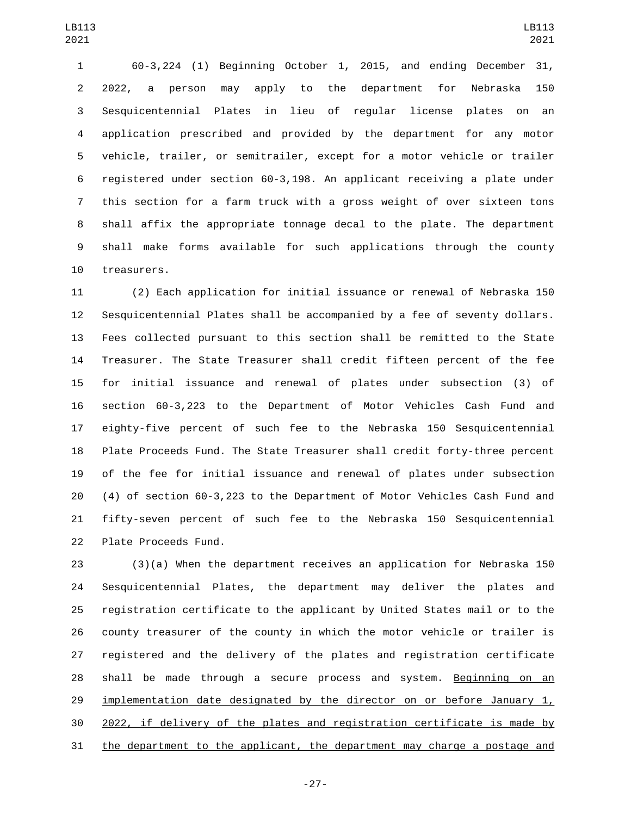60-3,224 (1) Beginning October 1, 2015, and ending December 31, 2022, a person may apply to the department for Nebraska 150 Sesquicentennial Plates in lieu of regular license plates on an application prescribed and provided by the department for any motor vehicle, trailer, or semitrailer, except for a motor vehicle or trailer registered under section 60-3,198. An applicant receiving a plate under this section for a farm truck with a gross weight of over sixteen tons shall affix the appropriate tonnage decal to the plate. The department shall make forms available for such applications through the county 10 treasurers.

 (2) Each application for initial issuance or renewal of Nebraska 150 Sesquicentennial Plates shall be accompanied by a fee of seventy dollars. Fees collected pursuant to this section shall be remitted to the State Treasurer. The State Treasurer shall credit fifteen percent of the fee for initial issuance and renewal of plates under subsection (3) of section 60-3,223 to the Department of Motor Vehicles Cash Fund and eighty-five percent of such fee to the Nebraska 150 Sesquicentennial Plate Proceeds Fund. The State Treasurer shall credit forty-three percent of the fee for initial issuance and renewal of plates under subsection (4) of section 60-3,223 to the Department of Motor Vehicles Cash Fund and fifty-seven percent of such fee to the Nebraska 150 Sesquicentennial 22 Plate Proceeds Fund.

 (3)(a) When the department receives an application for Nebraska 150 Sesquicentennial Plates, the department may deliver the plates and registration certificate to the applicant by United States mail or to the county treasurer of the county in which the motor vehicle or trailer is registered and the delivery of the plates and registration certificate shall be made through a secure process and system. Beginning on an 29 implementation date designated by the director on or before January 1, 2022, if delivery of the plates and registration certificate is made by 31 the department to the applicant, the department may charge a postage and

-27-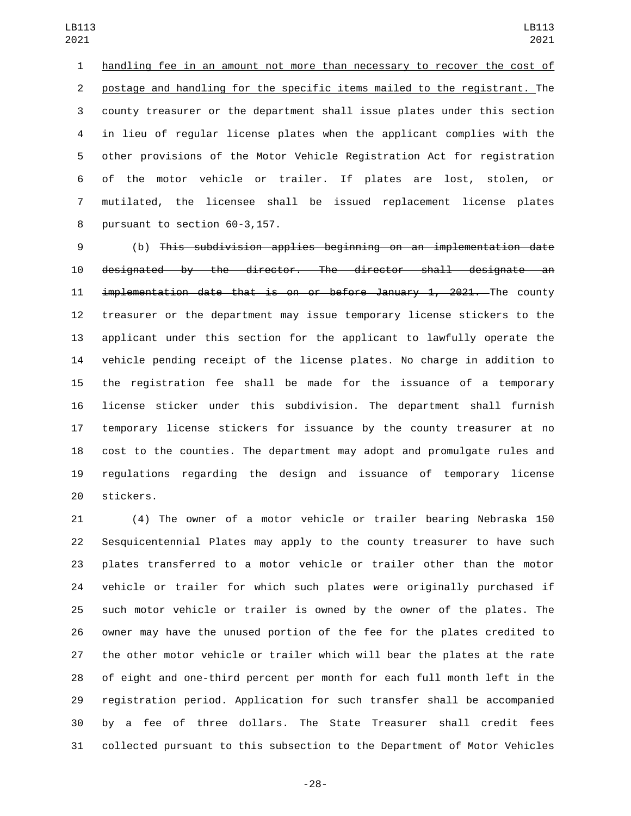handling fee in an amount not more than necessary to recover the cost of postage and handling for the specific items mailed to the registrant. The county treasurer or the department shall issue plates under this section in lieu of regular license plates when the applicant complies with the other provisions of the Motor Vehicle Registration Act for registration of the motor vehicle or trailer. If plates are lost, stolen, or mutilated, the licensee shall be issued replacement license plates 8 pursuant to section 60-3,157.

 (b) This subdivision applies beginning on an implementation date designated by the director. The director shall designate an 11 implementation date that is on or before January 1, 2021. The county treasurer or the department may issue temporary license stickers to the applicant under this section for the applicant to lawfully operate the vehicle pending receipt of the license plates. No charge in addition to the registration fee shall be made for the issuance of a temporary license sticker under this subdivision. The department shall furnish temporary license stickers for issuance by the county treasurer at no cost to the counties. The department may adopt and promulgate rules and regulations regarding the design and issuance of temporary license 20 stickers.

 (4) The owner of a motor vehicle or trailer bearing Nebraska 150 Sesquicentennial Plates may apply to the county treasurer to have such plates transferred to a motor vehicle or trailer other than the motor vehicle or trailer for which such plates were originally purchased if such motor vehicle or trailer is owned by the owner of the plates. The owner may have the unused portion of the fee for the plates credited to the other motor vehicle or trailer which will bear the plates at the rate of eight and one-third percent per month for each full month left in the registration period. Application for such transfer shall be accompanied by a fee of three dollars. The State Treasurer shall credit fees collected pursuant to this subsection to the Department of Motor Vehicles

-28-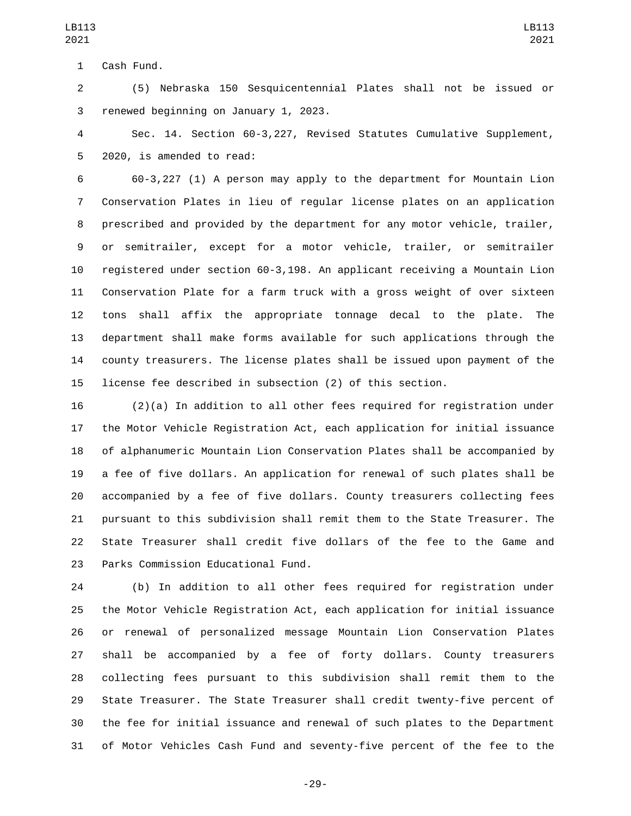1 Cash Fund.

 (5) Nebraska 150 Sesquicentennial Plates shall not be issued or 3 renewed beginning on January 1, 2023.

 Sec. 14. Section 60-3,227, Revised Statutes Cumulative Supplement, 5 2020, is amended to read:

 60-3,227 (1) A person may apply to the department for Mountain Lion Conservation Plates in lieu of regular license plates on an application prescribed and provided by the department for any motor vehicle, trailer, or semitrailer, except for a motor vehicle, trailer, or semitrailer registered under section 60-3,198. An applicant receiving a Mountain Lion Conservation Plate for a farm truck with a gross weight of over sixteen tons shall affix the appropriate tonnage decal to the plate. The department shall make forms available for such applications through the county treasurers. The license plates shall be issued upon payment of the license fee described in subsection (2) of this section.

 (2)(a) In addition to all other fees required for registration under the Motor Vehicle Registration Act, each application for initial issuance of alphanumeric Mountain Lion Conservation Plates shall be accompanied by a fee of five dollars. An application for renewal of such plates shall be accompanied by a fee of five dollars. County treasurers collecting fees pursuant to this subdivision shall remit them to the State Treasurer. The State Treasurer shall credit five dollars of the fee to the Game and 23 Parks Commission Educational Fund.

 (b) In addition to all other fees required for registration under the Motor Vehicle Registration Act, each application for initial issuance or renewal of personalized message Mountain Lion Conservation Plates shall be accompanied by a fee of forty dollars. County treasurers collecting fees pursuant to this subdivision shall remit them to the State Treasurer. The State Treasurer shall credit twenty-five percent of the fee for initial issuance and renewal of such plates to the Department of Motor Vehicles Cash Fund and seventy-five percent of the fee to the

-29-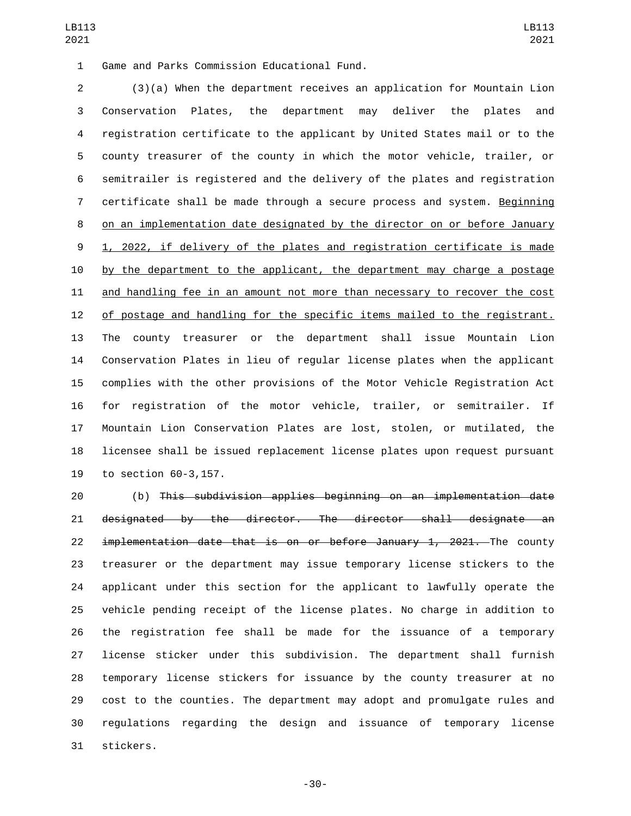Game and Parks Commission Educational Fund.1

 (3)(a) When the department receives an application for Mountain Lion Conservation Plates, the department may deliver the plates and registration certificate to the applicant by United States mail or to the county treasurer of the county in which the motor vehicle, trailer, or semitrailer is registered and the delivery of the plates and registration certificate shall be made through a secure process and system. Beginning on an implementation date designated by the director on or before January 1, 2022, if delivery of the plates and registration certificate is made by the department to the applicant, the department may charge a postage and handling fee in an amount not more than necessary to recover the cost of postage and handling for the specific items mailed to the registrant. The county treasurer or the department shall issue Mountain Lion Conservation Plates in lieu of regular license plates when the applicant complies with the other provisions of the Motor Vehicle Registration Act for registration of the motor vehicle, trailer, or semitrailer. If Mountain Lion Conservation Plates are lost, stolen, or mutilated, the licensee shall be issued replacement license plates upon request pursuant 19 to section 60-3,157.

 (b) This subdivision applies beginning on an implementation date designated by the director. The director shall designate an 22 implementation date that is on or before January 1, 2021. The county treasurer or the department may issue temporary license stickers to the applicant under this section for the applicant to lawfully operate the vehicle pending receipt of the license plates. No charge in addition to the registration fee shall be made for the issuance of a temporary license sticker under this subdivision. The department shall furnish temporary license stickers for issuance by the county treasurer at no cost to the counties. The department may adopt and promulgate rules and regulations regarding the design and issuance of temporary license 31 stickers.

-30-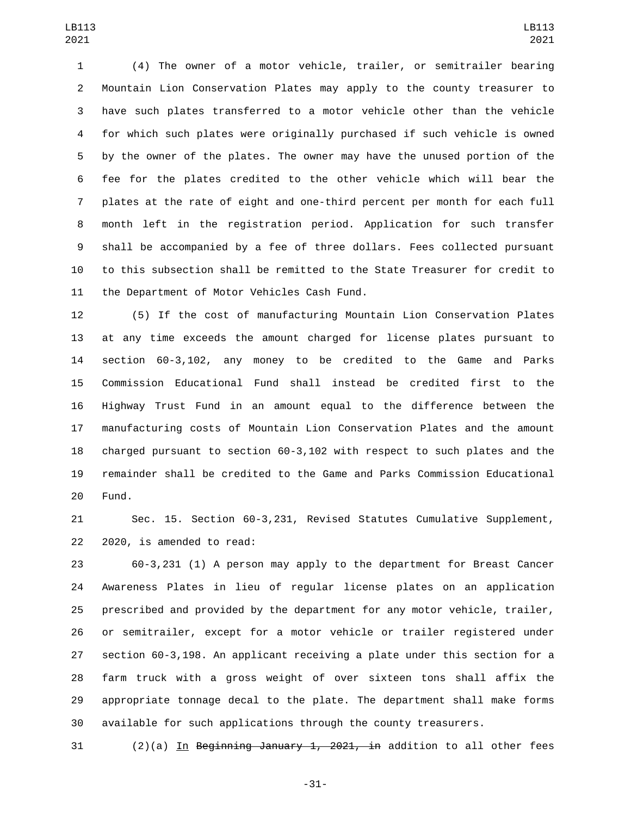(4) The owner of a motor vehicle, trailer, or semitrailer bearing Mountain Lion Conservation Plates may apply to the county treasurer to have such plates transferred to a motor vehicle other than the vehicle for which such plates were originally purchased if such vehicle is owned by the owner of the plates. The owner may have the unused portion of the fee for the plates credited to the other vehicle which will bear the plates at the rate of eight and one-third percent per month for each full month left in the registration period. Application for such transfer shall be accompanied by a fee of three dollars. Fees collected pursuant to this subsection shall be remitted to the State Treasurer for credit to 11 the Department of Motor Vehicles Cash Fund.

 (5) If the cost of manufacturing Mountain Lion Conservation Plates at any time exceeds the amount charged for license plates pursuant to section 60-3,102, any money to be credited to the Game and Parks Commission Educational Fund shall instead be credited first to the Highway Trust Fund in an amount equal to the difference between the manufacturing costs of Mountain Lion Conservation Plates and the amount charged pursuant to section 60-3,102 with respect to such plates and the remainder shall be credited to the Game and Parks Commission Educational 20 Fund.

 Sec. 15. Section 60-3,231, Revised Statutes Cumulative Supplement, 22 2020, is amended to read:

 60-3,231 (1) A person may apply to the department for Breast Cancer Awareness Plates in lieu of regular license plates on an application prescribed and provided by the department for any motor vehicle, trailer, or semitrailer, except for a motor vehicle or trailer registered under section 60-3,198. An applicant receiving a plate under this section for a farm truck with a gross weight of over sixteen tons shall affix the appropriate tonnage decal to the plate. The department shall make forms available for such applications through the county treasurers.

 $(2)(a)$  In Beginning January 1, 2021, in addition to all other fees

-31-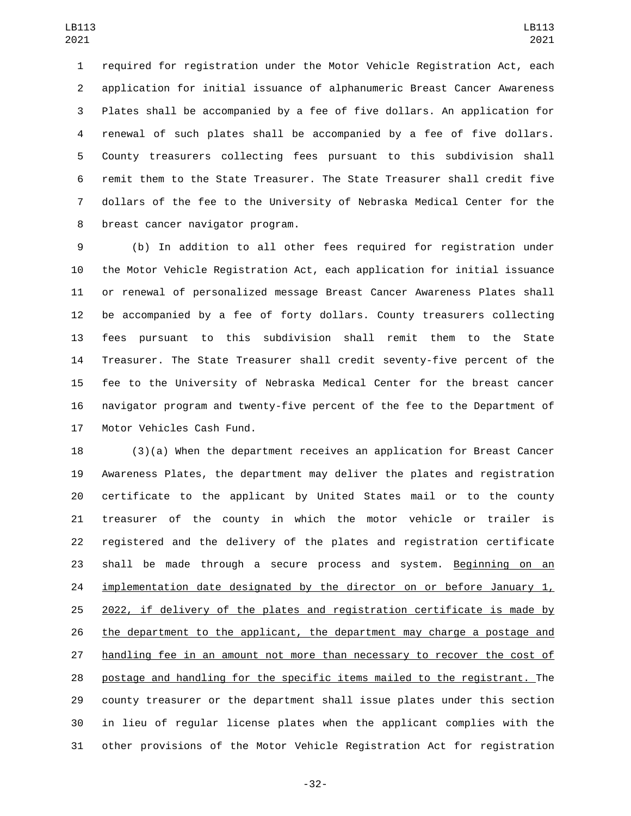required for registration under the Motor Vehicle Registration Act, each application for initial issuance of alphanumeric Breast Cancer Awareness Plates shall be accompanied by a fee of five dollars. An application for renewal of such plates shall be accompanied by a fee of five dollars. County treasurers collecting fees pursuant to this subdivision shall remit them to the State Treasurer. The State Treasurer shall credit five dollars of the fee to the University of Nebraska Medical Center for the 8 breast cancer navigator program.

 (b) In addition to all other fees required for registration under the Motor Vehicle Registration Act, each application for initial issuance or renewal of personalized message Breast Cancer Awareness Plates shall be accompanied by a fee of forty dollars. County treasurers collecting fees pursuant to this subdivision shall remit them to the State Treasurer. The State Treasurer shall credit seventy-five percent of the fee to the University of Nebraska Medical Center for the breast cancer navigator program and twenty-five percent of the fee to the Department of 17 Motor Vehicles Cash Fund.

 (3)(a) When the department receives an application for Breast Cancer Awareness Plates, the department may deliver the plates and registration certificate to the applicant by United States mail or to the county treasurer of the county in which the motor vehicle or trailer is registered and the delivery of the plates and registration certificate shall be made through a secure process and system. Beginning on an 24 implementation date designated by the director on or before January  $1<sub>L</sub>$  2022, if delivery of the plates and registration certificate is made by 26 the department to the applicant, the department may charge a postage and handling fee in an amount not more than necessary to recover the cost of postage and handling for the specific items mailed to the registrant. The county treasurer or the department shall issue plates under this section in lieu of regular license plates when the applicant complies with the other provisions of the Motor Vehicle Registration Act for registration

-32-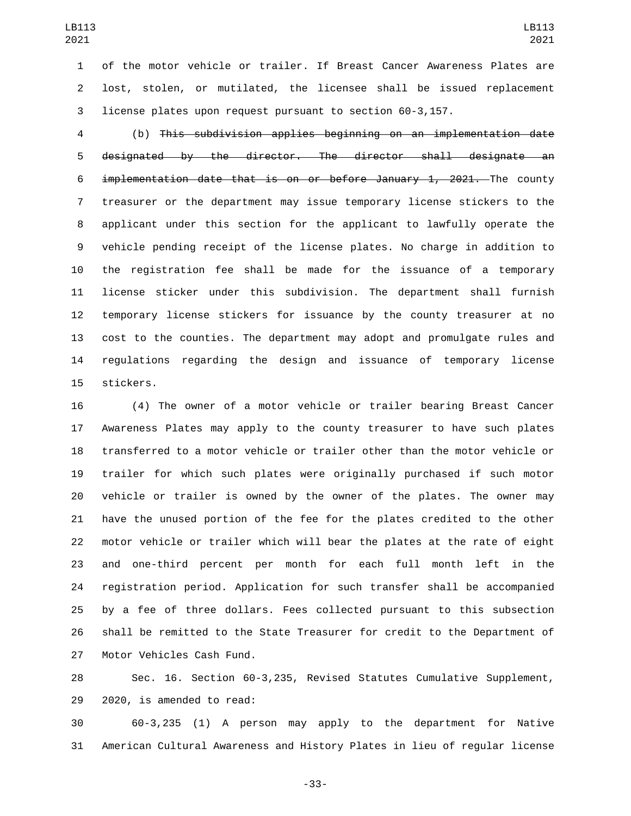of the motor vehicle or trailer. If Breast Cancer Awareness Plates are lost, stolen, or mutilated, the licensee shall be issued replacement license plates upon request pursuant to section 60-3,157.

 (b) This subdivision applies beginning on an implementation date designated by the director. The director shall designate an implementation date that is on or before January 1, 2021. The county treasurer or the department may issue temporary license stickers to the applicant under this section for the applicant to lawfully operate the vehicle pending receipt of the license plates. No charge in addition to the registration fee shall be made for the issuance of a temporary license sticker under this subdivision. The department shall furnish temporary license stickers for issuance by the county treasurer at no cost to the counties. The department may adopt and promulgate rules and regulations regarding the design and issuance of temporary license 15 stickers.

 (4) The owner of a motor vehicle or trailer bearing Breast Cancer Awareness Plates may apply to the county treasurer to have such plates transferred to a motor vehicle or trailer other than the motor vehicle or trailer for which such plates were originally purchased if such motor vehicle or trailer is owned by the owner of the plates. The owner may have the unused portion of the fee for the plates credited to the other motor vehicle or trailer which will bear the plates at the rate of eight and one-third percent per month for each full month left in the registration period. Application for such transfer shall be accompanied by a fee of three dollars. Fees collected pursuant to this subsection shall be remitted to the State Treasurer for credit to the Department of 27 Motor Vehicles Cash Fund.

 Sec. 16. Section 60-3,235, Revised Statutes Cumulative Supplement, 29 2020, is amended to read:

 60-3,235 (1) A person may apply to the department for Native American Cultural Awareness and History Plates in lieu of regular license

-33-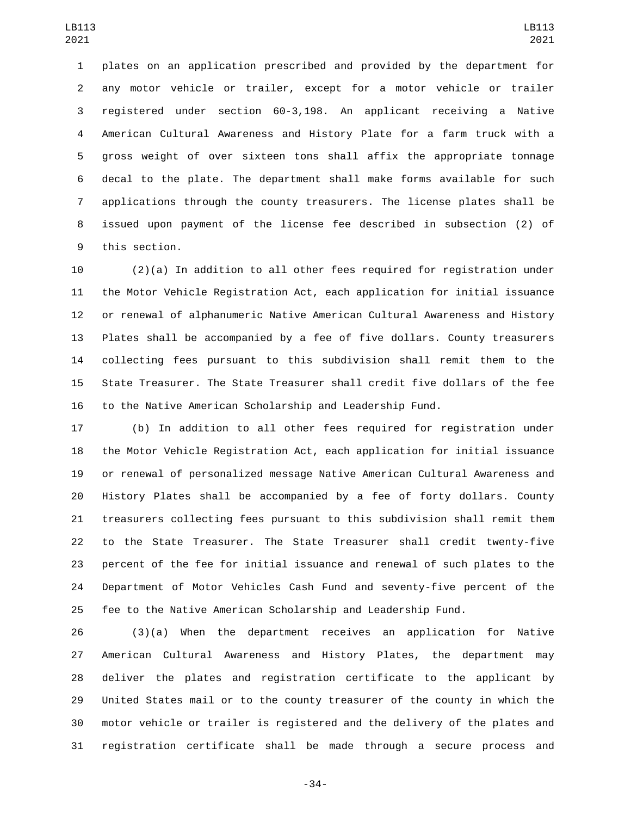plates on an application prescribed and provided by the department for any motor vehicle or trailer, except for a motor vehicle or trailer registered under section 60-3,198. An applicant receiving a Native American Cultural Awareness and History Plate for a farm truck with a gross weight of over sixteen tons shall affix the appropriate tonnage decal to the plate. The department shall make forms available for such applications through the county treasurers. The license plates shall be issued upon payment of the license fee described in subsection (2) of 9 this section.

 (2)(a) In addition to all other fees required for registration under the Motor Vehicle Registration Act, each application for initial issuance or renewal of alphanumeric Native American Cultural Awareness and History Plates shall be accompanied by a fee of five dollars. County treasurers collecting fees pursuant to this subdivision shall remit them to the State Treasurer. The State Treasurer shall credit five dollars of the fee to the Native American Scholarship and Leadership Fund.

 (b) In addition to all other fees required for registration under the Motor Vehicle Registration Act, each application for initial issuance or renewal of personalized message Native American Cultural Awareness and History Plates shall be accompanied by a fee of forty dollars. County treasurers collecting fees pursuant to this subdivision shall remit them to the State Treasurer. The State Treasurer shall credit twenty-five percent of the fee for initial issuance and renewal of such plates to the Department of Motor Vehicles Cash Fund and seventy-five percent of the fee to the Native American Scholarship and Leadership Fund.

 (3)(a) When the department receives an application for Native American Cultural Awareness and History Plates, the department may deliver the plates and registration certificate to the applicant by United States mail or to the county treasurer of the county in which the motor vehicle or trailer is registered and the delivery of the plates and registration certificate shall be made through a secure process and

-34-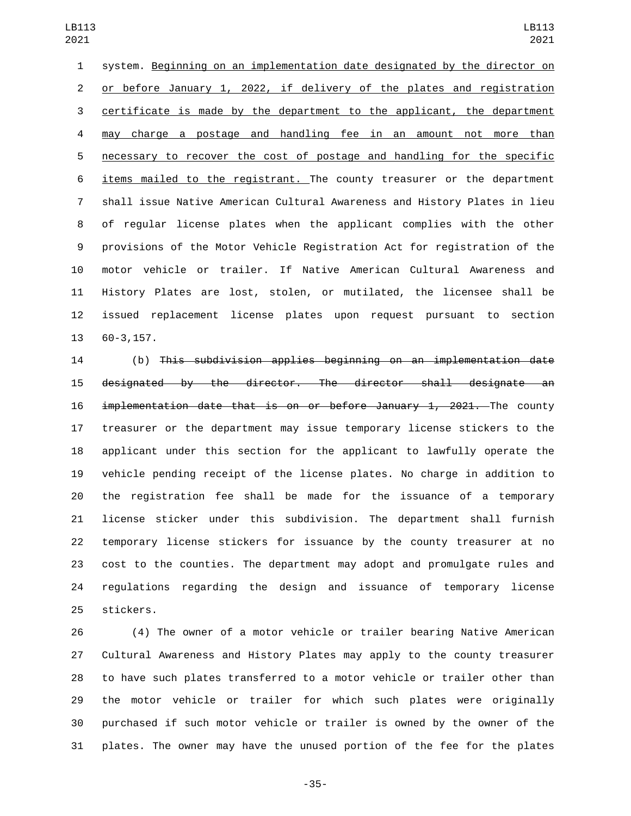system. Beginning on an implementation date designated by the director on or before January 1, 2022, if delivery of the plates and registration certificate is made by the department to the applicant, the department may charge a postage and handling fee in an amount not more than necessary to recover the cost of postage and handling for the specific items mailed to the registrant. The county treasurer or the department shall issue Native American Cultural Awareness and History Plates in lieu of regular license plates when the applicant complies with the other provisions of the Motor Vehicle Registration Act for registration of the motor vehicle or trailer. If Native American Cultural Awareness and History Plates are lost, stolen, or mutilated, the licensee shall be issued replacement license plates upon request pursuant to section 13 60-3,157.

 (b) This subdivision applies beginning on an implementation date designated by the director. The director shall designate an implementation date that is on or before January 1, 2021. The county treasurer or the department may issue temporary license stickers to the applicant under this section for the applicant to lawfully operate the vehicle pending receipt of the license plates. No charge in addition to the registration fee shall be made for the issuance of a temporary license sticker under this subdivision. The department shall furnish temporary license stickers for issuance by the county treasurer at no cost to the counties. The department may adopt and promulgate rules and regulations regarding the design and issuance of temporary license 25 stickers.

 (4) The owner of a motor vehicle or trailer bearing Native American Cultural Awareness and History Plates may apply to the county treasurer to have such plates transferred to a motor vehicle or trailer other than the motor vehicle or trailer for which such plates were originally purchased if such motor vehicle or trailer is owned by the owner of the plates. The owner may have the unused portion of the fee for the plates

-35-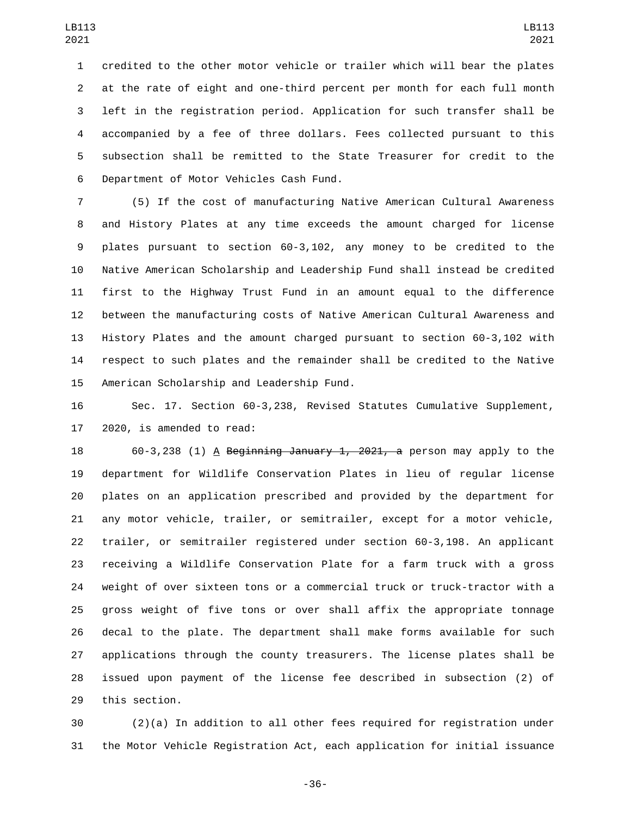credited to the other motor vehicle or trailer which will bear the plates at the rate of eight and one-third percent per month for each full month left in the registration period. Application for such transfer shall be accompanied by a fee of three dollars. Fees collected pursuant to this subsection shall be remitted to the State Treasurer for credit to the 6 Department of Motor Vehicles Cash Fund.

 (5) If the cost of manufacturing Native American Cultural Awareness and History Plates at any time exceeds the amount charged for license plates pursuant to section 60-3,102, any money to be credited to the Native American Scholarship and Leadership Fund shall instead be credited first to the Highway Trust Fund in an amount equal to the difference between the manufacturing costs of Native American Cultural Awareness and History Plates and the amount charged pursuant to section 60-3,102 with respect to such plates and the remainder shall be credited to the Native 15 American Scholarship and Leadership Fund.

 Sec. 17. Section 60-3,238, Revised Statutes Cumulative Supplement, 2020, is amended to read:

18 60-3,238 (1) A Beginning January 1, 2021, a person may apply to the department for Wildlife Conservation Plates in lieu of regular license plates on an application prescribed and provided by the department for any motor vehicle, trailer, or semitrailer, except for a motor vehicle, trailer, or semitrailer registered under section 60-3,198. An applicant receiving a Wildlife Conservation Plate for a farm truck with a gross weight of over sixteen tons or a commercial truck or truck-tractor with a gross weight of five tons or over shall affix the appropriate tonnage decal to the plate. The department shall make forms available for such applications through the county treasurers. The license plates shall be issued upon payment of the license fee described in subsection (2) of 29 this section.

 (2)(a) In addition to all other fees required for registration under the Motor Vehicle Registration Act, each application for initial issuance

-36-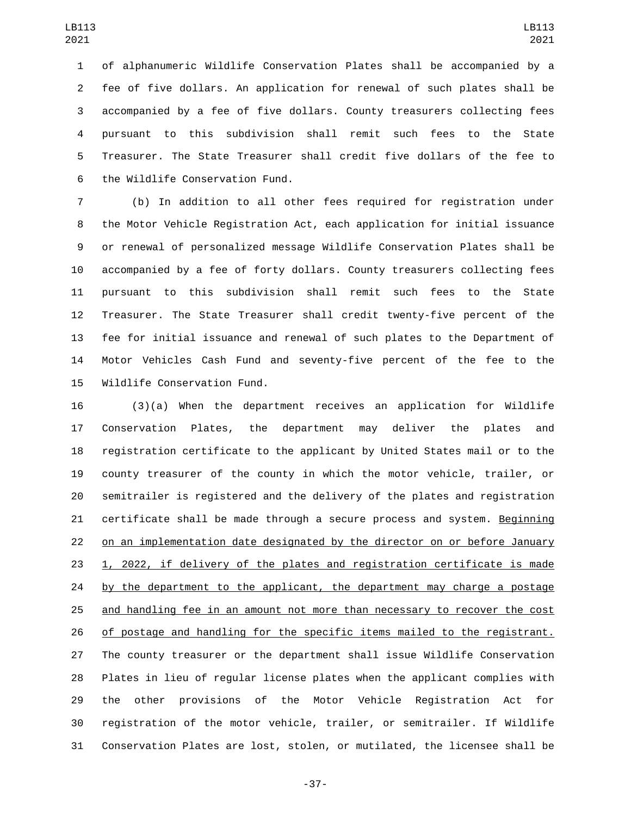of alphanumeric Wildlife Conservation Plates shall be accompanied by a fee of five dollars. An application for renewal of such plates shall be accompanied by a fee of five dollars. County treasurers collecting fees pursuant to this subdivision shall remit such fees to the State Treasurer. The State Treasurer shall credit five dollars of the fee to 6 the Wildlife Conservation Fund.

 (b) In addition to all other fees required for registration under the Motor Vehicle Registration Act, each application for initial issuance or renewal of personalized message Wildlife Conservation Plates shall be accompanied by a fee of forty dollars. County treasurers collecting fees pursuant to this subdivision shall remit such fees to the State Treasurer. The State Treasurer shall credit twenty-five percent of the fee for initial issuance and renewal of such plates to the Department of Motor Vehicles Cash Fund and seventy-five percent of the fee to the 15 Wildlife Conservation Fund.

 (3)(a) When the department receives an application for Wildlife Conservation Plates, the department may deliver the plates and registration certificate to the applicant by United States mail or to the county treasurer of the county in which the motor vehicle, trailer, or semitrailer is registered and the delivery of the plates and registration certificate shall be made through a secure process and system. Beginning on an implementation date designated by the director on or before January 1, 2022, if delivery of the plates and registration certificate is made 24 by the department to the applicant, the department may charge a postage and handling fee in an amount not more than necessary to recover the cost of postage and handling for the specific items mailed to the registrant. The county treasurer or the department shall issue Wildlife Conservation Plates in lieu of regular license plates when the applicant complies with the other provisions of the Motor Vehicle Registration Act for registration of the motor vehicle, trailer, or semitrailer. If Wildlife Conservation Plates are lost, stolen, or mutilated, the licensee shall be

-37-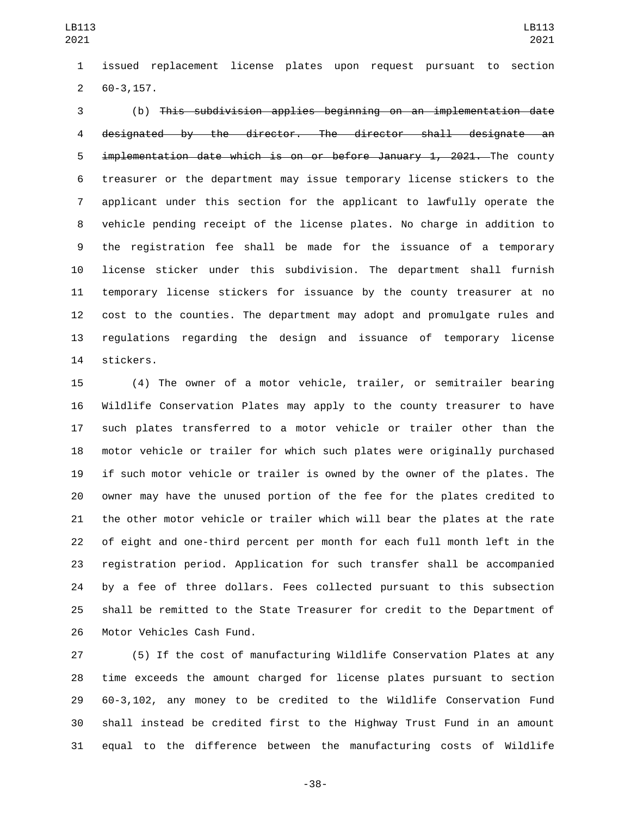issued replacement license plates upon request pursuant to section  $260-3, 157.$ 

 (b) This subdivision applies beginning on an implementation date designated by the director. The director shall designate an implementation date which is on or before January 1, 2021. The county treasurer or the department may issue temporary license stickers to the applicant under this section for the applicant to lawfully operate the vehicle pending receipt of the license plates. No charge in addition to the registration fee shall be made for the issuance of a temporary license sticker under this subdivision. The department shall furnish temporary license stickers for issuance by the county treasurer at no cost to the counties. The department may adopt and promulgate rules and regulations regarding the design and issuance of temporary license 14 stickers.

 (4) The owner of a motor vehicle, trailer, or semitrailer bearing Wildlife Conservation Plates may apply to the county treasurer to have such plates transferred to a motor vehicle or trailer other than the motor vehicle or trailer for which such plates were originally purchased if such motor vehicle or trailer is owned by the owner of the plates. The owner may have the unused portion of the fee for the plates credited to the other motor vehicle or trailer which will bear the plates at the rate of eight and one-third percent per month for each full month left in the registration period. Application for such transfer shall be accompanied by a fee of three dollars. Fees collected pursuant to this subsection shall be remitted to the State Treasurer for credit to the Department of 26 Motor Vehicles Cash Fund.

 (5) If the cost of manufacturing Wildlife Conservation Plates at any time exceeds the amount charged for license plates pursuant to section 60-3,102, any money to be credited to the Wildlife Conservation Fund shall instead be credited first to the Highway Trust Fund in an amount equal to the difference between the manufacturing costs of Wildlife

-38-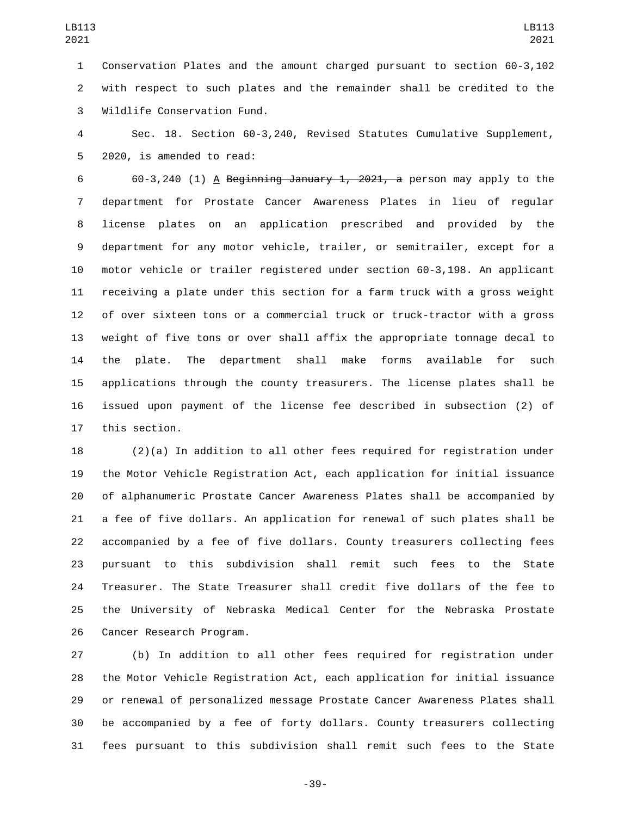Conservation Plates and the amount charged pursuant to section 60-3,102 with respect to such plates and the remainder shall be credited to the 3 Wildlife Conservation Fund.

 Sec. 18. Section 60-3,240, Revised Statutes Cumulative Supplement, 5 2020, is amended to read:

6 60-3,240 (1) A Beginning January 1, 2021, a person may apply to the department for Prostate Cancer Awareness Plates in lieu of regular license plates on an application prescribed and provided by the department for any motor vehicle, trailer, or semitrailer, except for a motor vehicle or trailer registered under section 60-3,198. An applicant receiving a plate under this section for a farm truck with a gross weight of over sixteen tons or a commercial truck or truck-tractor with a gross weight of five tons or over shall affix the appropriate tonnage decal to the plate. The department shall make forms available for such applications through the county treasurers. The license plates shall be issued upon payment of the license fee described in subsection (2) of 17 this section.

 (2)(a) In addition to all other fees required for registration under the Motor Vehicle Registration Act, each application for initial issuance of alphanumeric Prostate Cancer Awareness Plates shall be accompanied by a fee of five dollars. An application for renewal of such plates shall be accompanied by a fee of five dollars. County treasurers collecting fees pursuant to this subdivision shall remit such fees to the State Treasurer. The State Treasurer shall credit five dollars of the fee to the University of Nebraska Medical Center for the Nebraska Prostate 26 Cancer Research Program.

 (b) In addition to all other fees required for registration under the Motor Vehicle Registration Act, each application for initial issuance or renewal of personalized message Prostate Cancer Awareness Plates shall be accompanied by a fee of forty dollars. County treasurers collecting fees pursuant to this subdivision shall remit such fees to the State

-39-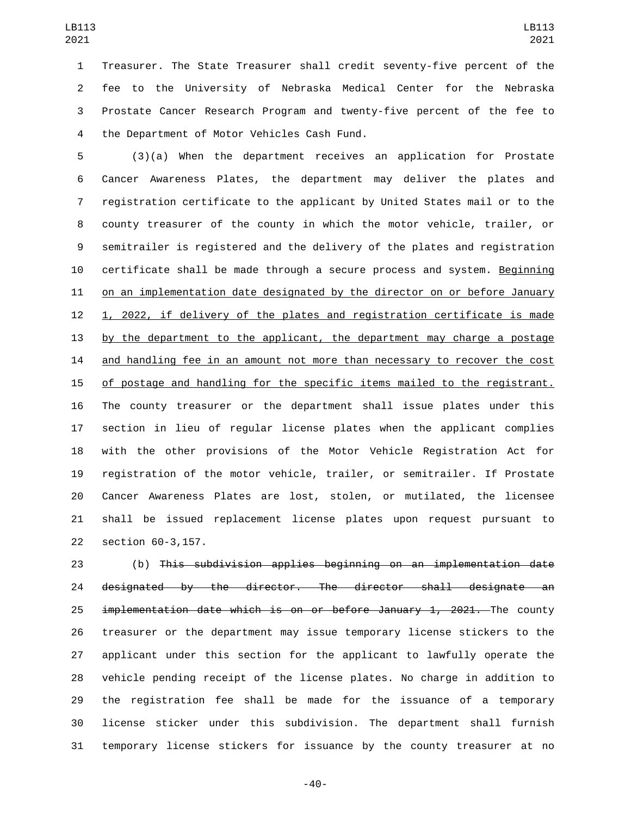Treasurer. The State Treasurer shall credit seventy-five percent of the fee to the University of Nebraska Medical Center for the Nebraska Prostate Cancer Research Program and twenty-five percent of the fee to the Department of Motor Vehicles Cash Fund.4

 (3)(a) When the department receives an application for Prostate Cancer Awareness Plates, the department may deliver the plates and registration certificate to the applicant by United States mail or to the county treasurer of the county in which the motor vehicle, trailer, or semitrailer is registered and the delivery of the plates and registration certificate shall be made through a secure process and system. Beginning 11 on an implementation date designated by the director on or before January 1, 2022, if delivery of the plates and registration certificate is made by the department to the applicant, the department may charge a postage 14 and handling fee in an amount not more than necessary to recover the cost of postage and handling for the specific items mailed to the registrant. The county treasurer or the department shall issue plates under this section in lieu of regular license plates when the applicant complies with the other provisions of the Motor Vehicle Registration Act for registration of the motor vehicle, trailer, or semitrailer. If Prostate Cancer Awareness Plates are lost, stolen, or mutilated, the licensee shall be issued replacement license plates upon request pursuant to 22 section 60-3,157.

 (b) This subdivision applies beginning on an implementation date designated by the director. The director shall designate an 25 implementation date which is on or before January 1, 2021. The county treasurer or the department may issue temporary license stickers to the applicant under this section for the applicant to lawfully operate the vehicle pending receipt of the license plates. No charge in addition to the registration fee shall be made for the issuance of a temporary license sticker under this subdivision. The department shall furnish temporary license stickers for issuance by the county treasurer at no

-40-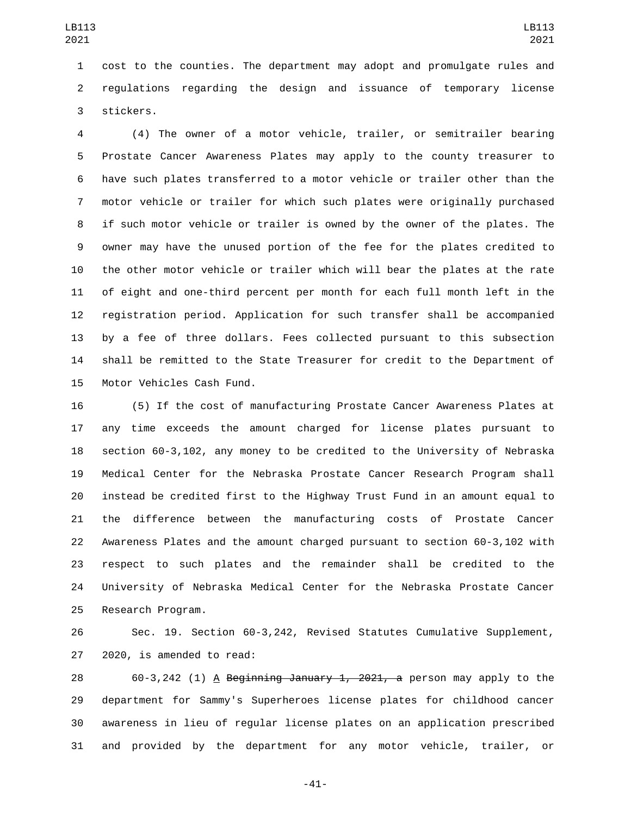cost to the counties. The department may adopt and promulgate rules and regulations regarding the design and issuance of temporary license 3 stickers.

 (4) The owner of a motor vehicle, trailer, or semitrailer bearing Prostate Cancer Awareness Plates may apply to the county treasurer to have such plates transferred to a motor vehicle or trailer other than the motor vehicle or trailer for which such plates were originally purchased if such motor vehicle or trailer is owned by the owner of the plates. The owner may have the unused portion of the fee for the plates credited to the other motor vehicle or trailer which will bear the plates at the rate of eight and one-third percent per month for each full month left in the registration period. Application for such transfer shall be accompanied by a fee of three dollars. Fees collected pursuant to this subsection shall be remitted to the State Treasurer for credit to the Department of 15 Motor Vehicles Cash Fund.

 (5) If the cost of manufacturing Prostate Cancer Awareness Plates at any time exceeds the amount charged for license plates pursuant to section 60-3,102, any money to be credited to the University of Nebraska Medical Center for the Nebraska Prostate Cancer Research Program shall instead be credited first to the Highway Trust Fund in an amount equal to the difference between the manufacturing costs of Prostate Cancer Awareness Plates and the amount charged pursuant to section 60-3,102 with respect to such plates and the remainder shall be credited to the University of Nebraska Medical Center for the Nebraska Prostate Cancer 25 Research Program.

 Sec. 19. Section 60-3,242, Revised Statutes Cumulative Supplement, 27 2020, is amended to read:

28 60-3,242 (1) A Beginning January 1, 2021, a person may apply to the department for Sammy's Superheroes license plates for childhood cancer awareness in lieu of regular license plates on an application prescribed and provided by the department for any motor vehicle, trailer, or

-41-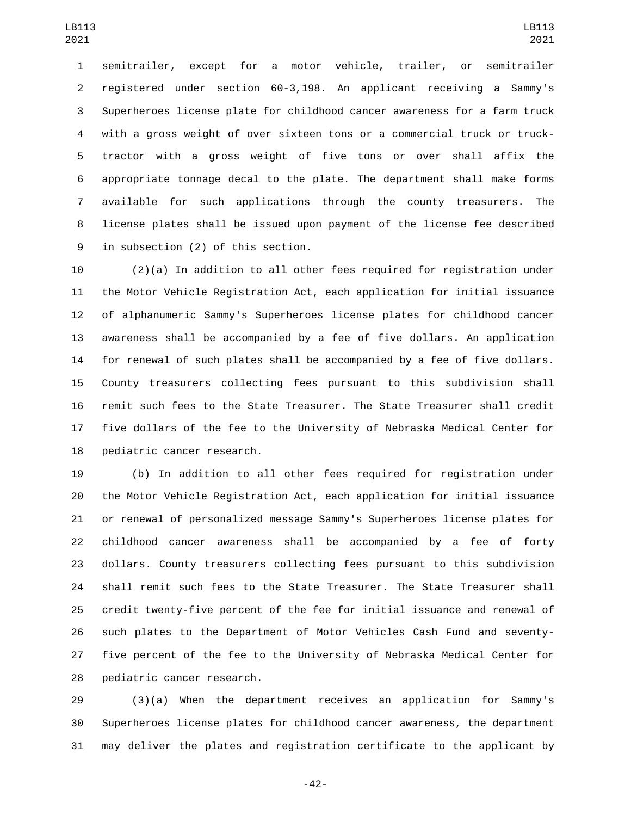semitrailer, except for a motor vehicle, trailer, or semitrailer registered under section 60-3,198. An applicant receiving a Sammy's Superheroes license plate for childhood cancer awareness for a farm truck with a gross weight of over sixteen tons or a commercial truck or truck- tractor with a gross weight of five tons or over shall affix the appropriate tonnage decal to the plate. The department shall make forms available for such applications through the county treasurers. The license plates shall be issued upon payment of the license fee described 9 in subsection (2) of this section.

 (2)(a) In addition to all other fees required for registration under the Motor Vehicle Registration Act, each application for initial issuance of alphanumeric Sammy's Superheroes license plates for childhood cancer awareness shall be accompanied by a fee of five dollars. An application for renewal of such plates shall be accompanied by a fee of five dollars. County treasurers collecting fees pursuant to this subdivision shall remit such fees to the State Treasurer. The State Treasurer shall credit five dollars of the fee to the University of Nebraska Medical Center for 18 pediatric cancer research.

 (b) In addition to all other fees required for registration under the Motor Vehicle Registration Act, each application for initial issuance or renewal of personalized message Sammy's Superheroes license plates for childhood cancer awareness shall be accompanied by a fee of forty dollars. County treasurers collecting fees pursuant to this subdivision shall remit such fees to the State Treasurer. The State Treasurer shall credit twenty-five percent of the fee for initial issuance and renewal of such plates to the Department of Motor Vehicles Cash Fund and seventy- five percent of the fee to the University of Nebraska Medical Center for 28 pediatric cancer research.

 (3)(a) When the department receives an application for Sammy's Superheroes license plates for childhood cancer awareness, the department may deliver the plates and registration certificate to the applicant by

-42-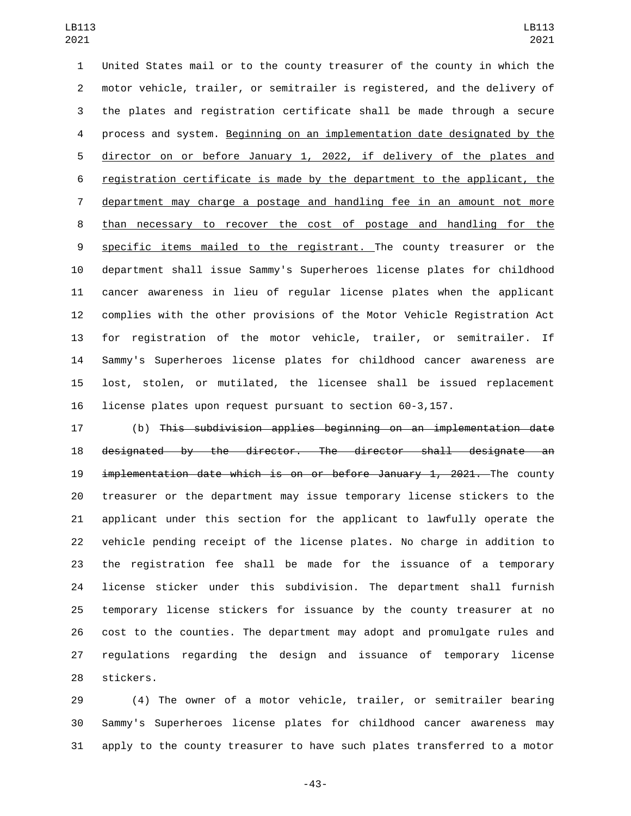United States mail or to the county treasurer of the county in which the motor vehicle, trailer, or semitrailer is registered, and the delivery of the plates and registration certificate shall be made through a secure process and system. Beginning on an implementation date designated by the director on or before January 1, 2022, if delivery of the plates and registration certificate is made by the department to the applicant, the department may charge a postage and handling fee in an amount not more 8 than necessary to recover the cost of postage and handling for the specific items mailed to the registrant. The county treasurer or the department shall issue Sammy's Superheroes license plates for childhood cancer awareness in lieu of regular license plates when the applicant complies with the other provisions of the Motor Vehicle Registration Act for registration of the motor vehicle, trailer, or semitrailer. If Sammy's Superheroes license plates for childhood cancer awareness are lost, stolen, or mutilated, the licensee shall be issued replacement license plates upon request pursuant to section 60-3,157.

 (b) This subdivision applies beginning on an implementation date designated by the director. The director shall designate an implementation date which is on or before January 1, 2021. The county treasurer or the department may issue temporary license stickers to the applicant under this section for the applicant to lawfully operate the vehicle pending receipt of the license plates. No charge in addition to the registration fee shall be made for the issuance of a temporary license sticker under this subdivision. The department shall furnish temporary license stickers for issuance by the county treasurer at no cost to the counties. The department may adopt and promulgate rules and regulations regarding the design and issuance of temporary license 28 stickers.

 (4) The owner of a motor vehicle, trailer, or semitrailer bearing Sammy's Superheroes license plates for childhood cancer awareness may apply to the county treasurer to have such plates transferred to a motor

-43-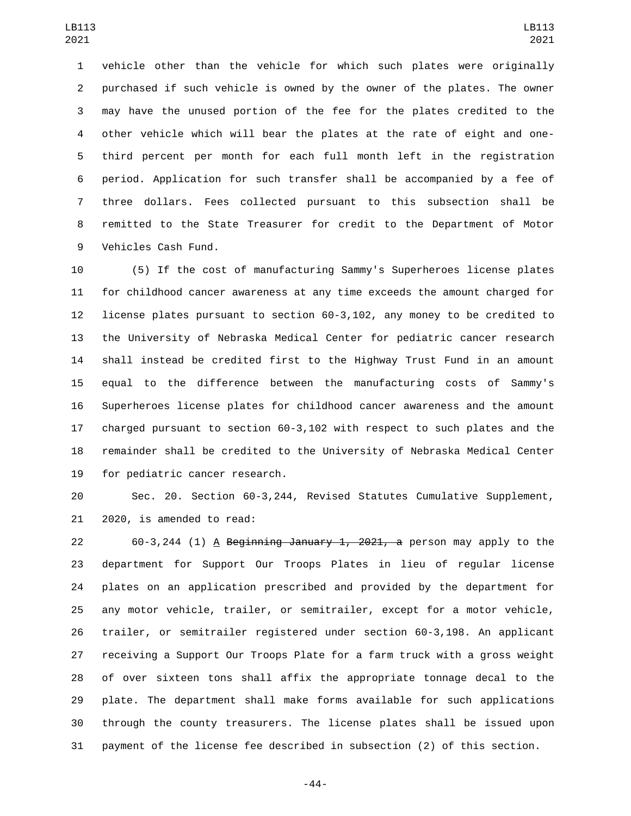vehicle other than the vehicle for which such plates were originally purchased if such vehicle is owned by the owner of the plates. The owner may have the unused portion of the fee for the plates credited to the other vehicle which will bear the plates at the rate of eight and one- third percent per month for each full month left in the registration period. Application for such transfer shall be accompanied by a fee of three dollars. Fees collected pursuant to this subsection shall be remitted to the State Treasurer for credit to the Department of Motor 9 Vehicles Cash Fund.

 (5) If the cost of manufacturing Sammy's Superheroes license plates for childhood cancer awareness at any time exceeds the amount charged for license plates pursuant to section 60-3,102, any money to be credited to the University of Nebraska Medical Center for pediatric cancer research shall instead be credited first to the Highway Trust Fund in an amount equal to the difference between the manufacturing costs of Sammy's Superheroes license plates for childhood cancer awareness and the amount charged pursuant to section 60-3,102 with respect to such plates and the remainder shall be credited to the University of Nebraska Medical Center 19 for pediatric cancer research.

 Sec. 20. Section 60-3,244, Revised Statutes Cumulative Supplement, 21 2020, is amended to read:

22 60-3,244 (1)  $\overline{A}$  Beginning January 1, 2021, a person may apply to the department for Support Our Troops Plates in lieu of regular license plates on an application prescribed and provided by the department for any motor vehicle, trailer, or semitrailer, except for a motor vehicle, trailer, or semitrailer registered under section 60-3,198. An applicant receiving a Support Our Troops Plate for a farm truck with a gross weight of over sixteen tons shall affix the appropriate tonnage decal to the plate. The department shall make forms available for such applications through the county treasurers. The license plates shall be issued upon payment of the license fee described in subsection (2) of this section.

-44-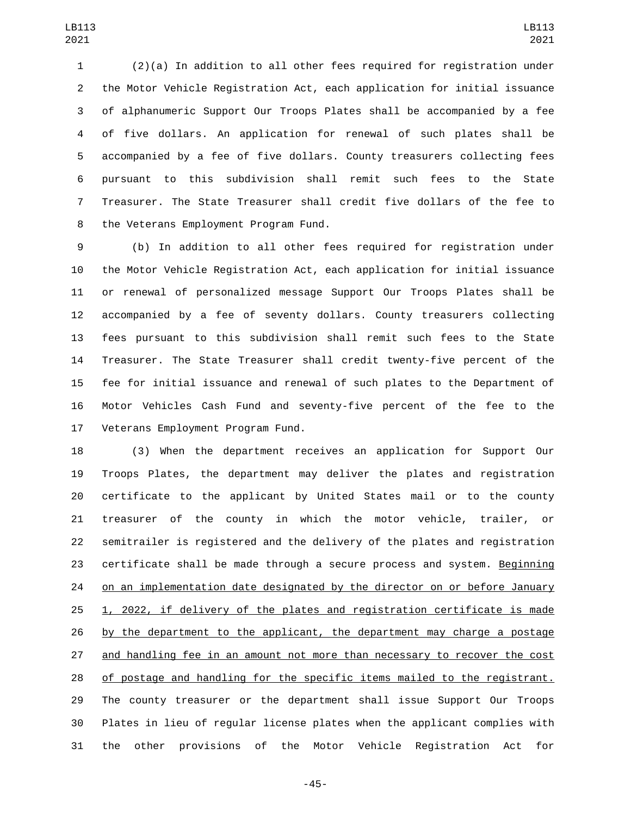(2)(a) In addition to all other fees required for registration under the Motor Vehicle Registration Act, each application for initial issuance of alphanumeric Support Our Troops Plates shall be accompanied by a fee of five dollars. An application for renewal of such plates shall be accompanied by a fee of five dollars. County treasurers collecting fees pursuant to this subdivision shall remit such fees to the State Treasurer. The State Treasurer shall credit five dollars of the fee to 8 the Veterans Employment Program Fund.

 (b) In addition to all other fees required for registration under the Motor Vehicle Registration Act, each application for initial issuance or renewal of personalized message Support Our Troops Plates shall be accompanied by a fee of seventy dollars. County treasurers collecting fees pursuant to this subdivision shall remit such fees to the State Treasurer. The State Treasurer shall credit twenty-five percent of the fee for initial issuance and renewal of such plates to the Department of Motor Vehicles Cash Fund and seventy-five percent of the fee to the 17 Veterans Employment Program Fund.

 (3) When the department receives an application for Support Our Troops Plates, the department may deliver the plates and registration certificate to the applicant by United States mail or to the county treasurer of the county in which the motor vehicle, trailer, or semitrailer is registered and the delivery of the plates and registration certificate shall be made through a secure process and system. Beginning 24 on an implementation date designated by the director on or before January 1, 2022, if delivery of the plates and registration certificate is made 26 by the department to the applicant, the department may charge a postage and handling fee in an amount not more than necessary to recover the cost of postage and handling for the specific items mailed to the registrant. The county treasurer or the department shall issue Support Our Troops Plates in lieu of regular license plates when the applicant complies with the other provisions of the Motor Vehicle Registration Act for

-45-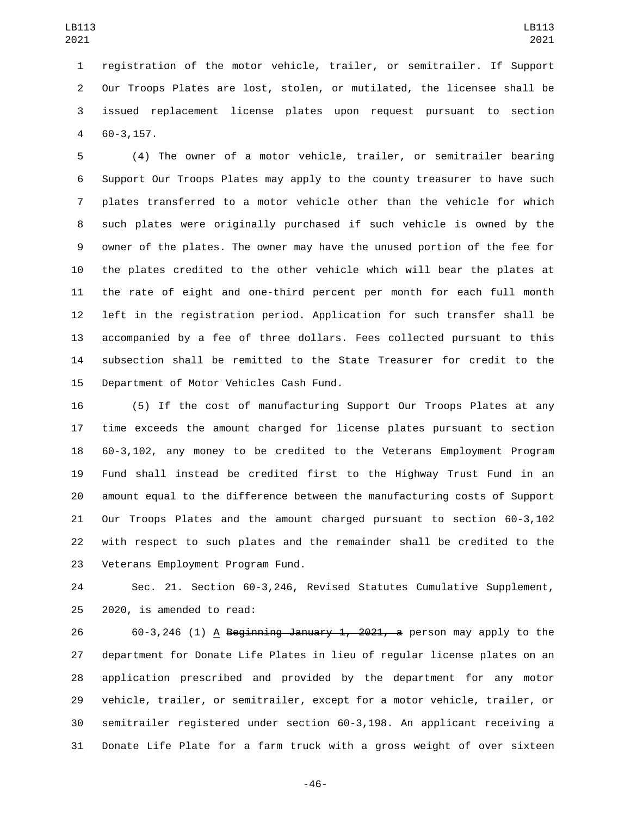registration of the motor vehicle, trailer, or semitrailer. If Support Our Troops Plates are lost, stolen, or mutilated, the licensee shall be issued replacement license plates upon request pursuant to section 60-3,157.4

 (4) The owner of a motor vehicle, trailer, or semitrailer bearing Support Our Troops Plates may apply to the county treasurer to have such plates transferred to a motor vehicle other than the vehicle for which such plates were originally purchased if such vehicle is owned by the owner of the plates. The owner may have the unused portion of the fee for the plates credited to the other vehicle which will bear the plates at the rate of eight and one-third percent per month for each full month left in the registration period. Application for such transfer shall be accompanied by a fee of three dollars. Fees collected pursuant to this subsection shall be remitted to the State Treasurer for credit to the 15 Department of Motor Vehicles Cash Fund.

 (5) If the cost of manufacturing Support Our Troops Plates at any time exceeds the amount charged for license plates pursuant to section 60-3,102, any money to be credited to the Veterans Employment Program Fund shall instead be credited first to the Highway Trust Fund in an amount equal to the difference between the manufacturing costs of Support Our Troops Plates and the amount charged pursuant to section 60-3,102 with respect to such plates and the remainder shall be credited to the 23 Veterans Employment Program Fund.

 Sec. 21. Section 60-3,246, Revised Statutes Cumulative Supplement,  $2020$ , is amended to read:

26 60-3,246 (1) A Beginning January 1, 2021, a person may apply to the department for Donate Life Plates in lieu of regular license plates on an application prescribed and provided by the department for any motor vehicle, trailer, or semitrailer, except for a motor vehicle, trailer, or semitrailer registered under section 60-3,198. An applicant receiving a Donate Life Plate for a farm truck with a gross weight of over sixteen

-46-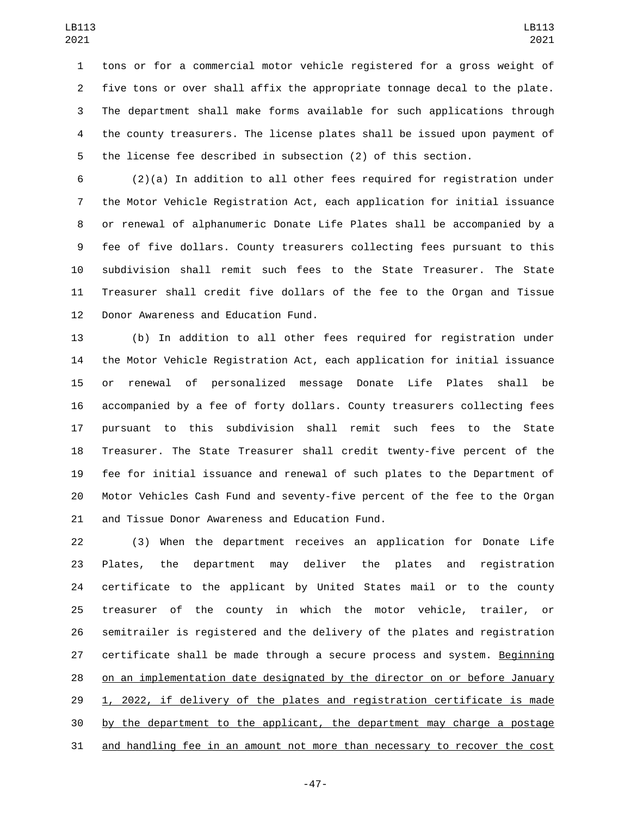tons or for a commercial motor vehicle registered for a gross weight of five tons or over shall affix the appropriate tonnage decal to the plate. The department shall make forms available for such applications through the county treasurers. The license plates shall be issued upon payment of the license fee described in subsection (2) of this section.

 (2)(a) In addition to all other fees required for registration under the Motor Vehicle Registration Act, each application for initial issuance or renewal of alphanumeric Donate Life Plates shall be accompanied by a fee of five dollars. County treasurers collecting fees pursuant to this subdivision shall remit such fees to the State Treasurer. The State Treasurer shall credit five dollars of the fee to the Organ and Tissue 12 Donor Awareness and Education Fund.

 (b) In addition to all other fees required for registration under the Motor Vehicle Registration Act, each application for initial issuance or renewal of personalized message Donate Life Plates shall be accompanied by a fee of forty dollars. County treasurers collecting fees pursuant to this subdivision shall remit such fees to the State Treasurer. The State Treasurer shall credit twenty-five percent of the fee for initial issuance and renewal of such plates to the Department of Motor Vehicles Cash Fund and seventy-five percent of the fee to the Organ 21 and Tissue Donor Awareness and Education Fund.

 (3) When the department receives an application for Donate Life Plates, the department may deliver the plates and registration certificate to the applicant by United States mail or to the county treasurer of the county in which the motor vehicle, trailer, or semitrailer is registered and the delivery of the plates and registration certificate shall be made through a secure process and system. Beginning on an implementation date designated by the director on or before January 1, 2022, if delivery of the plates and registration certificate is made by the department to the applicant, the department may charge a postage and handling fee in an amount not more than necessary to recover the cost

-47-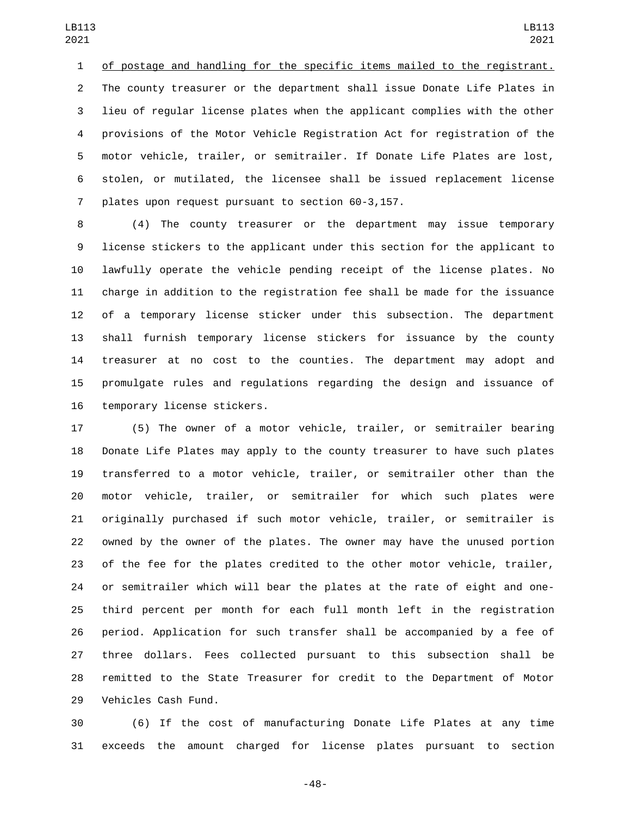of postage and handling for the specific items mailed to the registrant. The county treasurer or the department shall issue Donate Life Plates in lieu of regular license plates when the applicant complies with the other provisions of the Motor Vehicle Registration Act for registration of the motor vehicle, trailer, or semitrailer. If Donate Life Plates are lost, stolen, or mutilated, the licensee shall be issued replacement license 7 plates upon request pursuant to section 60-3,157.

 (4) The county treasurer or the department may issue temporary license stickers to the applicant under this section for the applicant to lawfully operate the vehicle pending receipt of the license plates. No charge in addition to the registration fee shall be made for the issuance of a temporary license sticker under this subsection. The department shall furnish temporary license stickers for issuance by the county treasurer at no cost to the counties. The department may adopt and promulgate rules and regulations regarding the design and issuance of 16 temporary license stickers.

 (5) The owner of a motor vehicle, trailer, or semitrailer bearing Donate Life Plates may apply to the county treasurer to have such plates transferred to a motor vehicle, trailer, or semitrailer other than the motor vehicle, trailer, or semitrailer for which such plates were originally purchased if such motor vehicle, trailer, or semitrailer is owned by the owner of the plates. The owner may have the unused portion of the fee for the plates credited to the other motor vehicle, trailer, or semitrailer which will bear the plates at the rate of eight and one- third percent per month for each full month left in the registration period. Application for such transfer shall be accompanied by a fee of three dollars. Fees collected pursuant to this subsection shall be remitted to the State Treasurer for credit to the Department of Motor 29 Vehicles Cash Fund.

 (6) If the cost of manufacturing Donate Life Plates at any time exceeds the amount charged for license plates pursuant to section

-48-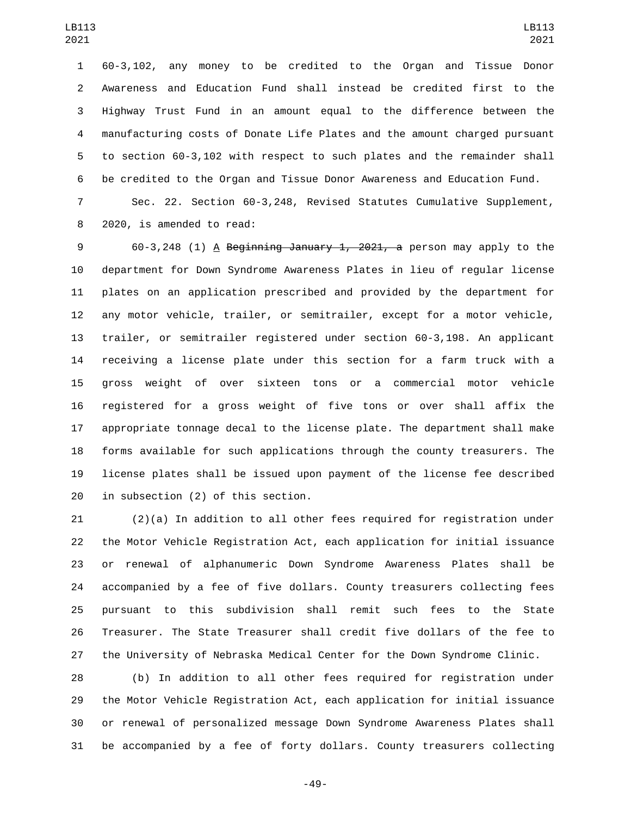60-3,102, any money to be credited to the Organ and Tissue Donor Awareness and Education Fund shall instead be credited first to the Highway Trust Fund in an amount equal to the difference between the manufacturing costs of Donate Life Plates and the amount charged pursuant to section 60-3,102 with respect to such plates and the remainder shall be credited to the Organ and Tissue Donor Awareness and Education Fund.

 Sec. 22. Section 60-3,248, Revised Statutes Cumulative Supplement, 8 2020, is amended to read:

 60-3,248 (1) A Beginning January 1, 2021, a person may apply to the department for Down Syndrome Awareness Plates in lieu of regular license plates on an application prescribed and provided by the department for any motor vehicle, trailer, or semitrailer, except for a motor vehicle, trailer, or semitrailer registered under section 60-3,198. An applicant receiving a license plate under this section for a farm truck with a gross weight of over sixteen tons or a commercial motor vehicle registered for a gross weight of five tons or over shall affix the appropriate tonnage decal to the license plate. The department shall make forms available for such applications through the county treasurers. The license plates shall be issued upon payment of the license fee described in subsection (2) of this section.

 (2)(a) In addition to all other fees required for registration under the Motor Vehicle Registration Act, each application for initial issuance or renewal of alphanumeric Down Syndrome Awareness Plates shall be accompanied by a fee of five dollars. County treasurers collecting fees pursuant to this subdivision shall remit such fees to the State Treasurer. The State Treasurer shall credit five dollars of the fee to the University of Nebraska Medical Center for the Down Syndrome Clinic.

 (b) In addition to all other fees required for registration under the Motor Vehicle Registration Act, each application for initial issuance or renewal of personalized message Down Syndrome Awareness Plates shall be accompanied by a fee of forty dollars. County treasurers collecting

-49-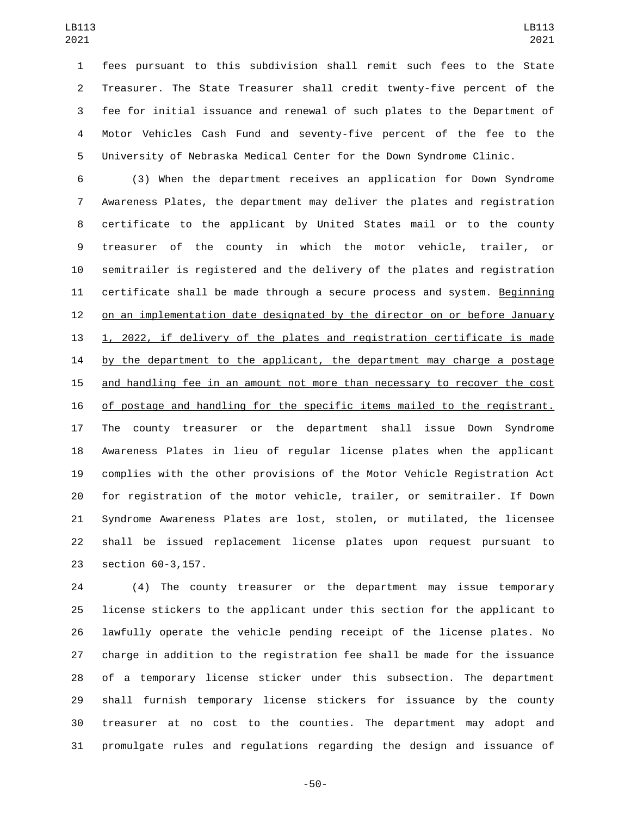fees pursuant to this subdivision shall remit such fees to the State Treasurer. The State Treasurer shall credit twenty-five percent of the fee for initial issuance and renewal of such plates to the Department of Motor Vehicles Cash Fund and seventy-five percent of the fee to the University of Nebraska Medical Center for the Down Syndrome Clinic.

 (3) When the department receives an application for Down Syndrome Awareness Plates, the department may deliver the plates and registration certificate to the applicant by United States mail or to the county treasurer of the county in which the motor vehicle, trailer, or semitrailer is registered and the delivery of the plates and registration certificate shall be made through a secure process and system. Beginning on an implementation date designated by the director on or before January 1, 2022, if delivery of the plates and registration certificate is made 14 by the department to the applicant, the department may charge a postage and handling fee in an amount not more than necessary to recover the cost of postage and handling for the specific items mailed to the registrant. The county treasurer or the department shall issue Down Syndrome Awareness Plates in lieu of regular license plates when the applicant complies with the other provisions of the Motor Vehicle Registration Act for registration of the motor vehicle, trailer, or semitrailer. If Down Syndrome Awareness Plates are lost, stolen, or mutilated, the licensee shall be issued replacement license plates upon request pursuant to 23 section 60-3,157.

 (4) The county treasurer or the department may issue temporary license stickers to the applicant under this section for the applicant to lawfully operate the vehicle pending receipt of the license plates. No charge in addition to the registration fee shall be made for the issuance of a temporary license sticker under this subsection. The department shall furnish temporary license stickers for issuance by the county treasurer at no cost to the counties. The department may adopt and promulgate rules and regulations regarding the design and issuance of

-50-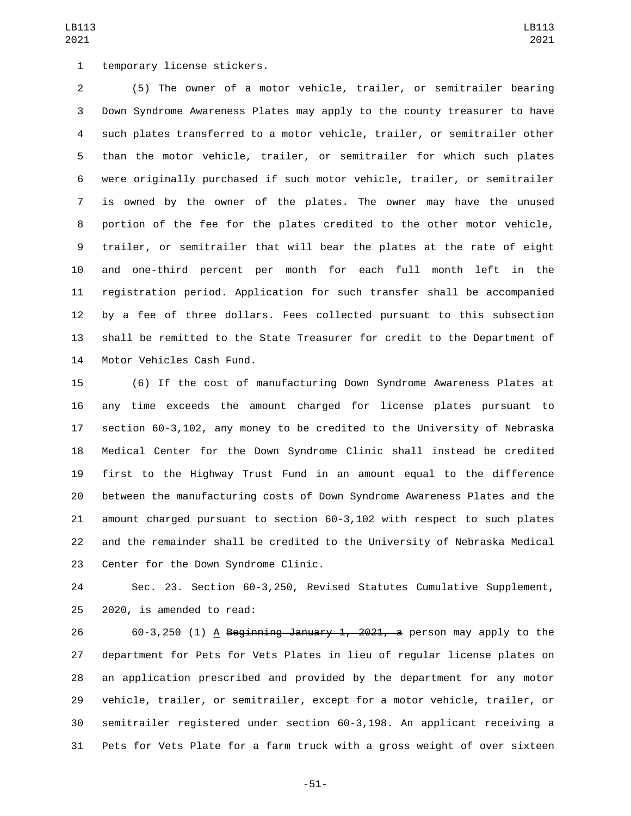1 temporary license stickers.

 (5) The owner of a motor vehicle, trailer, or semitrailer bearing Down Syndrome Awareness Plates may apply to the county treasurer to have such plates transferred to a motor vehicle, trailer, or semitrailer other than the motor vehicle, trailer, or semitrailer for which such plates were originally purchased if such motor vehicle, trailer, or semitrailer is owned by the owner of the plates. The owner may have the unused portion of the fee for the plates credited to the other motor vehicle, trailer, or semitrailer that will bear the plates at the rate of eight and one-third percent per month for each full month left in the registration period. Application for such transfer shall be accompanied by a fee of three dollars. Fees collected pursuant to this subsection shall be remitted to the State Treasurer for credit to the Department of 14 Motor Vehicles Cash Fund.

 (6) If the cost of manufacturing Down Syndrome Awareness Plates at any time exceeds the amount charged for license plates pursuant to section 60-3,102, any money to be credited to the University of Nebraska Medical Center for the Down Syndrome Clinic shall instead be credited first to the Highway Trust Fund in an amount equal to the difference between the manufacturing costs of Down Syndrome Awareness Plates and the amount charged pursuant to section 60-3,102 with respect to such plates and the remainder shall be credited to the University of Nebraska Medical 23 Center for the Down Syndrome Clinic.

 Sec. 23. Section 60-3,250, Revised Statutes Cumulative Supplement,  $2020$ , is amended to read:

26 60-3,250 (1) A Beginning January 1, 2021, a person may apply to the department for Pets for Vets Plates in lieu of regular license plates on an application prescribed and provided by the department for any motor vehicle, trailer, or semitrailer, except for a motor vehicle, trailer, or semitrailer registered under section 60-3,198. An applicant receiving a Pets for Vets Plate for a farm truck with a gross weight of over sixteen

-51-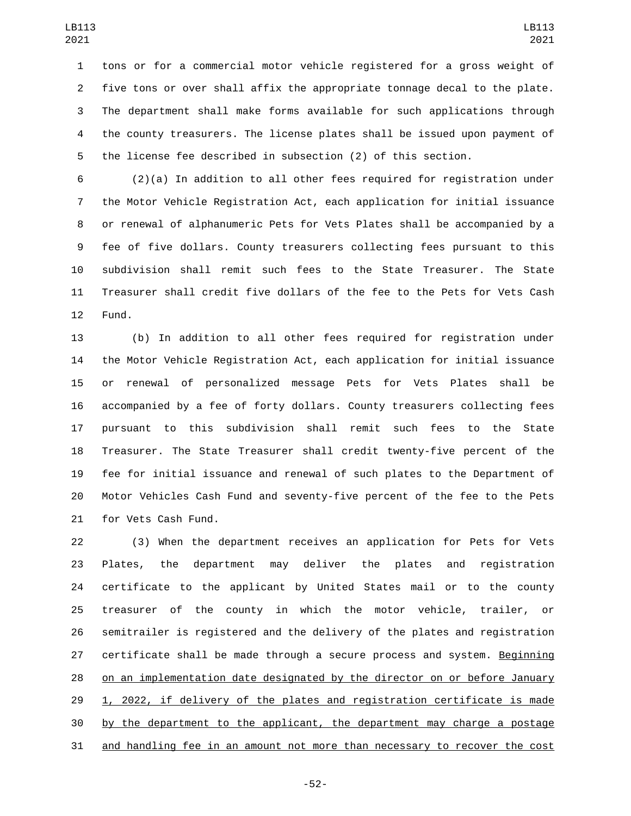tons or for a commercial motor vehicle registered for a gross weight of five tons or over shall affix the appropriate tonnage decal to the plate. The department shall make forms available for such applications through the county treasurers. The license plates shall be issued upon payment of the license fee described in subsection (2) of this section.

 (2)(a) In addition to all other fees required for registration under the Motor Vehicle Registration Act, each application for initial issuance or renewal of alphanumeric Pets for Vets Plates shall be accompanied by a fee of five dollars. County treasurers collecting fees pursuant to this subdivision shall remit such fees to the State Treasurer. The State Treasurer shall credit five dollars of the fee to the Pets for Vets Cash 12 Fund.

 (b) In addition to all other fees required for registration under the Motor Vehicle Registration Act, each application for initial issuance or renewal of personalized message Pets for Vets Plates shall be accompanied by a fee of forty dollars. County treasurers collecting fees pursuant to this subdivision shall remit such fees to the State Treasurer. The State Treasurer shall credit twenty-five percent of the fee for initial issuance and renewal of such plates to the Department of Motor Vehicles Cash Fund and seventy-five percent of the fee to the Pets 21 for Vets Cash Fund.

 (3) When the department receives an application for Pets for Vets Plates, the department may deliver the plates and registration certificate to the applicant by United States mail or to the county treasurer of the county in which the motor vehicle, trailer, or semitrailer is registered and the delivery of the plates and registration certificate shall be made through a secure process and system. Beginning on an implementation date designated by the director on or before January 1, 2022, if delivery of the plates and registration certificate is made by the department to the applicant, the department may charge a postage and handling fee in an amount not more than necessary to recover the cost

-52-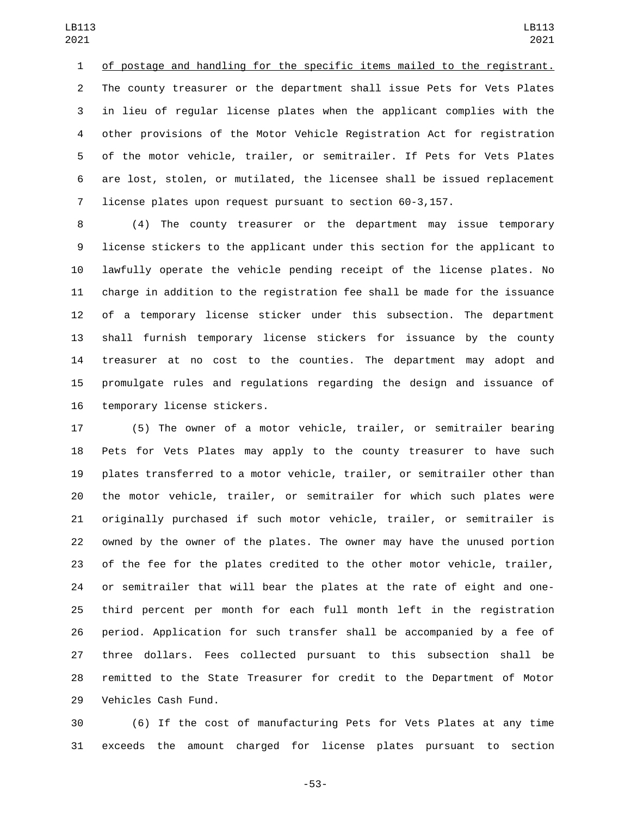of postage and handling for the specific items mailed to the registrant. The county treasurer or the department shall issue Pets for Vets Plates in lieu of regular license plates when the applicant complies with the other provisions of the Motor Vehicle Registration Act for registration of the motor vehicle, trailer, or semitrailer. If Pets for Vets Plates are lost, stolen, or mutilated, the licensee shall be issued replacement license plates upon request pursuant to section 60-3,157.

 (4) The county treasurer or the department may issue temporary license stickers to the applicant under this section for the applicant to lawfully operate the vehicle pending receipt of the license plates. No charge in addition to the registration fee shall be made for the issuance of a temporary license sticker under this subsection. The department shall furnish temporary license stickers for issuance by the county treasurer at no cost to the counties. The department may adopt and promulgate rules and regulations regarding the design and issuance of 16 temporary license stickers.

 (5) The owner of a motor vehicle, trailer, or semitrailer bearing Pets for Vets Plates may apply to the county treasurer to have such plates transferred to a motor vehicle, trailer, or semitrailer other than the motor vehicle, trailer, or semitrailer for which such plates were originally purchased if such motor vehicle, trailer, or semitrailer is owned by the owner of the plates. The owner may have the unused portion of the fee for the plates credited to the other motor vehicle, trailer, or semitrailer that will bear the plates at the rate of eight and one- third percent per month for each full month left in the registration period. Application for such transfer shall be accompanied by a fee of three dollars. Fees collected pursuant to this subsection shall be remitted to the State Treasurer for credit to the Department of Motor 29 Vehicles Cash Fund.

 (6) If the cost of manufacturing Pets for Vets Plates at any time exceeds the amount charged for license plates pursuant to section

-53-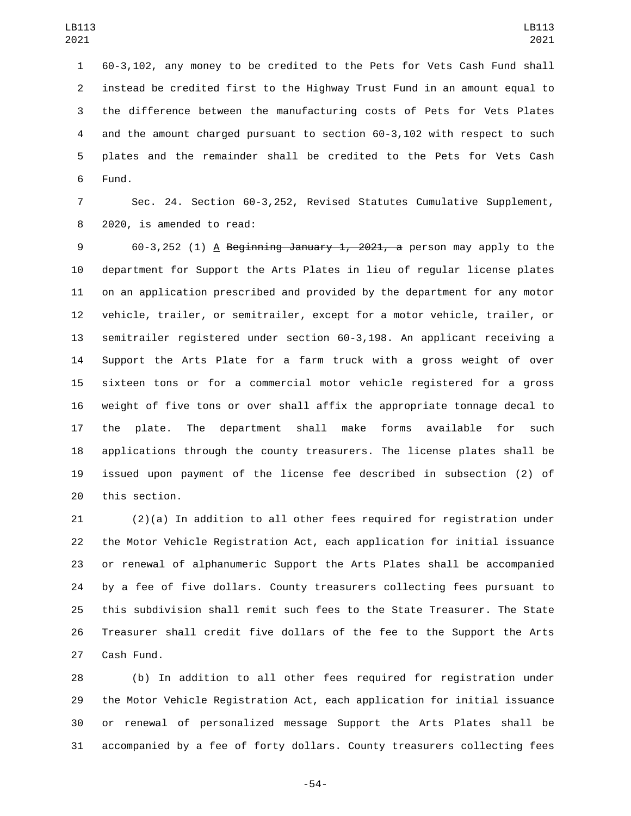60-3,102, any money to be credited to the Pets for Vets Cash Fund shall instead be credited first to the Highway Trust Fund in an amount equal to the difference between the manufacturing costs of Pets for Vets Plates and the amount charged pursuant to section 60-3,102 with respect to such plates and the remainder shall be credited to the Pets for Vets Cash 6 Fund.

 Sec. 24. Section 60-3,252, Revised Statutes Cumulative Supplement, 8 2020, is amended to read:

 60-3,252 (1) A Beginning January 1, 2021, a person may apply to the department for Support the Arts Plates in lieu of regular license plates on an application prescribed and provided by the department for any motor vehicle, trailer, or semitrailer, except for a motor vehicle, trailer, or semitrailer registered under section 60-3,198. An applicant receiving a Support the Arts Plate for a farm truck with a gross weight of over sixteen tons or for a commercial motor vehicle registered for a gross weight of five tons or over shall affix the appropriate tonnage decal to the plate. The department shall make forms available for such applications through the county treasurers. The license plates shall be issued upon payment of the license fee described in subsection (2) of 20 this section.

 (2)(a) In addition to all other fees required for registration under the Motor Vehicle Registration Act, each application for initial issuance or renewal of alphanumeric Support the Arts Plates shall be accompanied by a fee of five dollars. County treasurers collecting fees pursuant to this subdivision shall remit such fees to the State Treasurer. The State Treasurer shall credit five dollars of the fee to the Support the Arts 27 Cash Fund.

 (b) In addition to all other fees required for registration under the Motor Vehicle Registration Act, each application for initial issuance or renewal of personalized message Support the Arts Plates shall be accompanied by a fee of forty dollars. County treasurers collecting fees

-54-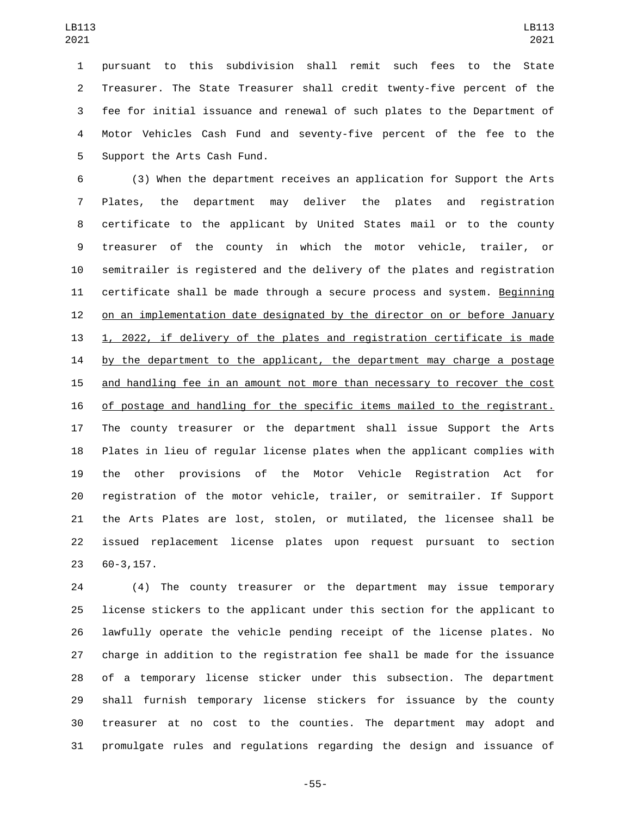pursuant to this subdivision shall remit such fees to the State Treasurer. The State Treasurer shall credit twenty-five percent of the fee for initial issuance and renewal of such plates to the Department of Motor Vehicles Cash Fund and seventy-five percent of the fee to the 5 Support the Arts Cash Fund.

 (3) When the department receives an application for Support the Arts Plates, the department may deliver the plates and registration certificate to the applicant by United States mail or to the county treasurer of the county in which the motor vehicle, trailer, or semitrailer is registered and the delivery of the plates and registration certificate shall be made through a secure process and system. Beginning on an implementation date designated by the director on or before January 1, 2022, if delivery of the plates and registration certificate is made 14 by the department to the applicant, the department may charge a postage and handling fee in an amount not more than necessary to recover the cost of postage and handling for the specific items mailed to the registrant. The county treasurer or the department shall issue Support the Arts Plates in lieu of regular license plates when the applicant complies with the other provisions of the Motor Vehicle Registration Act for registration of the motor vehicle, trailer, or semitrailer. If Support the Arts Plates are lost, stolen, or mutilated, the licensee shall be issued replacement license plates upon request pursuant to section 60-3,157.

 (4) The county treasurer or the department may issue temporary license stickers to the applicant under this section for the applicant to lawfully operate the vehicle pending receipt of the license plates. No charge in addition to the registration fee shall be made for the issuance of a temporary license sticker under this subsection. The department shall furnish temporary license stickers for issuance by the county treasurer at no cost to the counties. The department may adopt and promulgate rules and regulations regarding the design and issuance of

-55-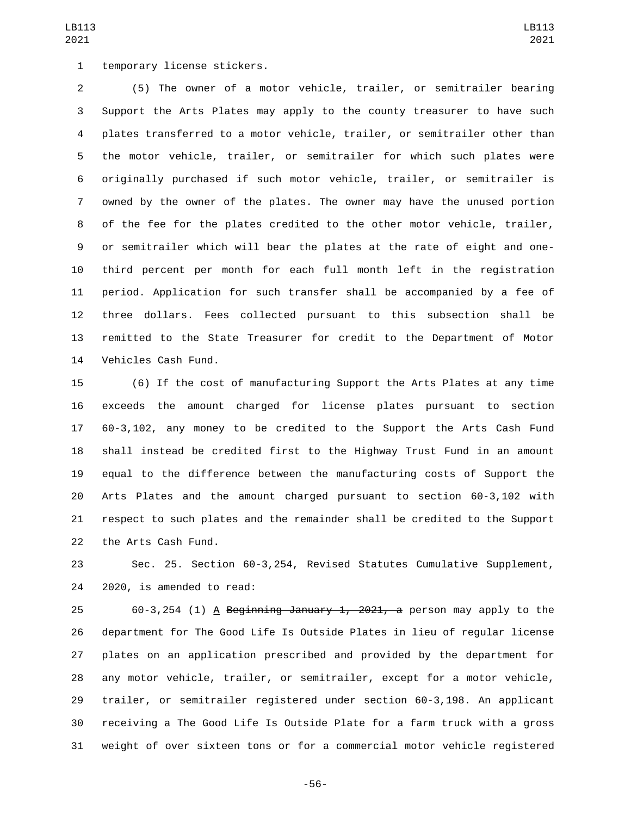1 temporary license stickers.

 (5) The owner of a motor vehicle, trailer, or semitrailer bearing Support the Arts Plates may apply to the county treasurer to have such plates transferred to a motor vehicle, trailer, or semitrailer other than the motor vehicle, trailer, or semitrailer for which such plates were originally purchased if such motor vehicle, trailer, or semitrailer is owned by the owner of the plates. The owner may have the unused portion of the fee for the plates credited to the other motor vehicle, trailer, or semitrailer which will bear the plates at the rate of eight and one- third percent per month for each full month left in the registration period. Application for such transfer shall be accompanied by a fee of three dollars. Fees collected pursuant to this subsection shall be remitted to the State Treasurer for credit to the Department of Motor 14 Vehicles Cash Fund.

 (6) If the cost of manufacturing Support the Arts Plates at any time exceeds the amount charged for license plates pursuant to section 60-3,102, any money to be credited to the Support the Arts Cash Fund shall instead be credited first to the Highway Trust Fund in an amount equal to the difference between the manufacturing costs of Support the Arts Plates and the amount charged pursuant to section 60-3,102 with respect to such plates and the remainder shall be credited to the Support 22 the Arts Cash Fund.

 Sec. 25. Section 60-3,254, Revised Statutes Cumulative Supplement, 24 2020, is amended to read:

 60-3,254 (1) A Beginning January 1, 2021, a person may apply to the department for The Good Life Is Outside Plates in lieu of regular license plates on an application prescribed and provided by the department for any motor vehicle, trailer, or semitrailer, except for a motor vehicle, trailer, or semitrailer registered under section 60-3,198. An applicant receiving a The Good Life Is Outside Plate for a farm truck with a gross weight of over sixteen tons or for a commercial motor vehicle registered

-56-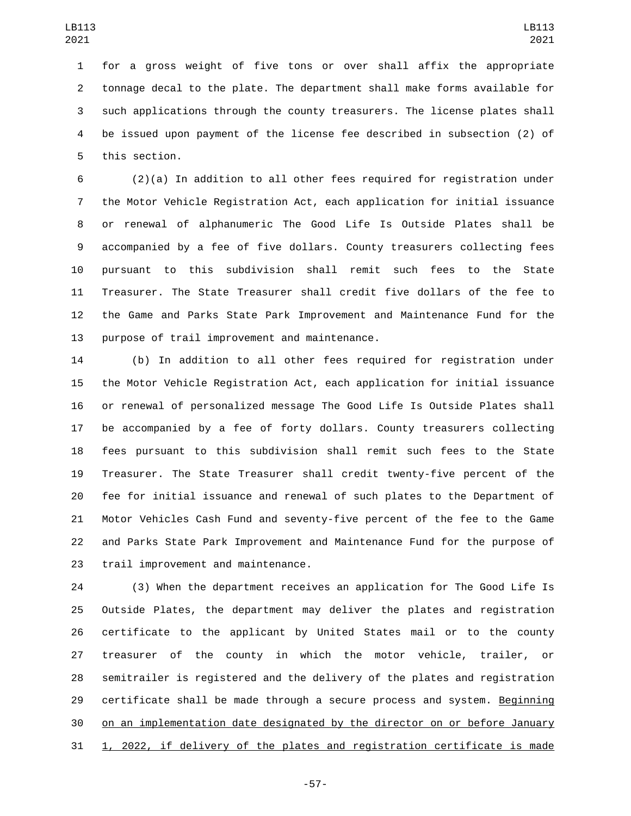for a gross weight of five tons or over shall affix the appropriate tonnage decal to the plate. The department shall make forms available for such applications through the county treasurers. The license plates shall be issued upon payment of the license fee described in subsection (2) of 5 this section.

 (2)(a) In addition to all other fees required for registration under the Motor Vehicle Registration Act, each application for initial issuance or renewal of alphanumeric The Good Life Is Outside Plates shall be accompanied by a fee of five dollars. County treasurers collecting fees pursuant to this subdivision shall remit such fees to the State Treasurer. The State Treasurer shall credit five dollars of the fee to the Game and Parks State Park Improvement and Maintenance Fund for the 13 purpose of trail improvement and maintenance.

 (b) In addition to all other fees required for registration under the Motor Vehicle Registration Act, each application for initial issuance or renewal of personalized message The Good Life Is Outside Plates shall be accompanied by a fee of forty dollars. County treasurers collecting fees pursuant to this subdivision shall remit such fees to the State Treasurer. The State Treasurer shall credit twenty-five percent of the fee for initial issuance and renewal of such plates to the Department of Motor Vehicles Cash Fund and seventy-five percent of the fee to the Game and Parks State Park Improvement and Maintenance Fund for the purpose of 23 trail improvement and maintenance.

 (3) When the department receives an application for The Good Life Is Outside Plates, the department may deliver the plates and registration certificate to the applicant by United States mail or to the county treasurer of the county in which the motor vehicle, trailer, or semitrailer is registered and the delivery of the plates and registration certificate shall be made through a secure process and system. Beginning on an implementation date designated by the director on or before January 1, 2022, if delivery of the plates and registration certificate is made

-57-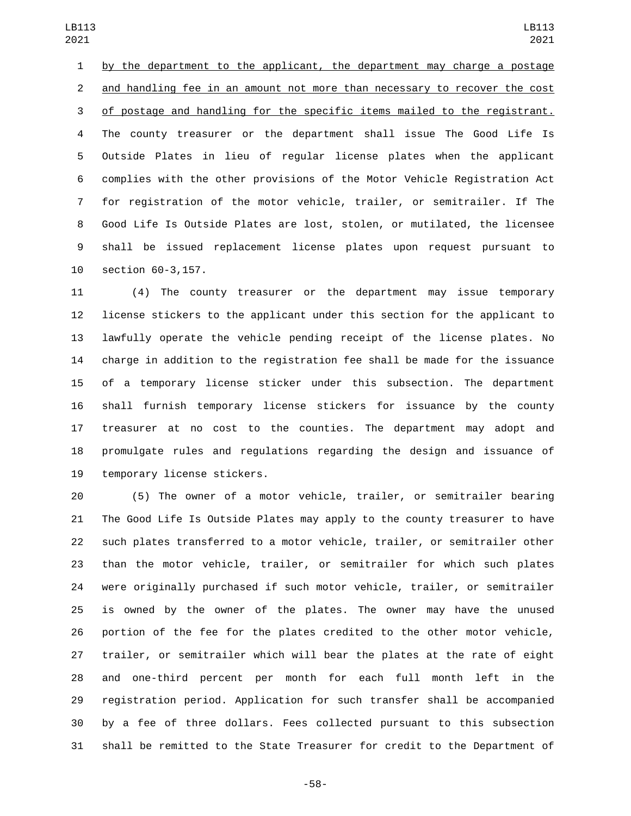by the department to the applicant, the department may charge a postage and handling fee in an amount not more than necessary to recover the cost of postage and handling for the specific items mailed to the registrant. The county treasurer or the department shall issue The Good Life Is Outside Plates in lieu of regular license plates when the applicant complies with the other provisions of the Motor Vehicle Registration Act for registration of the motor vehicle, trailer, or semitrailer. If The Good Life Is Outside Plates are lost, stolen, or mutilated, the licensee shall be issued replacement license plates upon request pursuant to 10 section 60-3,157.

 (4) The county treasurer or the department may issue temporary license stickers to the applicant under this section for the applicant to lawfully operate the vehicle pending receipt of the license plates. No charge in addition to the registration fee shall be made for the issuance of a temporary license sticker under this subsection. The department shall furnish temporary license stickers for issuance by the county treasurer at no cost to the counties. The department may adopt and promulgate rules and regulations regarding the design and issuance of 19 temporary license stickers.

 (5) The owner of a motor vehicle, trailer, or semitrailer bearing The Good Life Is Outside Plates may apply to the county treasurer to have such plates transferred to a motor vehicle, trailer, or semitrailer other than the motor vehicle, trailer, or semitrailer for which such plates were originally purchased if such motor vehicle, trailer, or semitrailer is owned by the owner of the plates. The owner may have the unused portion of the fee for the plates credited to the other motor vehicle, trailer, or semitrailer which will bear the plates at the rate of eight and one-third percent per month for each full month left in the registration period. Application for such transfer shall be accompanied by a fee of three dollars. Fees collected pursuant to this subsection shall be remitted to the State Treasurer for credit to the Department of

-58-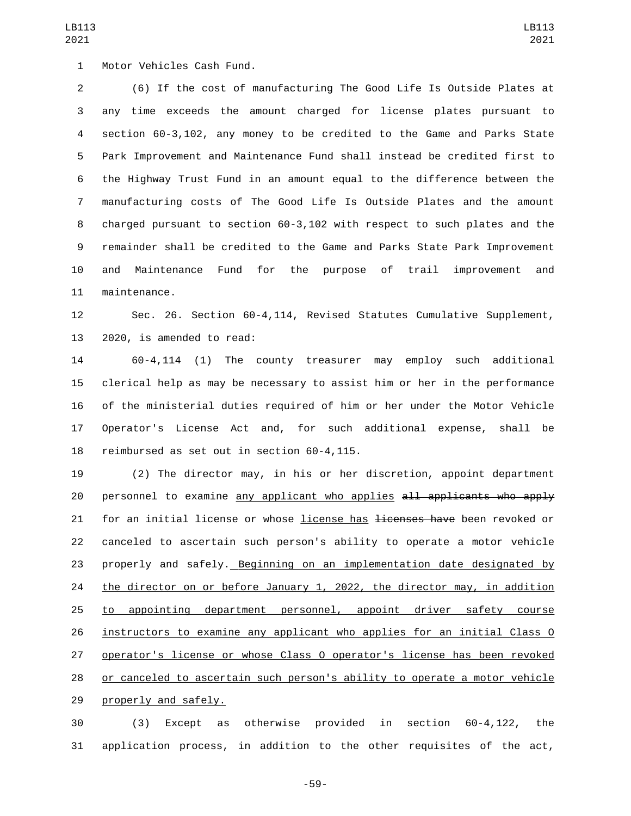1 Motor Vehicles Cash Fund. (6) If the cost of manufacturing The Good Life Is Outside Plates at any time exceeds the amount charged for license plates pursuant to section 60-3,102, any money to be credited to the Game and Parks State Park Improvement and Maintenance Fund shall instead be credited first to the Highway Trust Fund in an amount equal to the difference between the manufacturing costs of The Good Life Is Outside Plates and the amount charged pursuant to section 60-3,102 with respect to such plates and the remainder shall be credited to the Game and Parks State Park Improvement and Maintenance Fund for the purpose of trail improvement and 11 maintenance.

 Sec. 26. Section 60-4,114, Revised Statutes Cumulative Supplement, 13 2020, is amended to read:

 60-4,114 (1) The county treasurer may employ such additional clerical help as may be necessary to assist him or her in the performance of the ministerial duties required of him or her under the Motor Vehicle Operator's License Act and, for such additional expense, shall be 18 reimbursed as set out in section 60-4,115.

 (2) The director may, in his or her discretion, appoint department 20 personnel to examine any applicant who applies all applicants who apply 21 for an initial license or whose license has <del>licenses have</del> been revoked or canceled to ascertain such person's ability to operate a motor vehicle properly and safely. Beginning on an implementation date designated by 24 the director on or before January 1, 2022, the director may, in addition to appointing department personnel, appoint driver safety course instructors to examine any applicant who applies for an initial Class O operator's license or whose Class O operator's license has been revoked or canceled to ascertain such person's ability to operate a motor vehicle 29 properly and safely.

 (3) Except as otherwise provided in section 60-4,122, the application process, in addition to the other requisites of the act,

-59-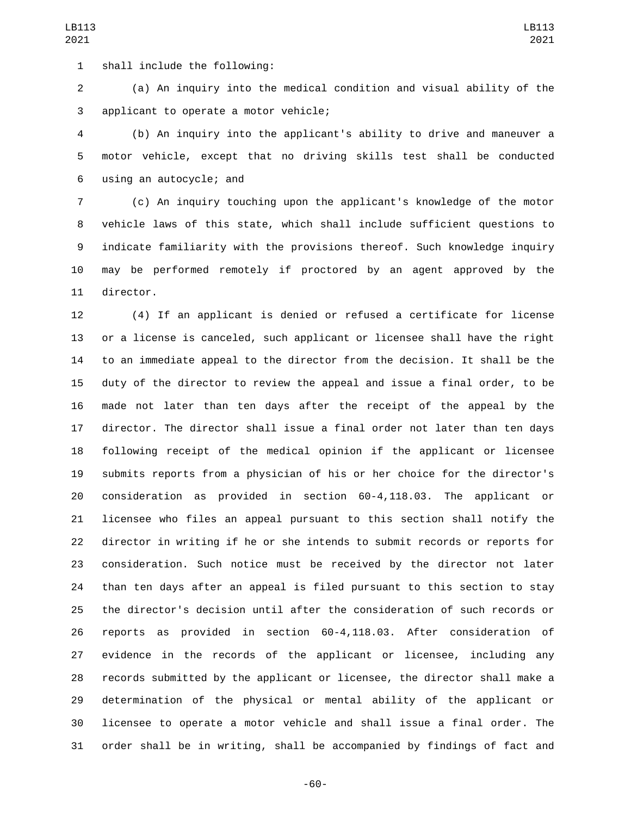1 shall include the following:

 (a) An inquiry into the medical condition and visual ability of the 3 applicant to operate a motor vehicle;

 (b) An inquiry into the applicant's ability to drive and maneuver a motor vehicle, except that no driving skills test shall be conducted using an autocycle; and6

 (c) An inquiry touching upon the applicant's knowledge of the motor vehicle laws of this state, which shall include sufficient questions to indicate familiarity with the provisions thereof. Such knowledge inquiry may be performed remotely if proctored by an agent approved by the 11 director.

 (4) If an applicant is denied or refused a certificate for license or a license is canceled, such applicant or licensee shall have the right to an immediate appeal to the director from the decision. It shall be the duty of the director to review the appeal and issue a final order, to be made not later than ten days after the receipt of the appeal by the director. The director shall issue a final order not later than ten days following receipt of the medical opinion if the applicant or licensee submits reports from a physician of his or her choice for the director's consideration as provided in section 60-4,118.03. The applicant or licensee who files an appeal pursuant to this section shall notify the director in writing if he or she intends to submit records or reports for consideration. Such notice must be received by the director not later than ten days after an appeal is filed pursuant to this section to stay the director's decision until after the consideration of such records or reports as provided in section 60-4,118.03. After consideration of evidence in the records of the applicant or licensee, including any records submitted by the applicant or licensee, the director shall make a determination of the physical or mental ability of the applicant or licensee to operate a motor vehicle and shall issue a final order. The order shall be in writing, shall be accompanied by findings of fact and

-60-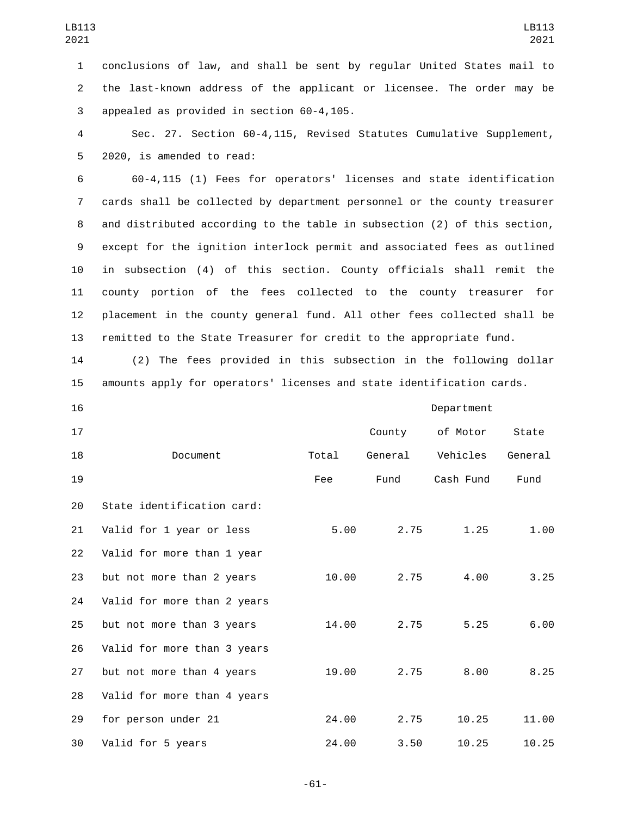1 conclusions of law, and shall be sent by regular United States mail to 2 the last-known address of the applicant or licensee. The order may be 3 appealed as provided in section 60-4,105.

4 Sec. 27. Section 60-4,115, Revised Statutes Cumulative Supplement, 5 2020, is amended to read:

 60-4,115 (1) Fees for operators' licenses and state identification cards shall be collected by department personnel or the county treasurer and distributed according to the table in subsection (2) of this section, except for the ignition interlock permit and associated fees as outlined in subsection (4) of this section. County officials shall remit the county portion of the fees collected to the county treasurer for placement in the county general fund. All other fees collected shall be remitted to the State Treasurer for credit to the appropriate fund.

14 (2) The fees provided in this subsection in the following dollar 15 amounts apply for operators' licenses and state identification cards.

| 16 |                             |       | Department |           |         |  |
|----|-----------------------------|-------|------------|-----------|---------|--|
| 17 |                             |       | County     | of Motor  | State   |  |
| 18 | Document                    | Total | General    | Vehicles  | General |  |
| 19 |                             | Fee   | Fund       | Cash Fund | Fund    |  |
| 20 | State identification card:  |       |            |           |         |  |
| 21 | Valid for 1 year or less    | 5.00  | 2.75       | 1.25      | 1.00    |  |
| 22 | Valid for more than 1 year  |       |            |           |         |  |
| 23 | but not more than 2 years   | 10.00 | 2.75       | 4.00      | 3.25    |  |
| 24 | Valid for more than 2 years |       |            |           |         |  |
| 25 | but not more than 3 years   | 14.00 | 2.75       | 5.25      | 6.00    |  |
| 26 | Valid for more than 3 years |       |            |           |         |  |
| 27 | but not more than 4 years   | 19.00 | 2.75       | 8.00      | 8.25    |  |
| 28 | Valid for more than 4 years |       |            |           |         |  |
| 29 | for person under 21         | 24.00 | 2.75       | 10.25     | 11.00   |  |
| 30 | Valid for 5 years           | 24.00 | 3.50       | 10.25     | 10.25   |  |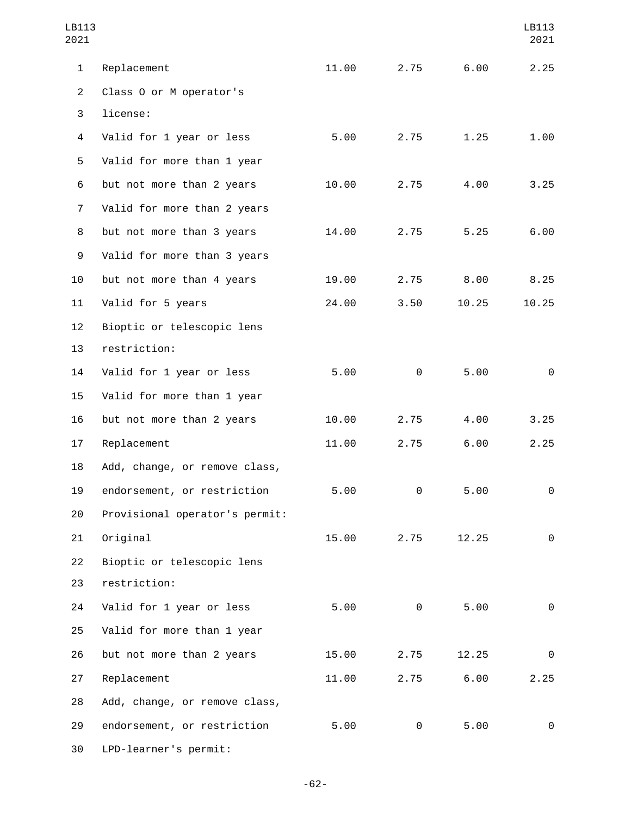| LB113<br>2021  |                                |       |      |       | LB113<br>2021 |
|----------------|--------------------------------|-------|------|-------|---------------|
| $\mathbf{1}$   | Replacement                    | 11.00 | 2.75 | 6.00  | 2.25          |
| $\overline{2}$ | Class 0 or M operator's        |       |      |       |               |
| 3              | license:                       |       |      |       |               |
| 4              | Valid for 1 year or less       | 5.00  | 2.75 | 1.25  | 1.00          |
| 5              | Valid for more than 1 year     |       |      |       |               |
| 6              | but not more than 2 years      | 10.00 | 2.75 | 4.00  | 3.25          |
| $\overline{7}$ | Valid for more than 2 years    |       |      |       |               |
| 8              | but not more than 3 years      | 14.00 | 2.75 | 5.25  | 6.00          |
| 9              | Valid for more than 3 years    |       |      |       |               |
| 10             | but not more than 4 years      | 19.00 | 2.75 | 8.00  | 8.25          |
| 11             | Valid for 5 years              | 24.00 | 3.50 | 10.25 | 10.25         |
| 12             | Bioptic or telescopic lens     |       |      |       |               |
| 13             | restriction:                   |       |      |       |               |
| 14             | Valid for 1 year or less       | 5.00  | 0    | 5.00  | 0             |
| 15             | Valid for more than 1 year     |       |      |       |               |
| 16             | but not more than 2 years      | 10.00 | 2.75 | 4.00  | 3.25          |
| 17             | Replacement                    | 11.00 | 2.75 | 6.00  | 2.25          |
| 18             | Add, change, or remove class,  |       |      |       |               |
| 19             | endorsement, or restriction    | 5.00  | 0    | 5.00  | $\Theta$      |
| 20             | Provisional operator's permit: |       |      |       |               |
| 21             | Original                       | 15.00 | 2.75 | 12.25 | $\Theta$      |
| 22             | Bioptic or telescopic lens     |       |      |       |               |
| 23             | restriction:                   |       |      |       |               |
| 24             | Valid for 1 year or less       | 5.00  | 0    | 5.00  | 0             |
| 25             | Valid for more than 1 year     |       |      |       |               |
| 26             | but not more than 2 years      | 15.00 | 2.75 | 12.25 | 0             |
| 27             | Replacement                    | 11.00 | 2.75 | 6.00  | 2.25          |
| 28             | Add, change, or remove class,  |       |      |       |               |
| 29             | endorsement, or restriction    | 5.00  | 0    | 5.00  | 0             |
| 30             | LPD-learner's permit:          |       |      |       |               |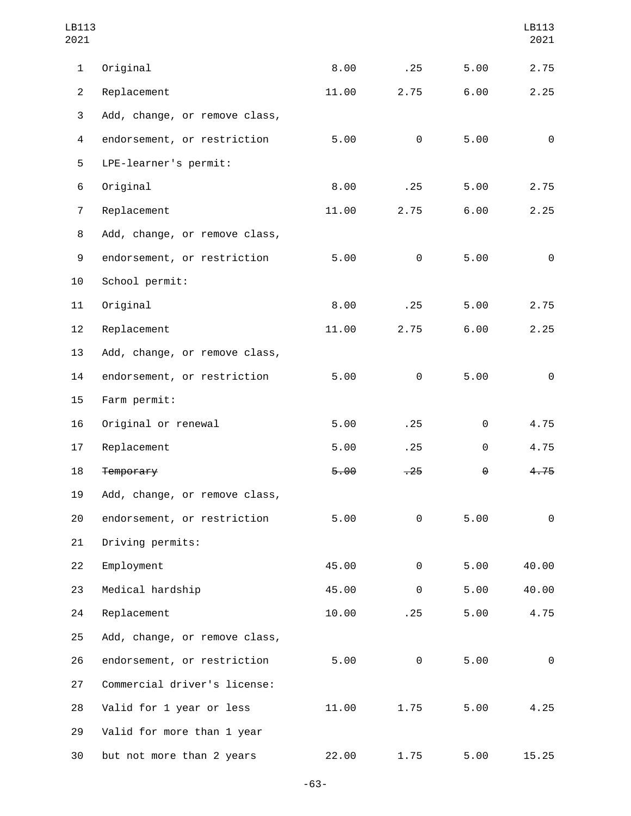| LB113<br>2021    |                               |       |          |      | LB113<br>2021 |
|------------------|-------------------------------|-------|----------|------|---------------|
| 1                | Original                      | 8.00  | .25      | 5.00 | 2.75          |
| $\mathbf{2}$     | Replacement                   | 11.00 | 2.75     | 6.00 | 2.25          |
| 3                | Add, change, or remove class, |       |          |      |               |
| 4                | endorsement, or restriction   | 5.00  | $\Theta$ | 5.00 | $\Theta$      |
| 5                | LPE-learner's permit:         |       |          |      |               |
| 6                | Original                      | 8.00  | .25      | 5.00 | 2.75          |
| $\overline{7}$   | Replacement                   | 11.00 | 2.75     | 6.00 | 2.25          |
| 8                | Add, change, or remove class, |       |          |      |               |
| $\boldsymbol{9}$ | endorsement, or restriction   | 5.00  | 0        | 5.00 | $\Theta$      |
| 10               | School permit:                |       |          |      |               |
| 11               | Original                      | 8.00  | .25      | 5.00 | 2.75          |
| 12               | Replacement                   | 11.00 | 2.75     | 6.00 | 2.25          |
| 13               | Add, change, or remove class, |       |          |      |               |
| 14               | endorsement, or restriction   | 5.00  | $\Theta$ | 5.00 | $\Theta$      |
| 15               | Farm permit:                  |       |          |      |               |
| 16               | Original or renewal           | 5.00  | .25      | 0    | 4.75          |
| 17               | Replacement                   | 5.00  | .25      | 0    | 4.75          |
| 18               | Temporary                     | 5.00  | $-25$    | θ    | 4.75          |
| 19               | Add, change, or remove class, |       |          |      |               |
| 20               | endorsement, or restriction   | 5.00  | $\Theta$ | 5.00 | $\Theta$      |
| 21               | Driving permits:              |       |          |      |               |
| 22               | Employment                    | 45.00 | 0        | 5.00 | 40.00         |
| 23               | Medical hardship              | 45.00 | 0        | 5.00 | 40.00         |
| 24               | Replacement                   | 10.00 | .25      | 5.00 | 4.75          |
| 25               | Add, change, or remove class, |       |          |      |               |
| 26               | endorsement, or restriction   | 5.00  | 0        | 5.00 | $\Theta$      |
| 27               | Commercial driver's license:  |       |          |      |               |
| 28               | Valid for 1 year or less      | 11.00 | 1.75     | 5.00 | 4.25          |
| 29               | Valid for more than 1 year    |       |          |      |               |
| 30               | but not more than 2 years     | 22.00 | 1.75     | 5.00 | 15.25         |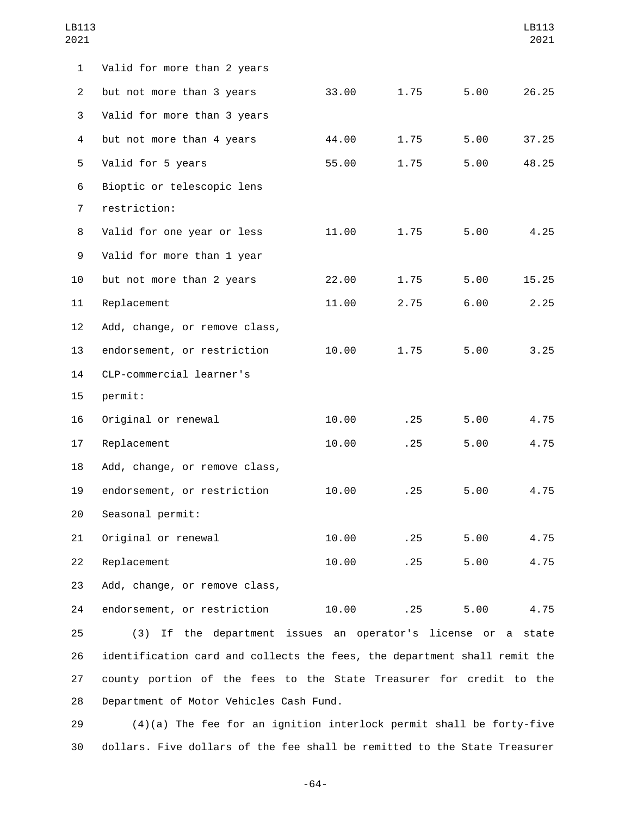| LB113<br>2021  |                                                                           |       |      |      | LB113<br>2021 |
|----------------|---------------------------------------------------------------------------|-------|------|------|---------------|
| $\mathbf{1}$   | Valid for more than 2 years                                               |       |      |      |               |
| $\overline{2}$ | but not more than 3 years                                                 | 33.00 | 1.75 | 5.00 | 26.25         |
| 3              | Valid for more than 3 years                                               |       |      |      |               |
| 4              | but not more than 4 years                                                 | 44.00 | 1.75 | 5.00 | 37.25         |
| 5              | Valid for 5 years                                                         | 55.00 | 1.75 | 5.00 | 48.25         |
| 6              | Bioptic or telescopic lens                                                |       |      |      |               |
| $\overline{7}$ | restriction:                                                              |       |      |      |               |
| 8              | Valid for one year or less                                                | 11.00 | 1.75 | 5.00 | 4.25          |
| 9              | Valid for more than 1 year                                                |       |      |      |               |
| 10             | but not more than 2 years                                                 | 22.00 | 1.75 | 5.00 | 15.25         |
| 11             | Replacement                                                               | 11.00 | 2.75 | 6.00 | 2.25          |
| 12             | Add, change, or remove class,                                             |       |      |      |               |
| 13             | endorsement, or restriction                                               | 10.00 | 1.75 | 5.00 | 3.25          |
| 14             | CLP-commercial learner's                                                  |       |      |      |               |
| 15             | permit:                                                                   |       |      |      |               |
| 16             | Original or renewal                                                       | 10.00 | .25  | 5.00 | 4.75          |
| 17             | Replacement                                                               | 10.00 | .25  | 5.00 | 4.75          |
| 18             | Add, change, or remove class,                                             |       |      |      |               |
| 19             | endorsement, or restriction                                               | 10.00 | .25  | 5.00 | 4.75          |
| 20             | Seasonal permit:                                                          |       |      |      |               |
| 21             | Original or renewal                                                       | 10.00 | .25  | 5.00 | 4.75          |
| 22             | Replacement                                                               | 10.00 | .25  | 5.00 | 4.75          |
| 23             | Add, change, or remove class,                                             |       |      |      |               |
| 24             | endorsement, or restriction                                               | 10.00 | .25  | 5.00 | 4.75          |
| 25             | (3) If the department issues an operator's license or a state             |       |      |      |               |
| 26             | identification card and collects the fees, the department shall remit the |       |      |      |               |
| 27             | county portion of the fees to the State Treasurer for credit to the       |       |      |      |               |

28 Department of Motor Vehicles Cash Fund.

29 (4)(a) The fee for an ignition interlock permit shall be forty-five 30 dollars. Five dollars of the fee shall be remitted to the State Treasurer

-64-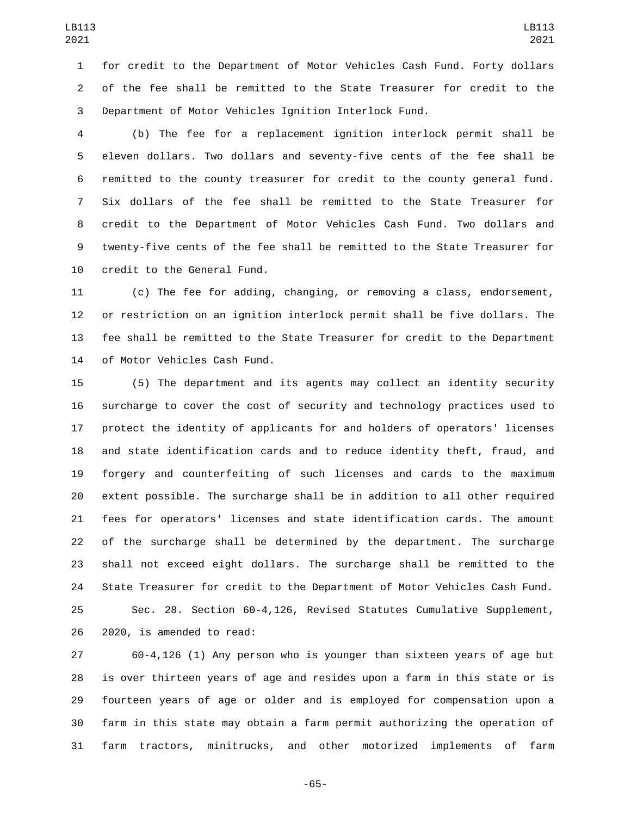for credit to the Department of Motor Vehicles Cash Fund. Forty dollars of the fee shall be remitted to the State Treasurer for credit to the Department of Motor Vehicles Ignition Interlock Fund.

 (b) The fee for a replacement ignition interlock permit shall be eleven dollars. Two dollars and seventy-five cents of the fee shall be remitted to the county treasurer for credit to the county general fund. Six dollars of the fee shall be remitted to the State Treasurer for credit to the Department of Motor Vehicles Cash Fund. Two dollars and twenty-five cents of the fee shall be remitted to the State Treasurer for 10 credit to the General Fund.

 (c) The fee for adding, changing, or removing a class, endorsement, or restriction on an ignition interlock permit shall be five dollars. The fee shall be remitted to the State Treasurer for credit to the Department 14 of Motor Vehicles Cash Fund.

 (5) The department and its agents may collect an identity security surcharge to cover the cost of security and technology practices used to protect the identity of applicants for and holders of operators' licenses and state identification cards and to reduce identity theft, fraud, and forgery and counterfeiting of such licenses and cards to the maximum extent possible. The surcharge shall be in addition to all other required fees for operators' licenses and state identification cards. The amount of the surcharge shall be determined by the department. The surcharge shall not exceed eight dollars. The surcharge shall be remitted to the State Treasurer for credit to the Department of Motor Vehicles Cash Fund.

 Sec. 28. Section 60-4,126, Revised Statutes Cumulative Supplement, 26 2020, is amended to read:

 60-4,126 (1) Any person who is younger than sixteen years of age but is over thirteen years of age and resides upon a farm in this state or is fourteen years of age or older and is employed for compensation upon a farm in this state may obtain a farm permit authorizing the operation of farm tractors, minitrucks, and other motorized implements of farm

-65-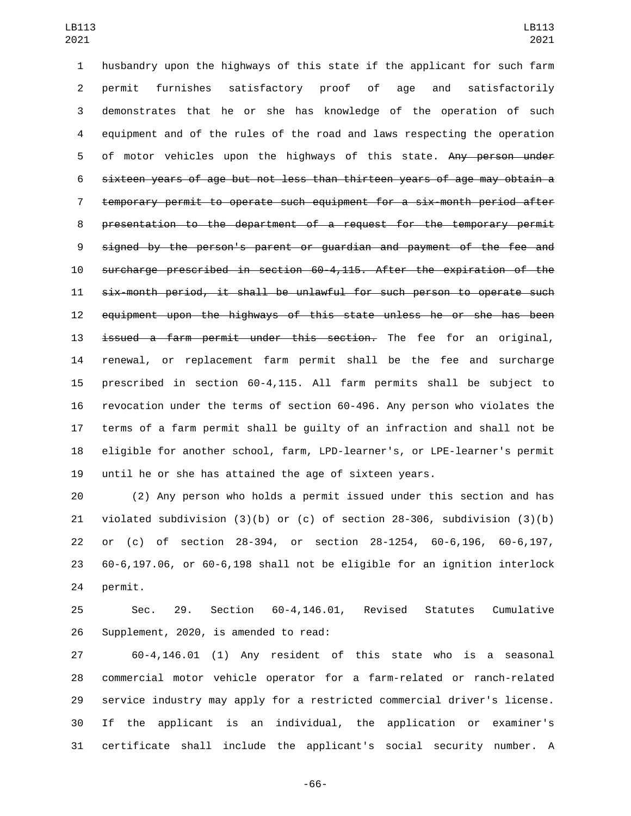husbandry upon the highways of this state if the applicant for such farm permit furnishes satisfactory proof of age and satisfactorily demonstrates that he or she has knowledge of the operation of such equipment and of the rules of the road and laws respecting the operation 5 of motor vehicles upon the highways of this state. Any person under sixteen years of age but not less than thirteen years of age may obtain a temporary permit to operate such equipment for a six-month period after presentation to the department of a request for the temporary permit signed by the person's parent or guardian and payment of the fee and surcharge prescribed in section 60-4,115. After the expiration of the six-month period, it shall be unlawful for such person to operate such equipment upon the highways of this state unless he or she has been 13 issued a farm permit under this section. The fee for an original, renewal, or replacement farm permit shall be the fee and surcharge prescribed in section 60-4,115. All farm permits shall be subject to revocation under the terms of section 60-496. Any person who violates the terms of a farm permit shall be guilty of an infraction and shall not be eligible for another school, farm, LPD-learner's, or LPE-learner's permit until he or she has attained the age of sixteen years.

 (2) Any person who holds a permit issued under this section and has violated subdivision (3)(b) or (c) of section 28-306, subdivision (3)(b) or (c) of section 28-394, or section 28-1254, 60-6,196, 60-6,197, 60-6,197.06, or 60-6,198 shall not be eligible for an ignition interlock 24 permit.

 Sec. 29. Section 60-4,146.01, Revised Statutes Cumulative 26 Supplement, 2020, is amended to read:

 60-4,146.01 (1) Any resident of this state who is a seasonal commercial motor vehicle operator for a farm-related or ranch-related service industry may apply for a restricted commercial driver's license. If the applicant is an individual, the application or examiner's certificate shall include the applicant's social security number. A

-66-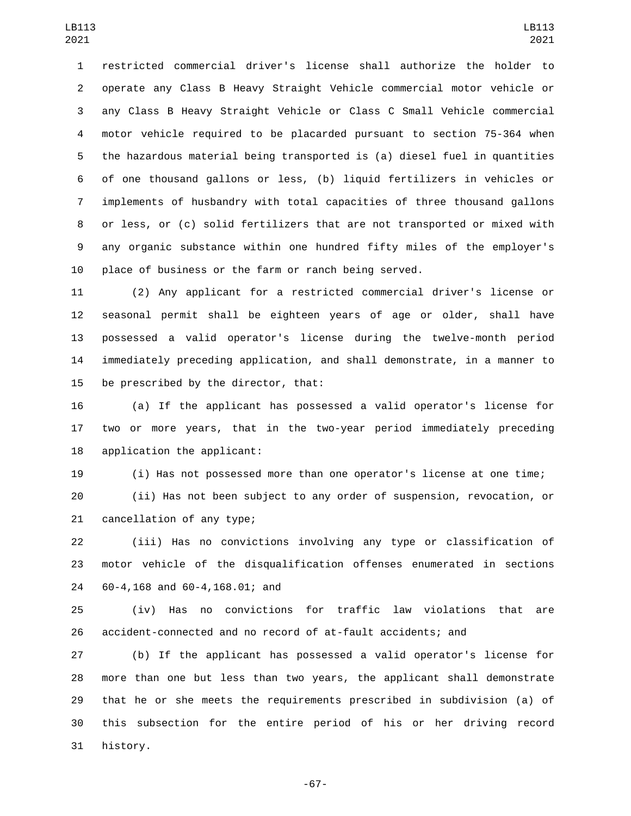restricted commercial driver's license shall authorize the holder to operate any Class B Heavy Straight Vehicle commercial motor vehicle or any Class B Heavy Straight Vehicle or Class C Small Vehicle commercial motor vehicle required to be placarded pursuant to section 75-364 when the hazardous material being transported is (a) diesel fuel in quantities of one thousand gallons or less, (b) liquid fertilizers in vehicles or implements of husbandry with total capacities of three thousand gallons or less, or (c) solid fertilizers that are not transported or mixed with any organic substance within one hundred fifty miles of the employer's place of business or the farm or ranch being served.

 (2) Any applicant for a restricted commercial driver's license or seasonal permit shall be eighteen years of age or older, shall have possessed a valid operator's license during the twelve-month period immediately preceding application, and shall demonstrate, in a manner to 15 be prescribed by the director, that:

 (a) If the applicant has possessed a valid operator's license for two or more years, that in the two-year period immediately preceding 18 application the applicant:

(i) Has not possessed more than one operator's license at one time;

 (ii) Has not been subject to any order of suspension, revocation, or 21 cancellation of any type;

 (iii) Has no convictions involving any type or classification of motor vehicle of the disqualification offenses enumerated in sections 60-4,168 and 60-4,168.01; and24

 (iv) Has no convictions for traffic law violations that are accident-connected and no record of at-fault accidents; and

 (b) If the applicant has possessed a valid operator's license for more than one but less than two years, the applicant shall demonstrate that he or she meets the requirements prescribed in subdivision (a) of this subsection for the entire period of his or her driving record 31 history.

-67-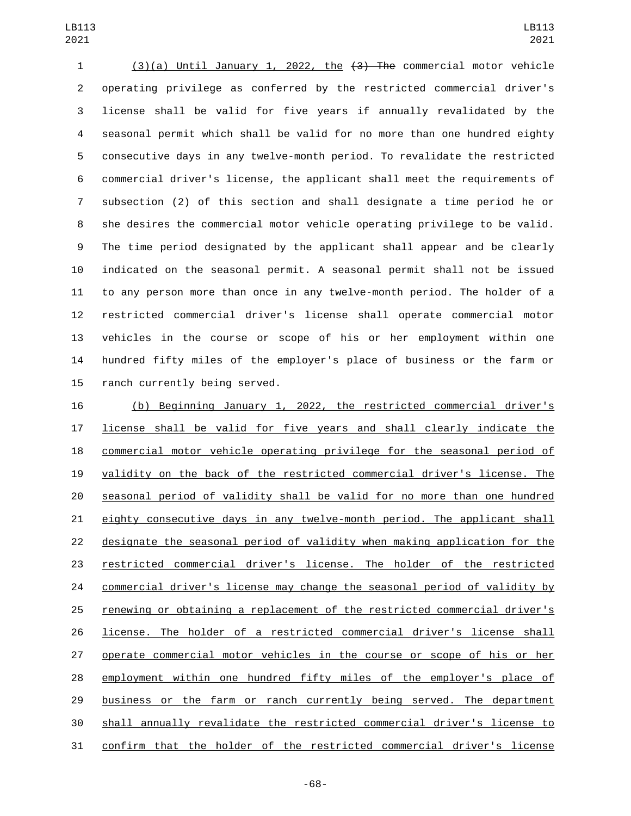(3)(a) Until January 1, 2022, the (3) The commercial motor vehicle operating privilege as conferred by the restricted commercial driver's license shall be valid for five years if annually revalidated by the seasonal permit which shall be valid for no more than one hundred eighty consecutive days in any twelve-month period. To revalidate the restricted commercial driver's license, the applicant shall meet the requirements of subsection (2) of this section and shall designate a time period he or she desires the commercial motor vehicle operating privilege to be valid. The time period designated by the applicant shall appear and be clearly indicated on the seasonal permit. A seasonal permit shall not be issued to any person more than once in any twelve-month period. The holder of a restricted commercial driver's license shall operate commercial motor vehicles in the course or scope of his or her employment within one hundred fifty miles of the employer's place of business or the farm or 15 ranch currently being served.

 (b) Beginning January 1, 2022, the restricted commercial driver's license shall be valid for five years and shall clearly indicate the commercial motor vehicle operating privilege for the seasonal period of validity on the back of the restricted commercial driver's license. The seasonal period of validity shall be valid for no more than one hundred eighty consecutive days in any twelve-month period. The applicant shall designate the seasonal period of validity when making application for the restricted commercial driver's license. The holder of the restricted commercial driver's license may change the seasonal period of validity by renewing or obtaining a replacement of the restricted commercial driver's license. The holder of a restricted commercial driver's license shall operate commercial motor vehicles in the course or scope of his or her employment within one hundred fifty miles of the employer's place of business or the farm or ranch currently being served. The department shall annually revalidate the restricted commercial driver's license to confirm that the holder of the restricted commercial driver's license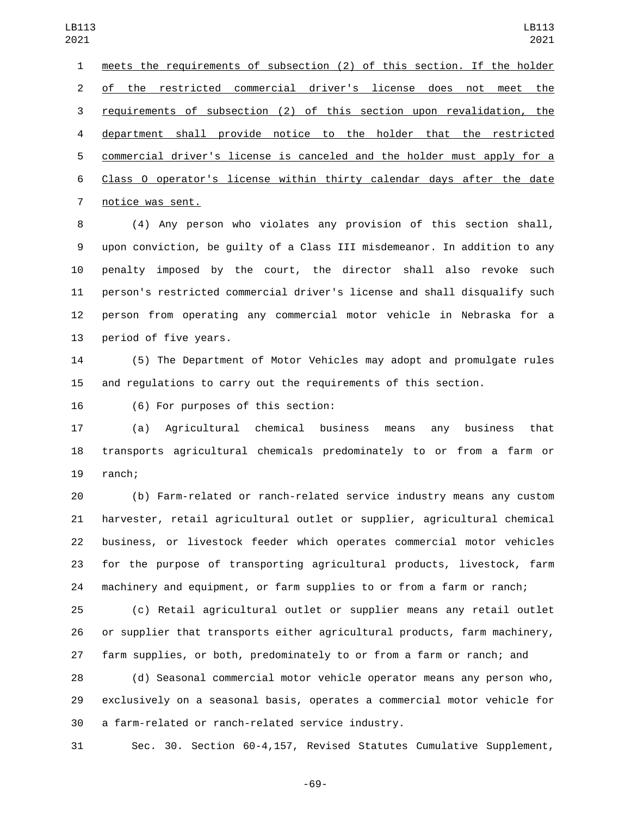meets the requirements of subsection (2) of this section. If the holder of the restricted commercial driver's license does not meet the requirements of subsection (2) of this section upon revalidation, the department shall provide notice to the holder that the restricted commercial driver's license is canceled and the holder must apply for a Class O operator's license within thirty calendar days after the date 7 notice was sent.

 (4) Any person who violates any provision of this section shall, upon conviction, be guilty of a Class III misdemeanor. In addition to any penalty imposed by the court, the director shall also revoke such person's restricted commercial driver's license and shall disqualify such person from operating any commercial motor vehicle in Nebraska for a 13 period of five years.

 (5) The Department of Motor Vehicles may adopt and promulgate rules and regulations to carry out the requirements of this section.

16 (6) For purposes of this section:

 (a) Agricultural chemical business means any business that transports agricultural chemicals predominately to or from a farm or 19 ranch;

 (b) Farm-related or ranch-related service industry means any custom harvester, retail agricultural outlet or supplier, agricultural chemical business, or livestock feeder which operates commercial motor vehicles for the purpose of transporting agricultural products, livestock, farm machinery and equipment, or farm supplies to or from a farm or ranch;

 (c) Retail agricultural outlet or supplier means any retail outlet or supplier that transports either agricultural products, farm machinery, farm supplies, or both, predominately to or from a farm or ranch; and

 (d) Seasonal commercial motor vehicle operator means any person who, exclusively on a seasonal basis, operates a commercial motor vehicle for 30 a farm-related or ranch-related service industry.

Sec. 30. Section 60-4,157, Revised Statutes Cumulative Supplement,

-69-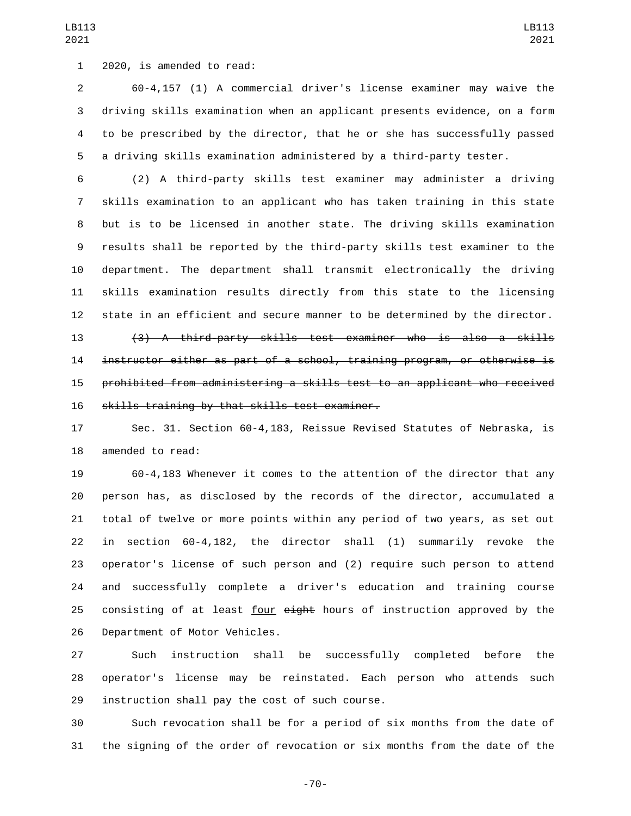1 2020, is amended to read:

 60-4,157 (1) A commercial driver's license examiner may waive the driving skills examination when an applicant presents evidence, on a form to be prescribed by the director, that he or she has successfully passed a driving skills examination administered by a third-party tester.

 (2) A third-party skills test examiner may administer a driving skills examination to an applicant who has taken training in this state but is to be licensed in another state. The driving skills examination results shall be reported by the third-party skills test examiner to the department. The department shall transmit electronically the driving skills examination results directly from this state to the licensing state in an efficient and secure manner to be determined by the director.

 (3) A third-party skills test examiner who is also a skills instructor either as part of a school, training program, or otherwise is prohibited from administering a skills test to an applicant who received 16 skills training by that skills test examiner.

 Sec. 31. Section 60-4,183, Reissue Revised Statutes of Nebraska, is 18 amended to read:

 60-4,183 Whenever it comes to the attention of the director that any person has, as disclosed by the records of the director, accumulated a total of twelve or more points within any period of two years, as set out in section 60-4,182, the director shall (1) summarily revoke the operator's license of such person and (2) require such person to attend and successfully complete a driver's education and training course 25 consisting of at least four eight hours of instruction approved by the 26 Department of Motor Vehicles.

 Such instruction shall be successfully completed before the operator's license may be reinstated. Each person who attends such 29 instruction shall pay the cost of such course.

 Such revocation shall be for a period of six months from the date of the signing of the order of revocation or six months from the date of the

-70-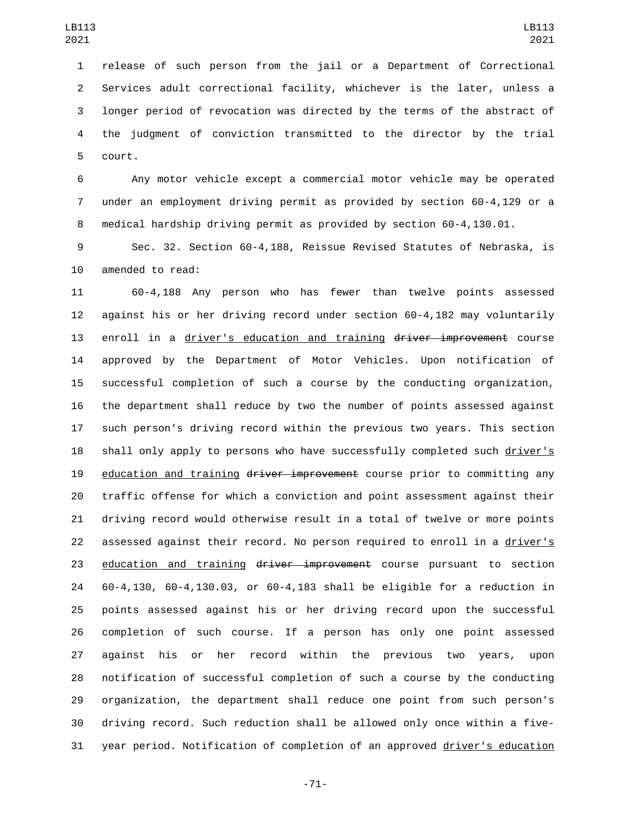release of such person from the jail or a Department of Correctional Services adult correctional facility, whichever is the later, unless a longer period of revocation was directed by the terms of the abstract of the judgment of conviction transmitted to the director by the trial 5 court.

 Any motor vehicle except a commercial motor vehicle may be operated under an employment driving permit as provided by section 60-4,129 or a medical hardship driving permit as provided by section 60-4,130.01.

 Sec. 32. Section 60-4,188, Reissue Revised Statutes of Nebraska, is 10 amended to read:

 60-4,188 Any person who has fewer than twelve points assessed against his or her driving record under section 60-4,182 may voluntarily 13 enroll in a driver's education and training driver improvement course approved by the Department of Motor Vehicles. Upon notification of successful completion of such a course by the conducting organization, the department shall reduce by two the number of points assessed against such person's driving record within the previous two years. This section shall only apply to persons who have successfully completed such driver's 19 education and training driver improvement course prior to committing any traffic offense for which a conviction and point assessment against their driving record would otherwise result in a total of twelve or more points assessed against their record. No person required to enroll in a driver's 23 education and training driver improvement course pursuant to section 60-4,130, 60-4,130.03, or 60-4,183 shall be eligible for a reduction in points assessed against his or her driving record upon the successful completion of such course. If a person has only one point assessed against his or her record within the previous two years, upon notification of successful completion of such a course by the conducting organization, the department shall reduce one point from such person's driving record. Such reduction shall be allowed only once within a five-year period. Notification of completion of an approved driver's education

-71-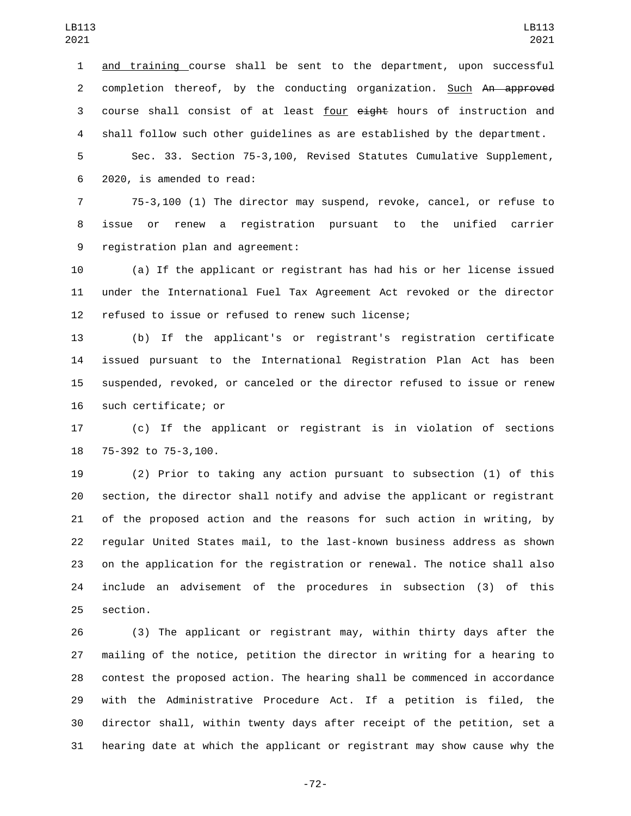and training course shall be sent to the department, upon successful 2 completion thereof, by the conducting organization. Such An approved 3 course shall consist of at least four  $e^{\frac{i}{2}}$  hours of instruction and shall follow such other guidelines as are established by the department.

 Sec. 33. Section 75-3,100, Revised Statutes Cumulative Supplement, 2020, is amended to read:6

 75-3,100 (1) The director may suspend, revoke, cancel, or refuse to issue or renew a registration pursuant to the unified carrier 9 registration plan and agreement:

 (a) If the applicant or registrant has had his or her license issued under the International Fuel Tax Agreement Act revoked or the director refused to issue or refused to renew such license;

 (b) If the applicant's or registrant's registration certificate issued pursuant to the International Registration Plan Act has been suspended, revoked, or canceled or the director refused to issue or renew 16 such certificate; or

 (c) If the applicant or registrant is in violation of sections 18 75-392 to 75-3,100.

 (2) Prior to taking any action pursuant to subsection (1) of this section, the director shall notify and advise the applicant or registrant of the proposed action and the reasons for such action in writing, by regular United States mail, to the last-known business address as shown on the application for the registration or renewal. The notice shall also include an advisement of the procedures in subsection (3) of this 25 section.

 (3) The applicant or registrant may, within thirty days after the mailing of the notice, petition the director in writing for a hearing to contest the proposed action. The hearing shall be commenced in accordance with the Administrative Procedure Act. If a petition is filed, the director shall, within twenty days after receipt of the petition, set a hearing date at which the applicant or registrant may show cause why the

-72-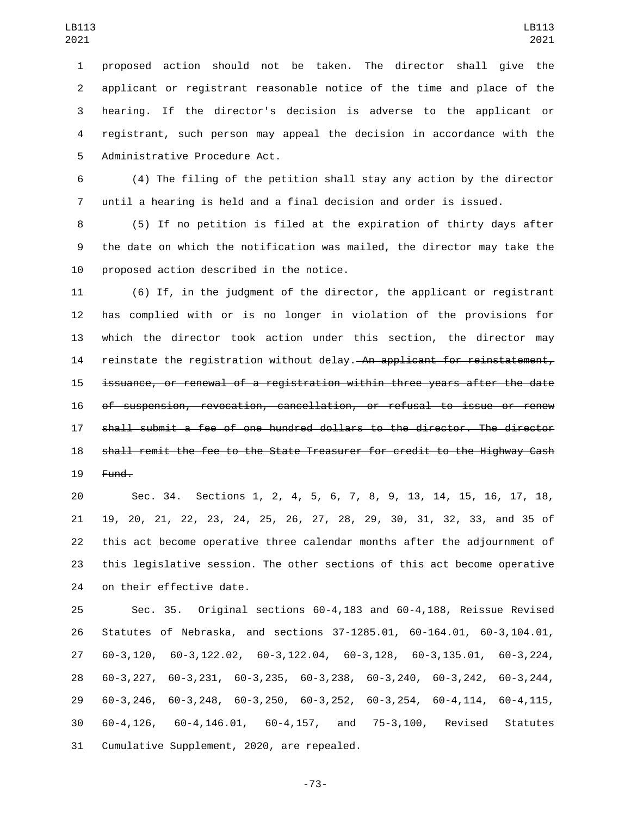proposed action should not be taken. The director shall give the applicant or registrant reasonable notice of the time and place of the hearing. If the director's decision is adverse to the applicant or registrant, such person may appeal the decision in accordance with the 5 Administrative Procedure Act.

 (4) The filing of the petition shall stay any action by the director until a hearing is held and a final decision and order is issued.

 (5) If no petition is filed at the expiration of thirty days after the date on which the notification was mailed, the director may take the 10 proposed action described in the notice.

 (6) If, in the judgment of the director, the applicant or registrant has complied with or is no longer in violation of the provisions for which the director took action under this section, the director may 14 reinstate the registration without delay. An applicant for reinstatement, issuance, or renewal of a registration within three years after the date of suspension, revocation, cancellation, or refusal to issue or renew shall submit a fee of one hundred dollars to the director. The director shall remit the fee to the State Treasurer for credit to the Highway Cash Fund.

 Sec. 34. Sections 1, 2, 4, 5, 6, 7, 8, 9, 13, 14, 15, 16, 17, 18, 19, 20, 21, 22, 23, 24, 25, 26, 27, 28, 29, 30, 31, 32, 33, and 35 of this act become operative three calendar months after the adjournment of this legislative session. The other sections of this act become operative 24 on their effective date.

 Sec. 35. Original sections 60-4,183 and 60-4,188, Reissue Revised Statutes of Nebraska, and sections 37-1285.01, 60-164.01, 60-3,104.01, 60-3,120, 60-3,122.02, 60-3,122.04, 60-3,128, 60-3,135.01, 60-3,224, 60-3,227, 60-3,231, 60-3,235, 60-3,238, 60-3,240, 60-3,242, 60-3,244, 60-3,246, 60-3,248, 60-3,250, 60-3,252, 60-3,254, 60-4,114, 60-4,115, 60-4,126, 60-4,146.01, 60-4,157, and 75-3,100, Revised Statutes 31 Cumulative Supplement, 2020, are repealed.

-73-